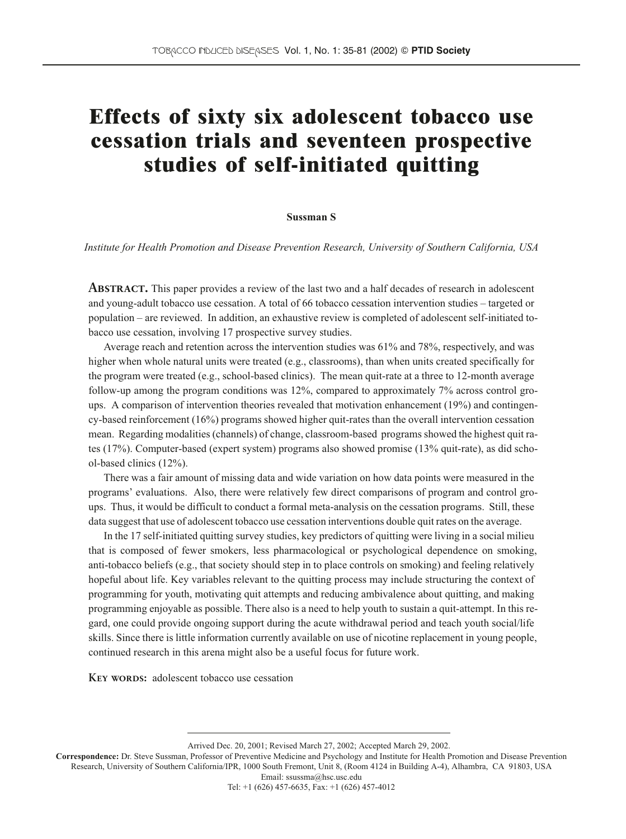# Effects of sixty six adolescent tobacco use cessation trials and seventeen prospective studies of self-initiated quitting

### **Sussman S**

*Institute for Health Promotion and Disease Prevention Research, University of Southern California, USA*

**ABSTRACT.** This paper provides a review of the last two and a half decades of research in adolescent and young-adult tobacco use cessation. A total of 66 tobacco cessation intervention studies – targeted or population – are reviewed. In addition, an exhaustive review is completed of adolescent self-initiated tobacco use cessation, involving 17 prospective survey studies.

Average reach and retention across the intervention studies was 61% and 78%, respectively, and was higher when whole natural units were treated (e.g., classrooms), than when units created specifically for the program were treated (e.g., school-based clinics). The mean quit-rate at a three to 12-month average follow-up among the program conditions was 12%, compared to approximately 7% across control groups. A comparison of intervention theories revealed that motivation enhancement (19%) and contingency-based reinforcement (16%) programs showed higher quit-rates than the overall intervention cessation mean. Regarding modalities (channels) of change, classroom-based programs showed the highest quit rates (17%). Computer-based (expert system) programs also showed promise (13% quit-rate), as did school-based clinics (12%).

There was a fair amount of missing data and wide variation on how data points were measured in the programs' evaluations. Also, there were relatively few direct comparisons of program and control groups. Thus, it would be difficult to conduct a formal meta-analysis on the cessation programs. Still, these data suggest that use of adolescent tobacco use cessation interventions double quit rates on the average.

In the 17 self-initiated quitting survey studies, key predictors of quitting were living in a social milieu that is composed of fewer smokers, less pharmacological or psychological dependence on smoking, anti-tobacco beliefs (e.g., that society should step in to place controls on smoking) and feeling relatively hopeful about life. Key variables relevant to the quitting process may include structuring the context of programming for youth, motivating quit attempts and reducing ambivalence about quitting, and making programming enjoyable as possible. There also is a need to help youth to sustain a quit-attempt. In this regard, one could provide ongoing support during the acute withdrawal period and teach youth social/life skills. Since there is little information currently available on use of nicotine replacement in young people, continued research in this arena might also be a useful focus for future work.

**KEY WORDS:** adolescent tobacco use cessation

Tel: +1 (626) 457-6635, Fax: +1 (626) 457-4012

Arrived Dec. 20, 2001; Revised March 27, 2002; Accepted March 29, 2002.

**Correspondence:** Dr. Steve Sussman, Professor of Preventive Medicine and Psychology and Institute for Health Promotion and Disease Prevention Research, University of Southern California/IPR, 1000 South Fremont, Unit 8, (Room 4124 in Building A-4), Alhambra, CA 91803, USA Email: ssussma@hsc.usc.edu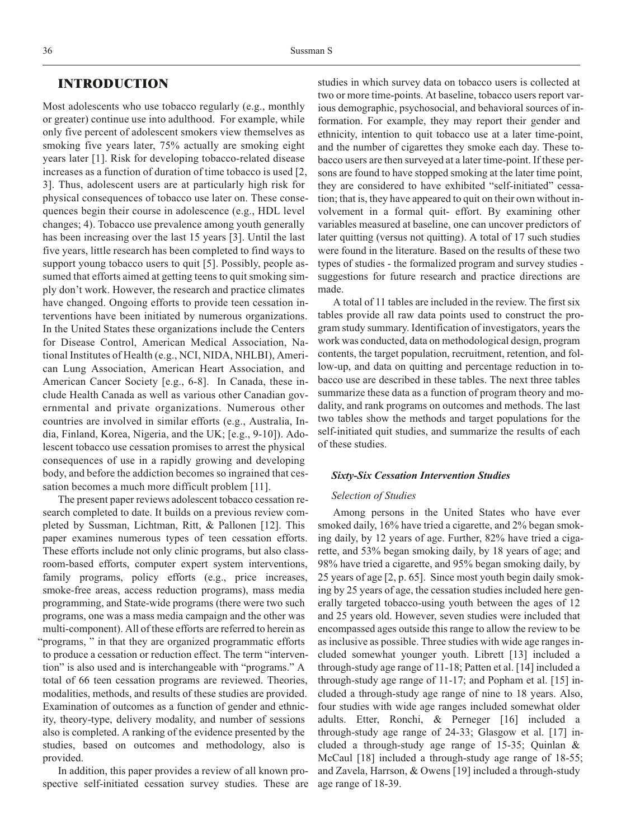# INTRODUCTION

Most adolescents who use tobacco regularly (e.g., monthly or greater) continue use into adulthood. For example, while only five percent of adolescent smokers view themselves as smoking five years later, 75% actually are smoking eight years later [1]. Risk for developing tobacco-related disease increases as a function of duration of time tobacco is used [2, 3]. Thus, adolescent users are at particularly high risk for physical consequences of tobacco use later on. These consequences begin their course in adolescence (e.g., HDL level changes; 4). Tobacco use prevalence among youth generally has been increasing over the last 15 years [3]. Until the last five years, little research has been completed to find ways to support young tobacco users to quit [5]. Possibly, people assumed that efforts aimed at getting teens to quit smoking simply don't work. However, the research and practice climates have changed. Ongoing efforts to provide teen cessation interventions have been initiated by numerous organizations. In the United States these organizations include the Centers for Disease Control, American Medical Association, National Institutes of Health (e.g., NCI, NIDA, NHLBI), American Lung Association, American Heart Association, and American Cancer Society [e.g., 6-8]. In Canada, these include Health Canada as well as various other Canadian governmental and private organizations. Numerous other countries are involved in similar efforts (e.g., Australia, India, Finland, Korea, Nigeria, and the UK; [e.g., 9-10]). Adolescent tobacco use cessation promises to arrest the physical consequences of use in a rapidly growing and developing body, and before the addiction becomes so ingrained that cessation becomes a much more difficult problem [11].

The present paper reviews adolescent tobacco cessation research completed to date. It builds on a previous review completed by Sussman, Lichtman, Ritt, & Pallonen [12]. This paper examines numerous types of teen cessation efforts. These efforts include not only clinic programs, but also classroom-based efforts, computer expert system interventions, family programs, policy efforts (e.g., price increases, smoke-free areas, access reduction programs), mass media programming, and State-wide programs (there were two such programs, one was a mass media campaign and the other was multi-component). All of these efforts are referred to herein as "programs, " in that they are organized programmatic efforts to produce a cessation or reduction effect. The term "intervention" is also used and is interchangeable with "programs." A total of 66 teen cessation programs are reviewed. Theories, modalities, methods, and results of these studies are provided. Examination of outcomes as a function of gender and ethnicity, theory-type, delivery modality, and number of sessions also is completed. A ranking of the evidence presented by the studies, based on outcomes and methodology, also is provided.

In addition, this paper provides a review of all known prospective self-initiated cessation survey studies. These are studies in which survey data on tobacco users is collected at two or more time-points. At baseline, tobacco users report various demographic, psychosocial, and behavioral sources of information. For example, they may report their gender and ethnicity, intention to quit tobacco use at a later time-point, and the number of cigarettes they smoke each day. These tobacco users are then surveyed at a later time-point. If these persons are found to have stopped smoking at the later time point, they are considered to have exhibited "self-initiated" cessation; that is, they have appeared to quit on their own without involvement in a formal quit- effort. By examining other variables measured at baseline, one can uncover predictors of later quitting (versus not quitting). A total of 17 such studies were found in the literature. Based on the results of these two types of studies - the formalized program and survey studies suggestions for future research and practice directions are made.

A total of 11 tables are included in the review. The first six tables provide all raw data points used to construct the program study summary. Identification of investigators, years the work was conducted, data on methodological design, program contents, the target population, recruitment, retention, and follow-up, and data on quitting and percentage reduction in tobacco use are described in these tables. The next three tables summarize these data as a function of program theory and modality, and rank programs on outcomes and methods. The last two tables show the methods and target populations for the self-initiated quit studies, and summarize the results of each of these studies.

### *Sixty-Six Cessation Intervention Studies*

# *Selection of Studies*

Among persons in the United States who have ever smoked daily, 16% have tried a cigarette, and 2% began smoking daily, by 12 years of age. Further, 82% have tried a cigarette, and 53% began smoking daily, by 18 years of age; and 98% have tried a cigarette, and 95% began smoking daily, by 25 years of age [2, p. 65]. Since most youth begin daily smoking by 25 years of age, the cessation studies included here generally targeted tobacco-using youth between the ages of 12 and 25 years old. However, seven studies were included that encompassed ages outside this range to allow the review to be as inclusive as possible. Three studies with wide age ranges included somewhat younger youth. Librett [13] included a through-study age range of 11-18; Patten et al. [14] included a through-study age range of 11-17; and Popham et al. [15] included a through-study age range of nine to 18 years. Also, four studies with wide age ranges included somewhat older adults. Etter, Ronchi, & Perneger [16] included a through-study age range of 24-33; Glasgow et al. [17] included a through-study age range of 15-35; Quinlan & McCaul [18] included a through-study age range of 18-55; and Zavela, Harrson, & Owens [19] included a through-study age range of 18-39.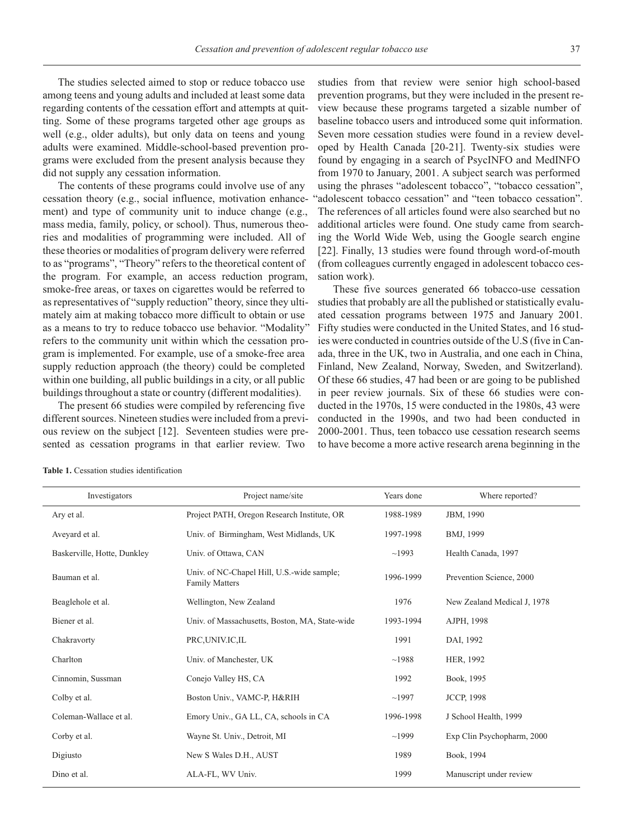The studies selected aimed to stop or reduce tobacco use among teens and young adults and included at least some data regarding contents of the cessation effort and attempts at quitting. Some of these programs targeted other age groups as well (e.g., older adults), but only data on teens and young adults were examined. Middle-school-based prevention programs were excluded from the present analysis because they did not supply any cessation information.

The contents of these programs could involve use of any cessation theory (e.g., social influence, motivation enhancement) and type of community unit to induce change (e.g., mass media, family, policy, or school). Thus, numerous theories and modalities of programming were included. All of these theories or modalities of program delivery were referred to as "programs", "Theory" refers to the theoretical content of the program. For example, an access reduction program, smoke-free areas, or taxes on cigarettes would be referred to as representatives of "supply reduction" theory, since they ultimately aim at making tobacco more difficult to obtain or use as a means to try to reduce tobacco use behavior. "Modality" refers to the community unit within which the cessation program is implemented. For example, use of a smoke-free area supply reduction approach (the theory) could be completed within one building, all public buildings in a city, or all public buildings throughout a state or country (different modalities).

The present 66 studies were compiled by referencing five different sources. Nineteen studies were included from a previous review on the subject [12]. Seventeen studies were presented as cessation programs in that earlier review. Two

studies from that review were senior high school-based prevention programs, but they were included in the present review because these programs targeted a sizable number of baseline tobacco users and introduced some quit information. Seven more cessation studies were found in a review developed by Health Canada [20-21]. Twenty-six studies were found by engaging in a search of PsycINFO and MedINFO from 1970 to January, 2001. A subject search was performed using the phrases "adolescent tobacco", "tobacco cessation", 'adolescent tobacco cessation" and "teen tobacco cessation". The references of all articles found were also searched but no additional articles were found. One study came from searching the World Wide Web, using the Google search engine [22]. Finally, 13 studies were found through word-of-mouth (from colleagues currently engaged in adolescent tobacco cessation work).

These five sources generated 66 tobacco-use cessation studies that probably are all the published or statistically evaluated cessation programs between 1975 and January 2001. Fifty studies were conducted in the United States, and 16 studies were conducted in countries outside of the U.S (five in Canada, three in the UK, two in Australia, and one each in China, Finland, New Zealand, Norway, Sweden, and Switzerland). Of these 66 studies, 47 had been or are going to be published in peer review journals. Six of these 66 studies were conducted in the 1970s, 15 were conducted in the 1980s, 43 were conducted in the 1990s, and two had been conducted in 2000-2001. Thus, teen tobacco use cessation research seems to have become a more active research arena beginning in the

| Investigators               | Project name/site                                                   | Years done | Where reported?             |
|-----------------------------|---------------------------------------------------------------------|------------|-----------------------------|
| Ary et al.                  | Project PATH, Oregon Research Institute, OR                         | 1988-1989  | JBM, 1990                   |
| Aveyard et al.              | Univ. of Birmingham, West Midlands, UK                              | 1997-1998  | BMJ, 1999                   |
| Baskerville, Hotte, Dunkley | Univ. of Ottawa, CAN                                                | ~1993      | Health Canada, 1997         |
| Bauman et al.               | Univ. of NC-Chapel Hill, U.S.-wide sample;<br><b>Family Matters</b> | 1996-1999  | Prevention Science, 2000    |
| Beaglehole et al.           | Wellington, New Zealand                                             | 1976       | New Zealand Medical J, 1978 |
| Biener et al.               | Univ. of Massachusetts, Boston, MA, State-wide                      | 1993-1994  | AJPH, 1998                  |
| Chakravorty                 | PRC, UNIV.IC, IL                                                    | 1991       | DAI, 1992                   |
| Charlton                    | Univ. of Manchester, UK                                             | ~1988      | HER, 1992                   |
| Cinnomin, Sussman           | Conejo Valley HS, CA                                                | 1992       | Book, 1995                  |
| Colby et al.                | Boston Univ., VAMC-P, H&RIH                                         | ~1997      | <b>JCCP, 1998</b>           |
| Coleman-Wallace et al.      | Emory Univ., GA LL, CA, schools in CA                               | 1996-1998  | J School Health, 1999       |
| Corby et al.                | Wayne St. Univ., Detroit, MI                                        | ~1999      | Exp Clin Psychopharm, 2000  |
| Digiusto                    | New S Wales D.H., AUST                                              | 1989       | Book, 1994                  |
| Dino et al.                 | ALA-FL, WV Univ.                                                    | 1999       | Manuscript under review     |

**Table 1.** Cessation studies identification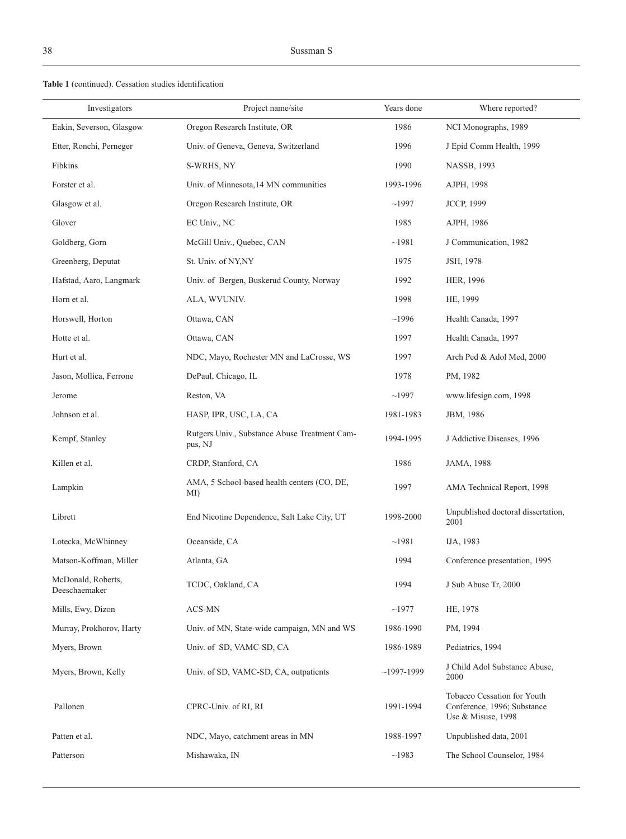| Investigators                       | Project name/site                                        | Years done     | Where reported?                                                                  |
|-------------------------------------|----------------------------------------------------------|----------------|----------------------------------------------------------------------------------|
| Eakin, Severson, Glasgow            | Oregon Research Institute, OR                            | 1986           | NCI Monographs, 1989                                                             |
| Etter, Ronchi, Perneger             | Univ. of Geneva, Geneva, Switzerland                     | 1996           | J Epid Comm Health, 1999                                                         |
| Fibkins                             | S-WRHS, NY                                               | 1990           | <b>NASSB, 1993</b>                                                               |
| Forster et al.                      | Univ. of Minnesota, 14 MN communities                    | 1993-1996      | AJPH, 1998                                                                       |
| Glasgow et al.                      | Oregon Research Institute, OR                            | ~1997          | <b>JCCP, 1999</b>                                                                |
| Glover                              | EC Univ., NC                                             | 1985           | AJPH, 1986                                                                       |
| Goldberg, Gorn                      | McGill Univ., Ouebec, CAN                                | ~1981          | J Communication, 1982                                                            |
| Greenberg, Deputat                  | St. Univ. of NY, NY                                      | 1975           | JSH, 1978                                                                        |
| Hafstad, Aaro, Langmark             | Univ. of Bergen, Buskerud County, Norway                 | 1992           | HER, 1996                                                                        |
| Horn et al.                         | ALA, WVUNIV.                                             | 1998           | HE, 1999                                                                         |
| Horswell, Horton                    | Ottawa, CAN                                              | ~1996          | Health Canada, 1997                                                              |
| Hotte et al.                        | Ottawa, CAN                                              | 1997           | Health Canada, 1997                                                              |
| Hurt et al.                         | NDC, Mayo, Rochester MN and LaCrosse, WS                 | 1997           | Arch Ped & Adol Med, 2000                                                        |
| Jason, Mollica, Ferrone             | DePaul, Chicago, IL                                      | 1978           | PM, 1982                                                                         |
| Jerome                              | Reston, VA                                               | ~1997          | www.lifesign.com, 1998                                                           |
| Johnson et al.                      | HASP, IPR, USC, LA, CA                                   | 1981-1983      | JBM, 1986                                                                        |
| Kempf, Stanley                      | Rutgers Univ., Substance Abuse Treatment Cam-<br>pus, NJ | 1994-1995      | J Addictive Diseases, 1996                                                       |
| Killen et al.                       | CRDP, Stanford, CA                                       | 1986           | JAMA, 1988                                                                       |
| Lampkin                             | AMA, 5 School-based health centers (CO, DE,<br>MI)       | 1997           | AMA Technical Report, 1998                                                       |
| Librett                             | End Nicotine Dependence, Salt Lake City, UT              | 1998-2000      | Unpublished doctoral dissertation,<br>2001                                       |
| Lotecka, McWhinney                  | Oceanside, CA                                            | ~1981          | IJA, 1983                                                                        |
| Matson-Koffman, Miller              | Atlanta, GA                                              | 1994           | Conference presentation, 1995                                                    |
| McDonald, Roberts,<br>Deeschaemaker | TCDC, Oakland, CA                                        | 1994           | J Sub Abuse Tr, 2000                                                             |
| Mills, Ewy, Dizon                   | ACS-MN                                                   | ~1977          | HE, 1978                                                                         |
| Murray, Prokhorov, Harty            | Univ. of MN, State-wide campaign, MN and WS              | 1986-1990      | PM, 1994                                                                         |
| Myers, Brown                        | Univ. of SD, VAMC-SD, CA                                 | 1986-1989      | Pediatrics, 1994                                                                 |
| Myers, Brown, Kelly                 | Univ. of SD, VAMC-SD, CA, outpatients                    | $~1997 - 1999$ | J Child Adol Substance Abuse,<br>2000                                            |
| Pallonen                            | CPRC-Univ. of RI, RI                                     | 1991-1994      | Tobacco Cessation for Youth<br>Conference, 1996; Substance<br>Use & Misuse, 1998 |
| Patten et al.                       | NDC, Mayo, catchment areas in MN                         | 1988-1997      | Unpublished data, 2001                                                           |
| Patterson                           | Mishawaka, IN                                            | ~1983          | The School Counselor, 1984                                                       |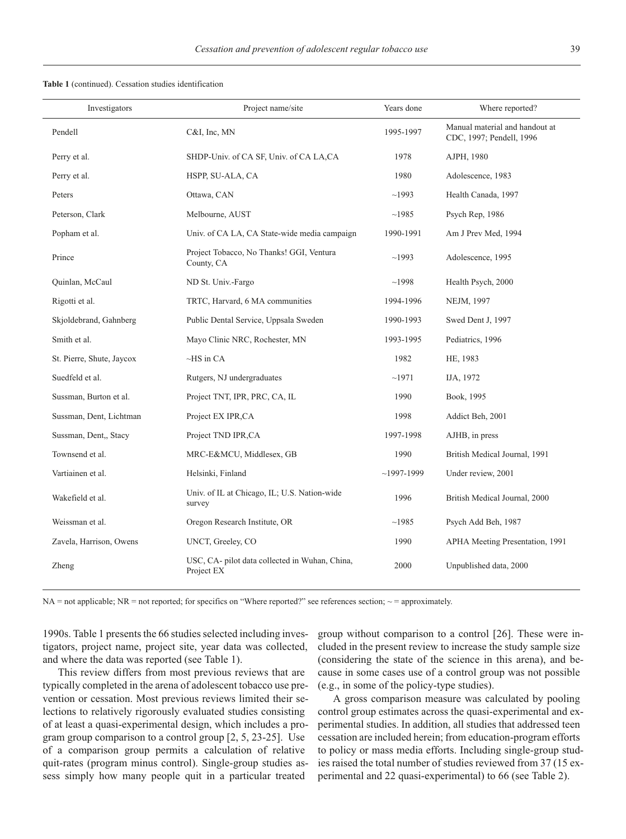| Investigators             | Project name/site                                            | Years done     | Where reported?                                            |
|---------------------------|--------------------------------------------------------------|----------------|------------------------------------------------------------|
| Pendell                   | C&I, Inc, MN                                                 | 1995-1997      | Manual material and handout at<br>CDC, 1997; Pendell, 1996 |
| Perry et al.              | SHDP-Univ. of CA SF, Univ. of CA LA, CA                      | 1978           | AJPH, 1980                                                 |
| Perry et al.              | HSPP, SU-ALA, CA                                             | 1980           | Adolescence, 1983                                          |
| Peters                    | Ottawa, CAN                                                  | ~1993          | Health Canada, 1997                                        |
| Peterson, Clark           | Melbourne, AUST                                              | ~1985          | Psych Rep, 1986                                            |
| Popham et al.             | Univ. of CA LA, CA State-wide media campaign                 | 1990-1991      | Am J Prev Med, 1994                                        |
| Prince                    | Project Tobacco, No Thanks! GGI, Ventura<br>County, CA       | ~1993          | Adolescence, 1995                                          |
| Quinlan, McCaul           | ND St. Univ.-Fargo                                           | ~1998          | Health Psych, 2000                                         |
| Rigotti et al.            | TRTC, Harvard, 6 MA communities                              | 1994-1996      | NEJM, 1997                                                 |
| Skjoldebrand, Gahnberg    | Public Dental Service, Uppsala Sweden                        | 1990-1993      | Swed Dent J, 1997                                          |
| Smith et al.              | Mayo Clinic NRC, Rochester, MN                               | 1993-1995      | Pediatrics, 1996                                           |
| St. Pierre, Shute, Jaycox | $\sim$ HS in CA                                              | 1982           | HE, 1983                                                   |
| Suedfeld et al.           | Rutgers, NJ undergraduates                                   | ~1971          | IJA, 1972                                                  |
| Sussman, Burton et al.    | Project TNT, IPR, PRC, CA, IL                                | 1990           | Book, 1995                                                 |
| Sussman, Dent, Lichtman   | Project EX IPR, CA                                           | 1998           | Addict Beh, 2001                                           |
| Sussman, Dent., Stacy     | Project TND IPR, CA                                          | 1997-1998      | AJHB, in press                                             |
| Townsend et al.           | MRC-E&MCU, Middlesex, GB                                     | 1990           | British Medical Journal, 1991                              |
| Vartiainen et al.         | Helsinki, Finland                                            | $~1997 - 1999$ | Under review, 2001                                         |
| Wakefield et al.          | Univ. of IL at Chicago, IL; U.S. Nation-wide<br>survey       | 1996           | British Medical Journal, 2000                              |
| Weissman et al.           | Oregon Research Institute, OR                                | ~1985          | Psych Add Beh, 1987                                        |
| Zavela, Harrison, Owens   | UNCT, Greeley, CO                                            | 1990           | <b>APHA Meeting Presentation, 1991</b>                     |
| Zheng                     | USC, CA- pilot data collected in Wuhan, China,<br>Project EX | 2000           | Unpublished data, 2000                                     |

 $NA = not applicable; NR = not reported; for specifies on "Where reported?" see references section;  $\sim$  = approximately.$ 

1990s. Table 1 presents the 66 studies selected including investigators, project name, project site, year data was collected, and where the data was reported (see Table 1).

This review differs from most previous reviews that are typically completed in the arena of adolescent tobacco use prevention or cessation. Most previous reviews limited their selections to relatively rigorously evaluated studies consisting of at least a quasi-experimental design, which includes a program group comparison to a control group [2, 5, 23-25]. Use of a comparison group permits a calculation of relative quit-rates (program minus control). Single-group studies assess simply how many people quit in a particular treated

group without comparison to a control [26]. These were included in the present review to increase the study sample size (considering the state of the science in this arena), and because in some cases use of a control group was not possible (e.g., in some of the policy-type studies).

A gross comparison measure was calculated by pooling control group estimates across the quasi-experimental and experimental studies. In addition, all studies that addressed teen cessation are included herein; from education-program efforts to policy or mass media efforts. Including single-group studies raised the total number of studies reviewed from 37 (15 experimental and 22 quasi-experimental) to 66 (see Table 2).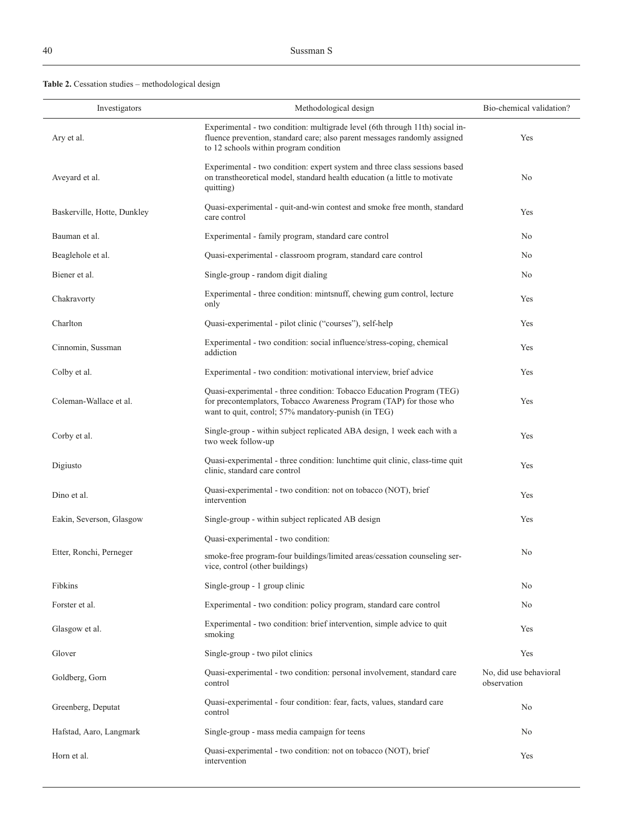|  |  |  |  | Table 2. Cessation studies - methodological design |  |
|--|--|--|--|----------------------------------------------------|--|
|--|--|--|--|----------------------------------------------------|--|

| Investigators               | Methodological design                                                                                                                                                                                | Bio-chemical validation?              |
|-----------------------------|------------------------------------------------------------------------------------------------------------------------------------------------------------------------------------------------------|---------------------------------------|
| Ary et al.                  | Experimental - two condition: multigrade level (6th through 11th) social in-<br>fluence prevention, standard care; also parent messages randomly assigned<br>to 12 schools within program condition  | Yes                                   |
| Aveyard et al.              | Experimental - two condition: expert system and three class sessions based<br>on transtheoretical model, standard health education (a little to motivate<br>quitting)                                | No                                    |
| Baskerville, Hotte, Dunkley | Quasi-experimental - quit-and-win contest and smoke free month, standard<br>care control                                                                                                             | Yes                                   |
| Bauman et al.               | Experimental - family program, standard care control                                                                                                                                                 | No                                    |
| Beaglehole et al.           | Quasi-experimental - classroom program, standard care control                                                                                                                                        | No                                    |
| Biener et al.               | Single-group - random digit dialing                                                                                                                                                                  | No                                    |
| Chakravorty                 | Experimental - three condition: mintsnuff, chewing gum control, lecture<br>only                                                                                                                      | Yes                                   |
| Charlton                    | Quasi-experimental - pilot clinic ("courses"), self-help                                                                                                                                             | Yes                                   |
| Cinnomin, Sussman           | Experimental - two condition: social influence/stress-coping, chemical<br>addiction                                                                                                                  | Yes                                   |
| Colby et al.                | Experimental - two condition: motivational interview, brief advice                                                                                                                                   | Yes                                   |
| Coleman-Wallace et al.      | Quasi-experimental - three condition: Tobacco Education Program (TEG)<br>for precontemplators, Tobacco Awareness Program (TAP) for those who<br>want to quit, control; 57% mandatory-punish (in TEG) | Yes                                   |
| Corby et al.                | Single-group - within subject replicated ABA design, 1 week each with a<br>two week follow-up                                                                                                        | Yes                                   |
| Digiusto                    | Quasi-experimental - three condition: lunchtime quit clinic, class-time quit<br>clinic, standard care control                                                                                        | Yes                                   |
| Dino et al.                 | Quasi-experimental - two condition: not on tobacco (NOT), brief<br>intervention                                                                                                                      | Yes                                   |
| Eakin, Severson, Glasgow    | Single-group - within subject replicated AB design                                                                                                                                                   | Yes                                   |
|                             | Quasi-experimental - two condition:                                                                                                                                                                  |                                       |
| Etter, Ronchi, Perneger     | smoke-free program-four buildings/limited areas/cessation counseling ser-<br>vice, control (other buildings)                                                                                         | No                                    |
| Fibkins                     | Single-group - 1 group clinic                                                                                                                                                                        | No                                    |
| Forster et al.              | Experimental - two condition: policy program, standard care control                                                                                                                                  | No                                    |
| Glasgow et al.              | Experimental - two condition: brief intervention, simple advice to quit<br>smoking                                                                                                                   | Yes                                   |
| Glover                      | Single-group - two pilot clinics                                                                                                                                                                     | Yes                                   |
| Goldberg, Gorn              | Quasi-experimental - two condition: personal involvement, standard care<br>control                                                                                                                   | No, did use behavioral<br>observation |
| Greenberg, Deputat          | Quasi-experimental - four condition: fear, facts, values, standard care<br>control                                                                                                                   | No                                    |
| Hafstad, Aaro, Langmark     | Single-group - mass media campaign for teens                                                                                                                                                         | No                                    |
| Horn et al.                 | Quasi-experimental - two condition: not on tobacco (NOT), brief<br>intervention                                                                                                                      | Yes                                   |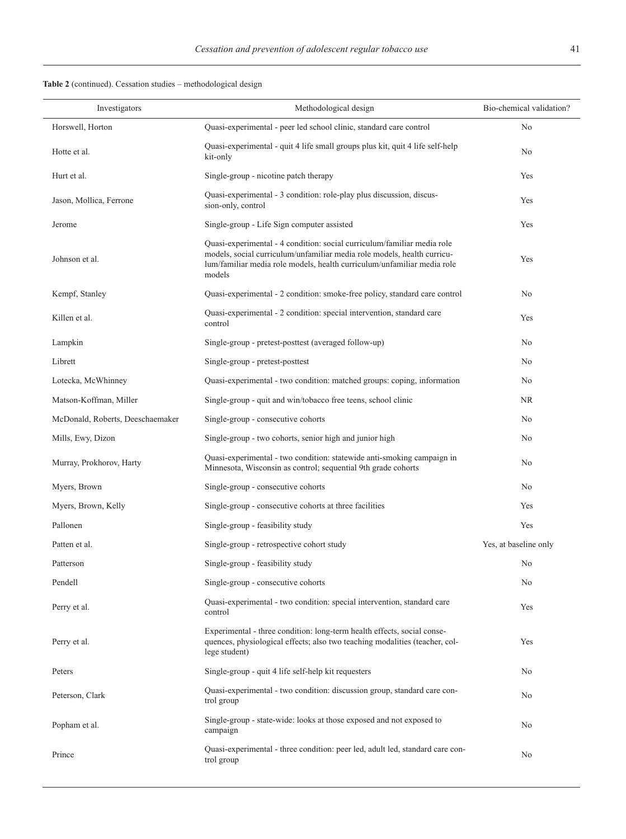# **Table 2** (continued). Cessation studies – methodological design

| Investigators                    | Methodological design                                                                                                                                                                                                                   | Bio-chemical validation? |
|----------------------------------|-----------------------------------------------------------------------------------------------------------------------------------------------------------------------------------------------------------------------------------------|--------------------------|
| Horswell, Horton                 | Quasi-experimental - peer led school clinic, standard care control                                                                                                                                                                      | No                       |
| Hotte et al.                     | Quasi-experimental - quit 4 life small groups plus kit, quit 4 life self-help<br>kit-only                                                                                                                                               | No                       |
| Hurt et al.                      | Single-group - nicotine patch therapy                                                                                                                                                                                                   | Yes                      |
| Jason, Mollica, Ferrone          | Quasi-experimental - 3 condition: role-play plus discussion, discus-<br>sion-only, control                                                                                                                                              | Yes                      |
| Jerome                           | Single-group - Life Sign computer assisted                                                                                                                                                                                              | Yes                      |
| Johnson et al.                   | Quasi-experimental - 4 condition: social curriculum/familiar media role<br>models, social curriculum/unfamiliar media role models, health curricu-<br>lum/familiar media role models, health curriculum/unfamiliar media role<br>models | Yes                      |
| Kempf, Stanley                   | Quasi-experimental - 2 condition: smoke-free policy, standard care control                                                                                                                                                              | No                       |
| Killen et al.                    | Quasi-experimental - 2 condition: special intervention, standard care<br>control                                                                                                                                                        | Yes                      |
| Lampkin                          | Single-group - pretest-posttest (averaged follow-up)                                                                                                                                                                                    | No                       |
| Librett                          | Single-group - pretest-posttest                                                                                                                                                                                                         | No                       |
| Lotecka, McWhinney               | Quasi-experimental - two condition: matched groups: coping, information                                                                                                                                                                 | No                       |
| Matson-Koffman, Miller           | Single-group - quit and win/tobacco free teens, school clinic                                                                                                                                                                           | <b>NR</b>                |
| McDonald, Roberts, Deeschaemaker | Single-group - consecutive cohorts                                                                                                                                                                                                      | No                       |
| Mills, Ewy, Dizon                | Single-group - two cohorts, senior high and junior high                                                                                                                                                                                 | No                       |
| Murray, Prokhorov, Harty         | Quasi-experimental - two condition: statewide anti-smoking campaign in<br>Minnesota, Wisconsin as control; sequential 9th grade cohorts                                                                                                 | No                       |
| Myers, Brown                     | Single-group - consecutive cohorts                                                                                                                                                                                                      | No                       |
| Myers, Brown, Kelly              | Single-group - consecutive cohorts at three facilities                                                                                                                                                                                  | Yes                      |
| Pallonen                         | Single-group - feasibility study                                                                                                                                                                                                        | Yes                      |
| Patten et al.                    | Single-group - retrospective cohort study                                                                                                                                                                                               | Yes, at baseline only    |
| Patterson                        | Single-group - feasibility study                                                                                                                                                                                                        | No                       |
| Pendell                          | Single-group - consecutive cohorts                                                                                                                                                                                                      | No                       |
| Perry et al.                     | Quasi-experimental - two condition: special intervention, standard care<br>control                                                                                                                                                      | Yes                      |
| Perry et al.                     | Experimental - three condition: long-term health effects, social conse-<br>quences, physiological effects; also two teaching modalities (teacher, col-<br>lege student)                                                                 | Yes                      |
| Peters                           | Single-group - quit 4 life self-help kit requesters                                                                                                                                                                                     | No                       |
| Peterson, Clark                  | Quasi-experimental - two condition: discussion group, standard care con-<br>trol group                                                                                                                                                  | No                       |
| Popham et al.                    | Single-group - state-wide: looks at those exposed and not exposed to<br>campaign                                                                                                                                                        | No                       |
| Prince                           | Quasi-experimental - three condition: peer led, adult led, standard care con-<br>trol group                                                                                                                                             | No                       |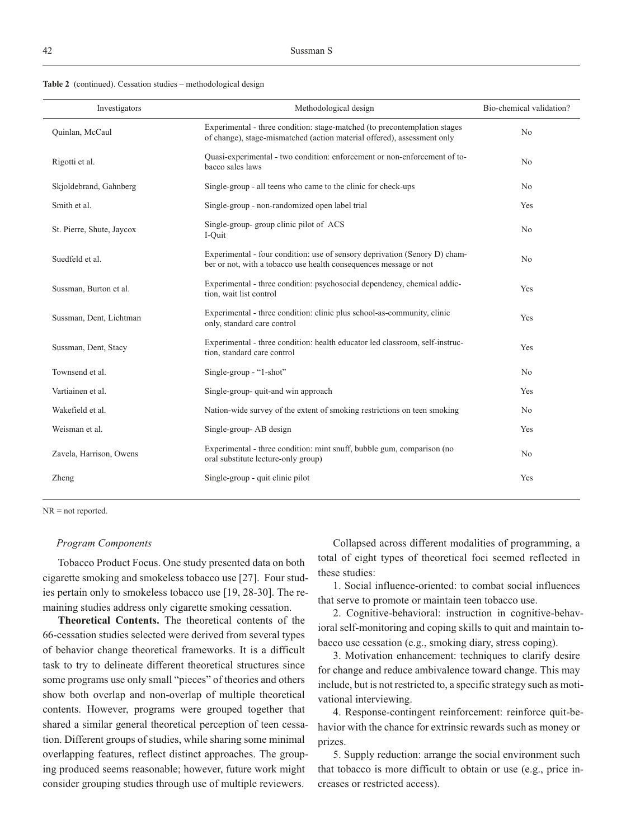|  |  |  |  | Table 2 (continued). Cessation studies – methodological design |  |
|--|--|--|--|----------------------------------------------------------------|--|
|--|--|--|--|----------------------------------------------------------------|--|

| Investigators             | Methodological design                                                                                                                                | Bio-chemical validation? |
|---------------------------|------------------------------------------------------------------------------------------------------------------------------------------------------|--------------------------|
| Quinlan, McCaul           | Experimental - three condition: stage-matched (to precontemplation stages<br>of change), stage-mismatched (action material offered), assessment only | N <sub>0</sub>           |
| Rigotti et al.            | Quasi-experimental - two condition: enforcement or non-enforcement of to-<br>bacco sales laws                                                        | No                       |
| Skjoldebrand, Gahnberg    | Single-group - all teens who came to the clinic for check-ups                                                                                        | N <sub>0</sub>           |
| Smith et al.              | Single-group - non-randomized open label trial                                                                                                       | Yes                      |
| St. Pierre, Shute, Jaycox | Single-group-group clinic pilot of ACS<br>I-Quit                                                                                                     | N <sub>0</sub>           |
| Suedfeld et al.           | Experimental - four condition: use of sensory deprivation (Senory D) cham-<br>ber or not, with a tobacco use health consequences message or not      | No                       |
| Sussman, Burton et al.    | Experimental - three condition: psychosocial dependency, chemical addic-<br>tion, wait list control                                                  | Yes                      |
| Sussman, Dent, Lichtman   | Experimental - three condition: clinic plus school-as-community, clinic<br>only, standard care control                                               | Yes                      |
| Sussman, Dent, Stacy      | Experimental - three condition: health educator led classroom, self-instruc-<br>tion, standard care control                                          | Yes                      |
| Townsend et al.           | Single-group - "1-shot"                                                                                                                              | N0                       |
| Vartiainen et al.         | Single-group- quit-and win approach                                                                                                                  | Yes                      |
| Wakefield et al.          | Nation-wide survey of the extent of smoking restrictions on teen smoking                                                                             | No                       |
| Weisman et al.            | Single-group-AB design                                                                                                                               | Yes                      |
| Zavela, Harrison, Owens   | Experimental - three condition: mint snuff, bubble gum, comparison (no<br>oral substitute lecture-only group)                                        | No                       |
| Zheng                     | Single-group - quit clinic pilot                                                                                                                     | Yes                      |

NR = not reported.

### *Program Components*

Tobacco Product Focus. One study presented data on both cigarette smoking and smokeless tobacco use [27]. Four studies pertain only to smokeless tobacco use [19, 28-30]. The remaining studies address only cigarette smoking cessation.

**Theoretical Contents.** The theoretical contents of the 66-cessation studies selected were derived from several types of behavior change theoretical frameworks. It is a difficult task to try to delineate different theoretical structures since some programs use only small "pieces" of theories and others show both overlap and non-overlap of multiple theoretical contents. However, programs were grouped together that shared a similar general theoretical perception of teen cessation. Different groups of studies, while sharing some minimal overlapping features, reflect distinct approaches. The grouping produced seems reasonable; however, future work might consider grouping studies through use of multiple reviewers.

Collapsed across different modalities of programming, a total of eight types of theoretical foci seemed reflected in these studies:

1. Social influence-oriented: to combat social influences that serve to promote or maintain teen tobacco use.

2. Cognitive-behavioral: instruction in cognitive-behavioral self-monitoring and coping skills to quit and maintain tobacco use cessation (e.g., smoking diary, stress coping).

3. Motivation enhancement: techniques to clarify desire for change and reduce ambivalence toward change. This may include, but is not restricted to, a specific strategy such as motivational interviewing.

4. Response-contingent reinforcement: reinforce quit-behavior with the chance for extrinsic rewards such as money or prizes.

5. Supply reduction: arrange the social environment such that tobacco is more difficult to obtain or use (e.g., price increases or restricted access).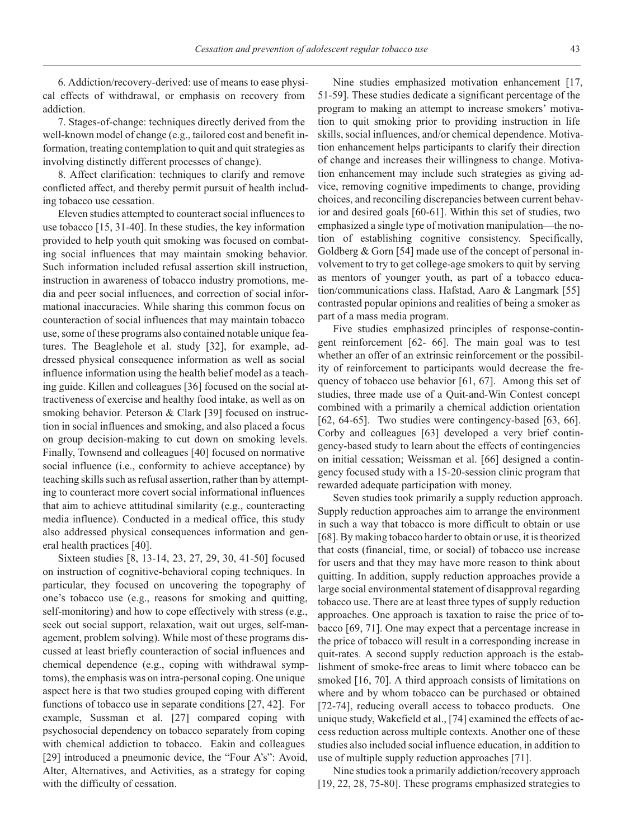6. Addiction/recovery-derived: use of means to ease physical effects of withdrawal, or emphasis on recovery from addiction.

7. Stages-of-change: techniques directly derived from the well-known model of change (e.g., tailored cost and benefit information, treating contemplation to quit and quit strategies as involving distinctly different processes of change).

8. Affect clarification: techniques to clarify and remove conflicted affect, and thereby permit pursuit of health including tobacco use cessation.

Eleven studies attempted to counteract social influences to use tobacco [15, 31-40]. In these studies, the key information provided to help youth quit smoking was focused on combating social influences that may maintain smoking behavior. Such information included refusal assertion skill instruction, instruction in awareness of tobacco industry promotions, media and peer social influences, and correction of social informational inaccuracies. While sharing this common focus on counteraction of social influences that may maintain tobacco use, some of these programs also contained notable unique features. The Beaglehole et al. study [32], for example, addressed physical consequence information as well as social influence information using the health belief model as a teaching guide. Killen and colleagues [36] focused on the social attractiveness of exercise and healthy food intake, as well as on smoking behavior. Peterson & Clark [39] focused on instruction in social influences and smoking, and also placed a focus on group decision-making to cut down on smoking levels. Finally, Townsend and colleagues [40] focused on normative social influence (i.e., conformity to achieve acceptance) by teaching skills such as refusal assertion, rather than by attempting to counteract more covert social informational influences that aim to achieve attitudinal similarity (e.g., counteracting media influence). Conducted in a medical office, this study also addressed physical consequences information and general health practices [40].

Sixteen studies [8, 13-14, 23, 27, 29, 30, 41-50] focused on instruction of cognitive-behavioral coping techniques. In particular, they focused on uncovering the topography of one's tobacco use (e.g., reasons for smoking and quitting, self-monitoring) and how to cope effectively with stress (e.g., seek out social support, relaxation, wait out urges, self-management, problem solving). While most of these programs discussed at least briefly counteraction of social influences and chemical dependence (e.g., coping with withdrawal symptoms), the emphasis was on intra-personal coping. One unique aspect here is that two studies grouped coping with different functions of tobacco use in separate conditions [27, 42]. For example, Sussman et al. [27] compared coping with psychosocial dependency on tobacco separately from coping with chemical addiction to tobacco. Eakin and colleagues [29] introduced a pneumonic device, the "Four A's": Avoid, Alter, Alternatives, and Activities, as a strategy for coping with the difficulty of cessation.

Nine studies emphasized motivation enhancement [17, 51-59]. These studies dedicate a significant percentage of the program to making an attempt to increase smokers' motivation to quit smoking prior to providing instruction in life skills, social influences, and/or chemical dependence. Motivation enhancement helps participants to clarify their direction of change and increases their willingness to change. Motivation enhancement may include such strategies as giving advice, removing cognitive impediments to change, providing choices, and reconciling discrepancies between current behavior and desired goals [60-61]. Within this set of studies, two emphasized a single type of motivation manipulation—the notion of establishing cognitive consistency. Specifically, Goldberg & Gorn [54] made use of the concept of personal involvement to try to get college-age smokers to quit by serving as mentors of younger youth, as part of a tobacco education/communications class. Hafstad, Aaro & Langmark [55] contrasted popular opinions and realities of being a smoker as part of a mass media program.

Five studies emphasized principles of response-contingent reinforcement [62- 66]. The main goal was to test whether an offer of an extrinsic reinforcement or the possibility of reinforcement to participants would decrease the frequency of tobacco use behavior [61, 67]. Among this set of studies, three made use of a Quit-and-Win Contest concept combined with a primarily a chemical addiction orientation [62, 64-65]. Two studies were contingency-based [63, 66]. Corby and colleagues [63] developed a very brief contingency-based study to learn about the effects of contingencies on initial cessation; Weissman et al. [66] designed a contingency focused study with a 15-20-session clinic program that rewarded adequate participation with money.

Seven studies took primarily a supply reduction approach. Supply reduction approaches aim to arrange the environment in such a way that tobacco is more difficult to obtain or use [68]. By making tobacco harder to obtain or use, it is theorized that costs (financial, time, or social) of tobacco use increase for users and that they may have more reason to think about quitting. In addition, supply reduction approaches provide a large social environmental statement of disapproval regarding tobacco use. There are at least three types of supply reduction approaches. One approach is taxation to raise the price of tobacco [69, 71]. One may expect that a percentage increase in the price of tobacco will result in a corresponding increase in quit-rates. A second supply reduction approach is the establishment of smoke-free areas to limit where tobacco can be smoked [16, 70]. A third approach consists of limitations on where and by whom tobacco can be purchased or obtained [72-74], reducing overall access to tobacco products. One unique study, Wakefield et al., [74] examined the effects of access reduction across multiple contexts. Another one of these studies also included social influence education, in addition to use of multiple supply reduction approaches [71].

Nine studies took a primarily addiction/recovery approach [19, 22, 28, 75-80]. These programs emphasized strategies to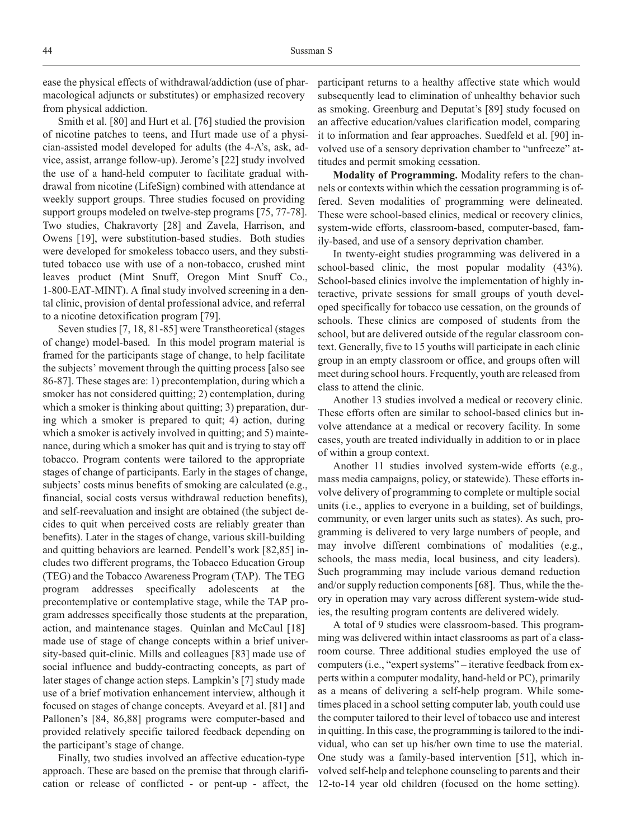ease the physical effects of withdrawal/addiction (use of pharmacological adjuncts or substitutes) or emphasized recovery from physical addiction.

Smith et al. [80] and Hurt et al. [76] studied the provision of nicotine patches to teens, and Hurt made use of a physician-assisted model developed for adults (the 4-A's, ask, advice, assist, arrange follow-up). Jerome's [22] study involved the use of a hand-held computer to facilitate gradual withdrawal from nicotine (LifeSign) combined with attendance at weekly support groups. Three studies focused on providing support groups modeled on twelve-step programs [75, 77-78]. Two studies, Chakravorty [28] and Zavela, Harrison, and Owens [19], were substitution-based studies. Both studies were developed for smokeless tobacco users, and they substituted tobacco use with use of a non-tobacco, crushed mint leaves product (Mint Snuff, Oregon Mint Snuff Co., 1-800-EAT-MINT). A final study involved screening in a dental clinic, provision of dental professional advice, and referral to a nicotine detoxification program [79].

Seven studies [7, 18, 81-85] were Transtheoretical (stages of change) model-based. In this model program material is framed for the participants stage of change, to help facilitate the subjects' movement through the quitting process [also see 86-87]. These stages are: 1) precontemplation, during which a smoker has not considered quitting; 2) contemplation, during which a smoker is thinking about quitting; 3) preparation, during which a smoker is prepared to quit; 4) action, during which a smoker is actively involved in quitting; and 5) maintenance, during which a smoker has quit and is trying to stay off tobacco. Program contents were tailored to the appropriate stages of change of participants. Early in the stages of change, subjects' costs minus benefits of smoking are calculated (e.g., financial, social costs versus withdrawal reduction benefits), and self-reevaluation and insight are obtained (the subject decides to quit when perceived costs are reliably greater than benefits). Later in the stages of change, various skill-building and quitting behaviors are learned. Pendell's work [82,85] includes two different programs, the Tobacco Education Group (TEG) and the Tobacco Awareness Program (TAP). The TEG program addresses specifically adolescents at the precontemplative or contemplative stage, while the TAP program addresses specifically those students at the preparation, action, and maintenance stages. Quinlan and McCaul [18] made use of stage of change concepts within a brief university-based quit-clinic. Mills and colleagues [83] made use of social influence and buddy-contracting concepts, as part of later stages of change action steps. Lampkin's [7] study made use of a brief motivation enhancement interview, although it focused on stages of change concepts. Aveyard et al. [81] and Pallonen's [84, 86,88] programs were computer-based and provided relatively specific tailored feedback depending on the participant's stage of change.

Finally, two studies involved an affective education-type approach. These are based on the premise that through clarification or release of conflicted - or pent-up - affect, the participant returns to a healthy affective state which would subsequently lead to elimination of unhealthy behavior such as smoking. Greenburg and Deputat's [89] study focused on an affective education/values clarification model, comparing it to information and fear approaches. Suedfeld et al. [90] involved use of a sensory deprivation chamber to "unfreeze" attitudes and permit smoking cessation.

**Modality of Programming.** Modality refers to the channels or contexts within which the cessation programming is offered. Seven modalities of programming were delineated. These were school-based clinics, medical or recovery clinics, system-wide efforts, classroom-based, computer-based, family-based, and use of a sensory deprivation chamber.

In twenty-eight studies programming was delivered in a school-based clinic, the most popular modality (43%). School-based clinics involve the implementation of highly interactive, private sessions for small groups of youth developed specifically for tobacco use cessation, on the grounds of schools. These clinics are composed of students from the school, but are delivered outside of the regular classroom context. Generally, five to 15 youths will participate in each clinic group in an empty classroom or office, and groups often will meet during school hours. Frequently, youth are released from class to attend the clinic.

Another 13 studies involved a medical or recovery clinic. These efforts often are similar to school-based clinics but involve attendance at a medical or recovery facility. In some cases, youth are treated individually in addition to or in place of within a group context.

Another 11 studies involved system-wide efforts (e.g., mass media campaigns, policy, or statewide). These efforts involve delivery of programming to complete or multiple social units (i.e., applies to everyone in a building, set of buildings, community, or even larger units such as states). As such, programming is delivered to very large numbers of people, and may involve different combinations of modalities (e.g., schools, the mass media, local business, and city leaders). Such programming may include various demand reduction and/or supply reduction components [68]. Thus, while the theory in operation may vary across different system-wide studies, the resulting program contents are delivered widely.

A total of 9 studies were classroom-based. This programming was delivered within intact classrooms as part of a classroom course. Three additional studies employed the use of computers (i.e., "expert systems" – iterative feedback from experts within a computer modality, hand-held or PC), primarily as a means of delivering a self-help program. While sometimes placed in a school setting computer lab, youth could use the computer tailored to their level of tobacco use and interest in quitting. In this case, the programming is tailored to the individual, who can set up his/her own time to use the material. One study was a family-based intervention [51], which involved self-help and telephone counseling to parents and their 12-to-14 year old children (focused on the home setting).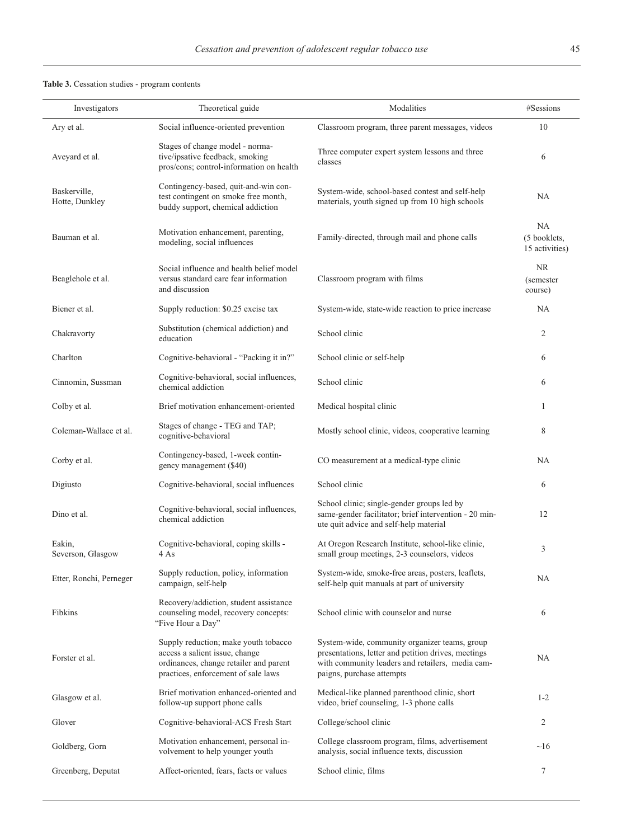# **Table 3.** Cessation studies - program contents

| Investigators                  | Theoretical guide                                                                                                                                       | Modalities                                                                                                                                                                            | #Sessions                            |
|--------------------------------|---------------------------------------------------------------------------------------------------------------------------------------------------------|---------------------------------------------------------------------------------------------------------------------------------------------------------------------------------------|--------------------------------------|
| Ary et al.                     | Social influence-oriented prevention                                                                                                                    | Classroom program, three parent messages, videos                                                                                                                                      | 10                                   |
| Aveyard et al.                 | Stages of change model - norma-<br>tive/ipsative feedback, smoking<br>pros/cons; control-information on health                                          | Three computer expert system lessons and three<br>classes                                                                                                                             | 6                                    |
| Baskerville,<br>Hotte, Dunkley | Contingency-based, quit-and-win con-<br>test contingent on smoke free month,<br>buddy support, chemical addiction                                       | System-wide, school-based contest and self-help<br>materials, youth signed up from 10 high schools                                                                                    | NA                                   |
| Bauman et al.                  | Motivation enhancement, parenting,<br>modeling, social influences                                                                                       | Family-directed, through mail and phone calls                                                                                                                                         | NA<br>(5 booklets,<br>15 activities) |
| Beaglehole et al.              | Social influence and health belief model<br>versus standard care fear information<br>and discussion                                                     | Classroom program with films                                                                                                                                                          | <b>NR</b><br>(semester)<br>course)   |
| Biener et al.                  | Supply reduction: \$0.25 excise tax                                                                                                                     | System-wide, state-wide reaction to price increase                                                                                                                                    | NA                                   |
| Chakravorty                    | Substitution (chemical addiction) and<br>education                                                                                                      | School clinic                                                                                                                                                                         | $\mathfrak{2}$                       |
| Charlton                       | Cognitive-behavioral - "Packing it in?"                                                                                                                 | School clinic or self-help                                                                                                                                                            | 6                                    |
| Cinnomin, Sussman              | Cognitive-behavioral, social influences,<br>chemical addiction                                                                                          | School clinic                                                                                                                                                                         | 6                                    |
| Colby et al.                   | Brief motivation enhancement-oriented                                                                                                                   | Medical hospital clinic                                                                                                                                                               | $\mathbf{1}$                         |
| Coleman-Wallace et al.         | Stages of change - TEG and TAP;<br>cognitive-behavioral                                                                                                 | Mostly school clinic, videos, cooperative learning                                                                                                                                    | 8                                    |
| Corby et al.                   | Contingency-based, 1-week contin-<br>gency management (\$40)                                                                                            | CO measurement at a medical-type clinic                                                                                                                                               | NA                                   |
| Digiusto                       | Cognitive-behavioral, social influences                                                                                                                 | School clinic                                                                                                                                                                         | 6                                    |
| Dino et al.                    | Cognitive-behavioral, social influences,<br>chemical addiction                                                                                          | School clinic; single-gender groups led by<br>same-gender facilitator; brief intervention - 20 min-<br>ute quit advice and self-help material                                         | 12                                   |
| Eakin,<br>Severson, Glasgow    | Cognitive-behavioral, coping skills -<br>4 As                                                                                                           | At Oregon Research Institute, school-like clinic,<br>small group meetings, 2-3 counselors, videos                                                                                     | 3                                    |
| Etter, Ronchi, Perneger        | Supply reduction, policy, information<br>campaign, self-help                                                                                            | System-wide, smoke-free areas, posters, leaflets,<br>self-help quit manuals at part of university                                                                                     | NA                                   |
| Fibkins                        | Recovery/addiction, student assistance<br>counseling model, recovery concepts:<br>"Five Hour a Day"                                                     | School clinic with counselor and nurse                                                                                                                                                | 6                                    |
| Forster et al.                 | Supply reduction; make youth tobacco<br>access a salient issue, change<br>ordinances, change retailer and parent<br>practices, enforcement of sale laws | System-wide, community organizer teams, group<br>presentations, letter and petition drives, meetings<br>with community leaders and retailers, media cam-<br>paigns, purchase attempts | NA                                   |
| Glasgow et al.                 | Brief motivation enhanced-oriented and<br>follow-up support phone calls                                                                                 | Medical-like planned parenthood clinic, short<br>video, brief counseling, 1-3 phone calls                                                                                             | $1 - 2$                              |
| Glover                         | Cognitive-behavioral-ACS Fresh Start                                                                                                                    | College/school clinic                                                                                                                                                                 | 2                                    |
| Goldberg, Gorn                 | Motivation enhancement, personal in-<br>volvement to help younger youth                                                                                 | College classroom program, films, advertisement<br>analysis, social influence texts, discussion                                                                                       | $\sim$ 16                            |
| Greenberg, Deputat             | Affect-oriented, fears, facts or values                                                                                                                 | School clinic, films                                                                                                                                                                  | 7                                    |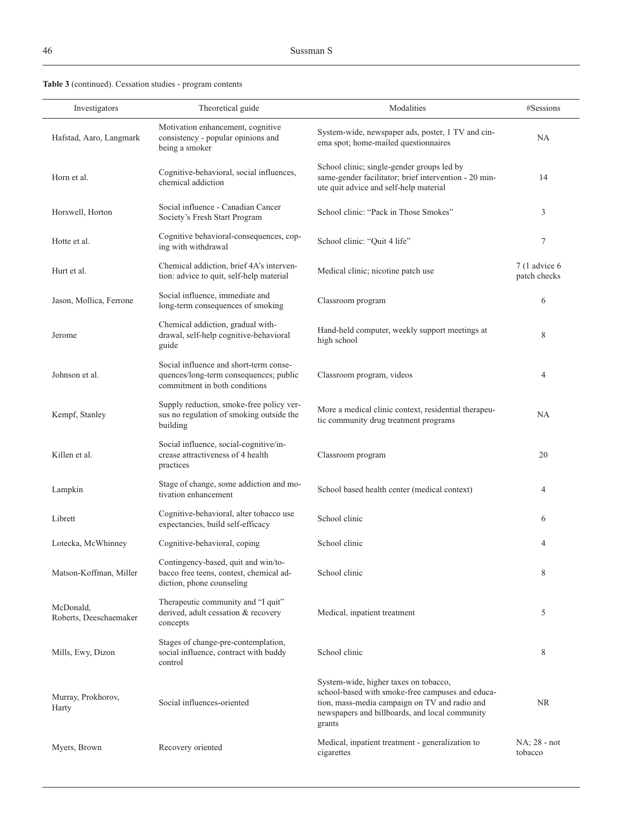| Investigators                       | Theoretical guide                                                                                                 | Modalities                                                                                                                                                                                             | #Sessions                       |
|-------------------------------------|-------------------------------------------------------------------------------------------------------------------|--------------------------------------------------------------------------------------------------------------------------------------------------------------------------------------------------------|---------------------------------|
| Hafstad, Aaro, Langmark             | Motivation enhancement, cognitive<br>consistency - popular opinions and<br>being a smoker                         | System-wide, newspaper ads, poster, 1 TV and cin-<br>ema spot; home-mailed questionnaires                                                                                                              | NA                              |
| Horn et al.                         | Cognitive-behavioral, social influences,<br>chemical addiction                                                    | School clinic; single-gender groups led by<br>same-gender facilitator; brief intervention - 20 min-<br>ute quit advice and self-help material                                                          | 14                              |
| Horswell, Horton                    | Social influence - Canadian Cancer<br>Society's Fresh Start Program                                               | School clinic: "Pack in Those Smokes"                                                                                                                                                                  | 3                               |
| Hotte et al.                        | Cognitive behavioral-consequences, cop-<br>ing with withdrawal                                                    | School clinic: "Ouit 4 life"                                                                                                                                                                           | $\tau$                          |
| Hurt et al.                         | Chemical addiction, brief 4A's interven-<br>tion: advice to quit, self-help material                              | Medical clinic; nicotine patch use                                                                                                                                                                     | $7(1)$ advice 6<br>patch checks |
| Jason, Mollica, Ferrone             | Social influence, immediate and<br>long-term consequences of smoking                                              | Classroom program                                                                                                                                                                                      | 6                               |
| Jerome                              | Chemical addiction, gradual with-<br>drawal, self-help cognitive-behavioral<br>guide                              | Hand-held computer, weekly support meetings at<br>high school                                                                                                                                          | 8                               |
| Johnson et al.                      | Social influence and short-term conse-<br>quences/long-term consequences; public<br>commitment in both conditions | Classroom program, videos                                                                                                                                                                              | $\overline{4}$                  |
| Kempf, Stanley                      | Supply reduction, smoke-free policy ver-<br>sus no regulation of smoking outside the<br>building                  | More a medical clinic context, residential therapeu-<br>tic community drug treatment programs                                                                                                          | NA                              |
| Killen et al.                       | Social influence, social-cognitive/in-<br>crease attractiveness of 4 health<br>practices                          | Classroom program                                                                                                                                                                                      | 20                              |
| Lampkin                             | Stage of change, some addiction and mo-<br>tivation enhancement                                                   | School based health center (medical context)                                                                                                                                                           | $\overline{4}$                  |
| Librett                             | Cognitive-behavioral, alter tobacco use<br>expectancies, build self-efficacy                                      | School clinic                                                                                                                                                                                          | 6                               |
| Lotecka, McWhinney                  | Cognitive-behavioral, coping                                                                                      | School clinic                                                                                                                                                                                          | $\overline{4}$                  |
| Matson-Koffman, Miller              | Contingency-based, quit and win/to-<br>bacco free teens, contest, chemical ad-<br>diction, phone counseling       | School clinic                                                                                                                                                                                          | 8                               |
| McDonald,<br>Roberts, Deeschaemaker | Therapeutic community and "I quit"<br>derived, adult cessation & recovery<br>concepts                             | Medical, inpatient treatment                                                                                                                                                                           | 5                               |
| Mills, Ewy, Dizon                   | Stages of change-pre-contemplation,<br>social influence, contract with buddy<br>control                           | School clinic                                                                                                                                                                                          | 8                               |
| Murray, Prokhorov,<br>Harty         | Social influences-oriented                                                                                        | System-wide, higher taxes on tobacco,<br>school-based with smoke-free campuses and educa-<br>tion, mass-media campaign on TV and radio and<br>newspapers and billboards, and local community<br>grants | <b>NR</b>                       |
| Myers, Brown                        | Recovery oriented                                                                                                 | Medical, inpatient treatment - generalization to<br>cigarettes                                                                                                                                         | NA; 28 - not<br>tobacco         |

**Table 3** (continued). Cessation studies - program contents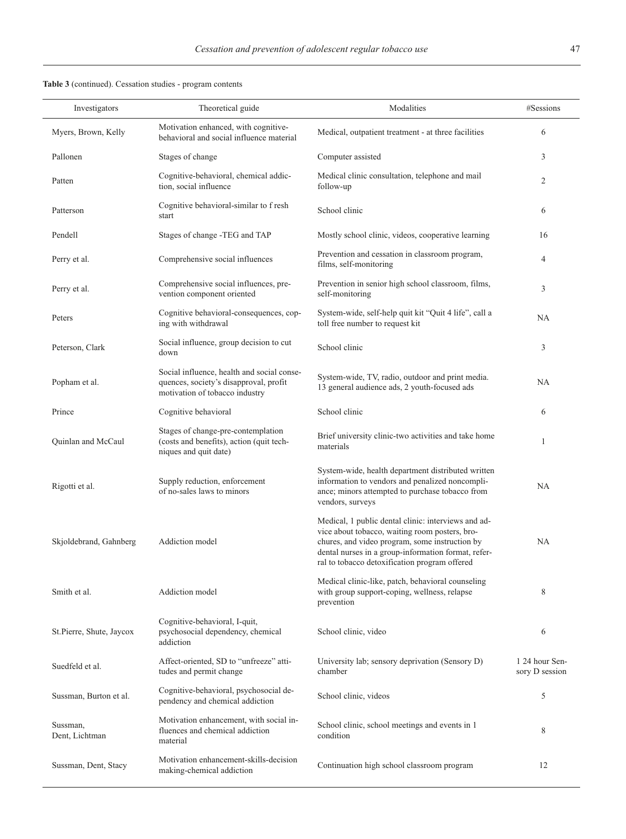|  |  | Table 3 (continued). Cessation studies - program contents |  |  |  |
|--|--|-----------------------------------------------------------|--|--|--|
|--|--|-----------------------------------------------------------|--|--|--|

| Investigators              | Theoretical guide                                                                                                      | Modalities                                                                                                                                                                                                                                                      | #Sessions                        |
|----------------------------|------------------------------------------------------------------------------------------------------------------------|-----------------------------------------------------------------------------------------------------------------------------------------------------------------------------------------------------------------------------------------------------------------|----------------------------------|
| Myers, Brown, Kelly        | Motivation enhanced, with cognitive-<br>behavioral and social influence material                                       | Medical, outpatient treatment - at three facilities                                                                                                                                                                                                             | 6                                |
| Pallonen                   | Stages of change                                                                                                       | Computer assisted                                                                                                                                                                                                                                               | 3                                |
| Patten                     | Cognitive-behavioral, chemical addic-<br>tion, social influence                                                        | Medical clinic consultation, telephone and mail<br>follow-up                                                                                                                                                                                                    | $\overline{c}$                   |
| Patterson                  | Cognitive behavioral-similar to f resh<br>start                                                                        | School clinic                                                                                                                                                                                                                                                   | 6                                |
| Pendell                    | Stages of change -TEG and TAP                                                                                          | Mostly school clinic, videos, cooperative learning                                                                                                                                                                                                              | 16                               |
| Perry et al.               | Comprehensive social influences                                                                                        | Prevention and cessation in classroom program,<br>films, self-monitoring                                                                                                                                                                                        | $\overline{4}$                   |
| Perry et al.               | Comprehensive social influences, pre-<br>vention component oriented                                                    | Prevention in senior high school classroom, films,<br>self-monitoring                                                                                                                                                                                           | 3                                |
| Peters                     | Cognitive behavioral-consequences, cop-<br>ing with withdrawal                                                         | System-wide, self-help quit kit "Quit 4 life", call a<br>toll free number to request kit                                                                                                                                                                        | NA                               |
| Peterson, Clark            | Social influence, group decision to cut<br>down                                                                        | School clinic                                                                                                                                                                                                                                                   | 3                                |
| Popham et al.              | Social influence, health and social conse-<br>quences, society's disapproval, profit<br>motivation of tobacco industry | System-wide, TV, radio, outdoor and print media.<br>13 general audience ads, 2 youth-focused ads                                                                                                                                                                | <b>NA</b>                        |
| Prince                     | Cognitive behavioral                                                                                                   | School clinic                                                                                                                                                                                                                                                   | 6                                |
| Quinlan and McCaul         | Stages of change-pre-contemplation<br>(costs and benefits), action (quit tech-<br>niques and quit date)                | Brief university clinic-two activities and take home<br>materials                                                                                                                                                                                               | 1                                |
| Rigotti et al.             | Supply reduction, enforcement<br>of no-sales laws to minors                                                            | System-wide, health department distributed written<br>information to vendors and penalized noncompli-<br>ance; minors attempted to purchase tobacco from<br>vendors, surveys                                                                                    | NA                               |
| Skjoldebrand, Gahnberg     | Addiction model                                                                                                        | Medical, 1 public dental clinic: interviews and ad-<br>vice about tobacco, waiting room posters, bro-<br>chures, and video program, some instruction by<br>dental nurses in a group-information format, refer-<br>ral to tobacco detoxification program offered | NA                               |
| Smith et al.               | Addiction model                                                                                                        | Medical clinic-like, patch, behavioral counseling<br>with group support-coping, wellness, relapse<br>prevention                                                                                                                                                 | 8                                |
| St.Pierre, Shute, Jaycox   | Cognitive-behavioral, I-quit,<br>psychosocial dependency, chemical<br>addiction                                        | School clinic, video                                                                                                                                                                                                                                            | 6                                |
| Suedfeld et al.            | Affect-oriented, SD to "unfreeze" atti-<br>tudes and permit change                                                     | University lab; sensory deprivation (Sensory D)<br>chamber                                                                                                                                                                                                      | 1 24 hour Sen-<br>sory D session |
| Sussman, Burton et al.     | Cognitive-behavioral, psychosocial de-<br>pendency and chemical addiction                                              | School clinic, videos                                                                                                                                                                                                                                           | 5                                |
| Sussman,<br>Dent, Lichtman | Motivation enhancement, with social in-<br>fluences and chemical addiction<br>material                                 | School clinic, school meetings and events in 1<br>condition                                                                                                                                                                                                     | 8                                |
| Sussman, Dent, Stacy       | Motivation enhancement-skills-decision<br>making-chemical addiction                                                    | Continuation high school classroom program                                                                                                                                                                                                                      | 12                               |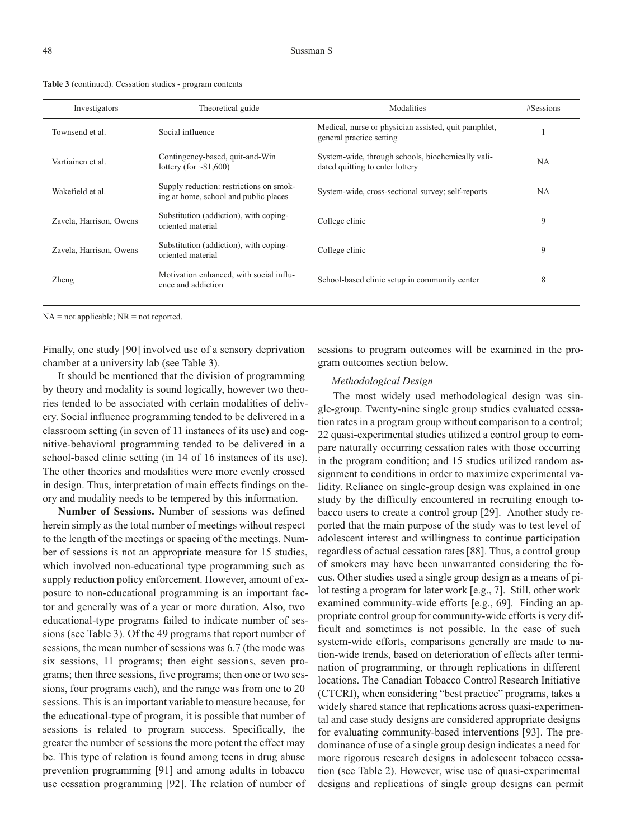| Investigators           | Theoretical guide                                                                | Modalities                                                                           | $#S$ essions |
|-------------------------|----------------------------------------------------------------------------------|--------------------------------------------------------------------------------------|--------------|
| Townsend et al.         | Social influence                                                                 | Medical, nurse or physician assisted, quit pamphlet,<br>general practice setting     |              |
| Vartiainen et al.       | Contingency-based, quit-and-Win<br>lottery (for $\sim 1,600$ )                   | System-wide, through schools, biochemically vali-<br>dated quitting to enter lottery | <b>NA</b>    |
| Wakefield et al.        | Supply reduction: restrictions on smok-<br>ing at home, school and public places | System-wide, cross-sectional survey; self-reports                                    | <b>NA</b>    |
| Zavela, Harrison, Owens | Substitution (addiction), with coping-<br>oriented material                      | College clinic                                                                       | 9            |
| Zavela, Harrison, Owens | Substitution (addiction), with coping-<br>oriented material                      | College clinic                                                                       | 9            |
| Zheng                   | Motivation enhanced, with social influ-<br>ence and addiction                    | School-based clinic setup in community center                                        | 8            |
|                         |                                                                                  |                                                                                      |              |

**Table 3** (continued). Cessation studies - program contents

NA = not applicable; NR = not reported.

Finally, one study [90] involved use of a sensory deprivation chamber at a university lab (see Table 3).

It should be mentioned that the division of programming by theory and modality is sound logically, however two theories tended to be associated with certain modalities of delivery. Social influence programming tended to be delivered in a classroom setting (in seven of 11 instances of its use) and cognitive-behavioral programming tended to be delivered in a school-based clinic setting (in 14 of 16 instances of its use). The other theories and modalities were more evenly crossed in design. Thus, interpretation of main effects findings on theory and modality needs to be tempered by this information.

**Number of Sessions.** Number of sessions was defined herein simply as the total number of meetings without respect to the length of the meetings or spacing of the meetings. Number of sessions is not an appropriate measure for 15 studies, which involved non-educational type programming such as supply reduction policy enforcement. However, amount of exposure to non-educational programming is an important factor and generally was of a year or more duration. Also, two educational-type programs failed to indicate number of sessions (see Table 3). Of the 49 programs that report number of sessions, the mean number of sessions was 6.7 (the mode was six sessions, 11 programs; then eight sessions, seven programs; then three sessions, five programs; then one or two sessions, four programs each), and the range was from one to 20 sessions. This is an important variable to measure because, for the educational-type of program, it is possible that number of sessions is related to program success. Specifically, the greater the number of sessions the more potent the effect may be. This type of relation is found among teens in drug abuse prevention programming [91] and among adults in tobacco use cessation programming [92]. The relation of number of

sessions to program outcomes will be examined in the program outcomes section below.

### *Methodological Design*

The most widely used methodological design was single-group. Twenty-nine single group studies evaluated cessation rates in a program group without comparison to a control; 22 quasi-experimental studies utilized a control group to compare naturally occurring cessation rates with those occurring in the program condition; and 15 studies utilized random assignment to conditions in order to maximize experimental validity. Reliance on single-group design was explained in one study by the difficulty encountered in recruiting enough tobacco users to create a control group [29]. Another study reported that the main purpose of the study was to test level of adolescent interest and willingness to continue participation regardless of actual cessation rates [88]. Thus, a control group of smokers may have been unwarranted considering the focus. Other studies used a single group design as a means of pilot testing a program for later work [e.g., 7]. Still, other work examined community-wide efforts [e.g., 69]. Finding an appropriate control group for community-wide efforts is very difficult and sometimes is not possible. In the case of such system-wide efforts, comparisons generally are made to nation-wide trends, based on deterioration of effects after termination of programming, or through replications in different locations. The Canadian Tobacco Control Research Initiative (CTCRI), when considering "best practice" programs, takes a widely shared stance that replications across quasi-experimental and case study designs are considered appropriate designs for evaluating community-based interventions [93]. The predominance of use of a single group design indicates a need for more rigorous research designs in adolescent tobacco cessation (see Table 2). However, wise use of quasi-experimental designs and replications of single group designs can permit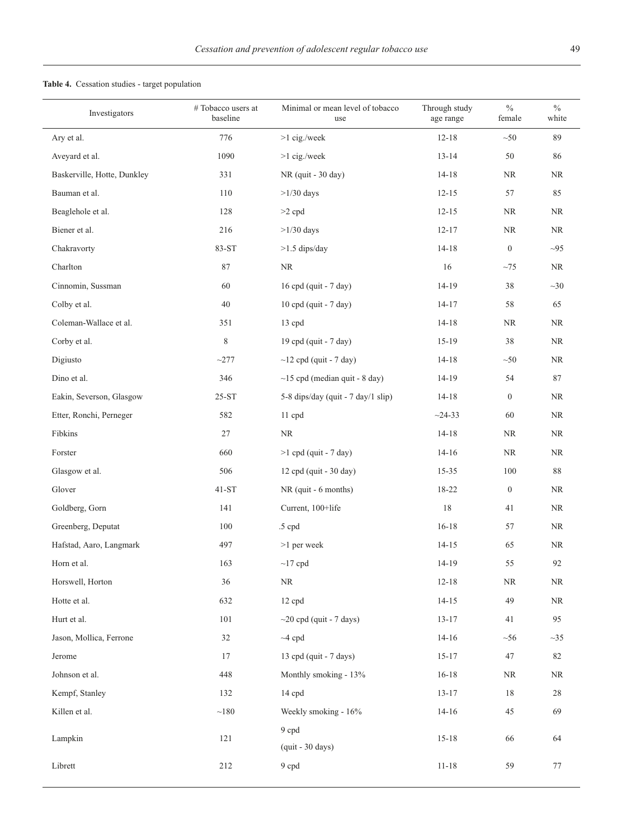# **Table 4.** Cessation studies - target population

| Ary et al.<br>776<br>Aveyard et al.<br>1090<br>Baskerville, Hotte, Dunkley<br>331<br>Bauman et al.<br>110<br>Beaglehole et al.<br>128<br>Biener et al.<br>216<br>Chakravorty<br>83-ST<br>Charlton<br>$87\,$<br>Cinnomin, Sussman<br>60<br>Colby et al.<br>40<br>Coleman-Wallace et al.<br>351 | >1 cig./week<br>$>1$ cig./week<br>NR (quit - 30 day)<br>$>1/30$ days<br>$>2$ cpd<br>$>1/30$ days<br>$>1.5$ dips/day<br>$\rm NR$<br>16 cpd (quit - 7 day)<br>10 cpd (quit - 7 day) | $12 - 18$<br>$13 - 14$<br>$14 - 18$<br>$12 - 15$<br>$12 - 15$<br>$12 - 17$<br>$14 - 18$<br>16<br>$14 - 19$<br>$14 - 17$ | ~50<br>50<br><b>NR</b><br>57<br><b>NR</b><br><b>NR</b><br>$\boldsymbol{0}$<br>$~10-75$<br>38 | 89<br>86<br>$\rm NR$<br>85<br>NR<br>NR<br>$\sim$ 95<br>NR |
|-----------------------------------------------------------------------------------------------------------------------------------------------------------------------------------------------------------------------------------------------------------------------------------------------|-----------------------------------------------------------------------------------------------------------------------------------------------------------------------------------|-------------------------------------------------------------------------------------------------------------------------|----------------------------------------------------------------------------------------------|-----------------------------------------------------------|
|                                                                                                                                                                                                                                                                                               |                                                                                                                                                                                   |                                                                                                                         |                                                                                              |                                                           |
|                                                                                                                                                                                                                                                                                               |                                                                                                                                                                                   |                                                                                                                         |                                                                                              |                                                           |
|                                                                                                                                                                                                                                                                                               |                                                                                                                                                                                   |                                                                                                                         |                                                                                              |                                                           |
|                                                                                                                                                                                                                                                                                               |                                                                                                                                                                                   |                                                                                                                         |                                                                                              |                                                           |
|                                                                                                                                                                                                                                                                                               |                                                                                                                                                                                   |                                                                                                                         |                                                                                              |                                                           |
|                                                                                                                                                                                                                                                                                               |                                                                                                                                                                                   |                                                                                                                         |                                                                                              |                                                           |
|                                                                                                                                                                                                                                                                                               |                                                                                                                                                                                   |                                                                                                                         |                                                                                              |                                                           |
|                                                                                                                                                                                                                                                                                               |                                                                                                                                                                                   |                                                                                                                         |                                                                                              |                                                           |
|                                                                                                                                                                                                                                                                                               |                                                                                                                                                                                   |                                                                                                                         |                                                                                              | ~10                                                       |
|                                                                                                                                                                                                                                                                                               |                                                                                                                                                                                   |                                                                                                                         | 58                                                                                           | 65                                                        |
|                                                                                                                                                                                                                                                                                               | 13 cpd                                                                                                                                                                            | $14 - 18$                                                                                                               | <b>NR</b>                                                                                    | NR                                                        |
| Corby et al.<br>8                                                                                                                                                                                                                                                                             | 19 cpd (quit - 7 day)                                                                                                                                                             | $15-19$                                                                                                                 | 38                                                                                           | NR                                                        |
| ~277<br>Digiusto                                                                                                                                                                                                                                                                              | $\sim$ 12 cpd (quit - 7 day)                                                                                                                                                      | $14 - 18$                                                                                                               | ~50                                                                                          | NR                                                        |
| Dino et al.<br>346                                                                                                                                                                                                                                                                            | $\sim$ 15 cpd (median quit - 8 day)                                                                                                                                               | $14 - 19$                                                                                                               | 54                                                                                           | 87                                                        |
| $25-ST$<br>Eakin, Severson, Glasgow                                                                                                                                                                                                                                                           | 5-8 dips/day (quit - $7 \text{ day}/1 \text{ slip}$ )                                                                                                                             | $14 - 18$                                                                                                               | $\boldsymbol{0}$                                                                             | NR                                                        |
| Etter, Ronchi, Perneger<br>582                                                                                                                                                                                                                                                                | 11 cpd                                                                                                                                                                            | $~24-33$                                                                                                                | 60                                                                                           | NR                                                        |
| Fibkins<br>27                                                                                                                                                                                                                                                                                 | NR                                                                                                                                                                                | $14 - 18$                                                                                                               | <b>NR</b>                                                                                    | NR                                                        |
| 660<br>Forster                                                                                                                                                                                                                                                                                | $>1$ cpd (quit - 7 day)                                                                                                                                                           | $14 - 16$                                                                                                               | <b>NR</b>                                                                                    | $\rm NR$                                                  |
| Glasgow et al.<br>506                                                                                                                                                                                                                                                                         | 12 cpd (quit $-30$ day)                                                                                                                                                           | $15 - 35$                                                                                                               | 100                                                                                          | $88\,$                                                    |
| Glover<br>$41 - ST$                                                                                                                                                                                                                                                                           | NR (quit - 6 months)                                                                                                                                                              | 18-22                                                                                                                   | $\mathbf{0}$                                                                                 | NR                                                        |
| Goldberg, Gorn<br>141                                                                                                                                                                                                                                                                         | Current, 100+life                                                                                                                                                                 | 18                                                                                                                      | 41                                                                                           | NR                                                        |
| Greenberg, Deputat<br>100                                                                                                                                                                                                                                                                     | $.5$ cpd                                                                                                                                                                          | $16 - 18$                                                                                                               | 57                                                                                           | NR                                                        |
| Hafstad, Aaro, Langmark<br>497                                                                                                                                                                                                                                                                | >1 per week                                                                                                                                                                       | $14 - 15$                                                                                                               | 65                                                                                           | NR                                                        |
| Horn et al.<br>163                                                                                                                                                                                                                                                                            | $\sim$ 17 cpd                                                                                                                                                                     | 14-19                                                                                                                   | 55                                                                                           | 92                                                        |
| Horswell, Horton<br>36                                                                                                                                                                                                                                                                        | $\rm NR$                                                                                                                                                                          | $12 - 18$                                                                                                               | NR                                                                                           | $\rm NR$                                                  |
| Hotte et al.<br>632                                                                                                                                                                                                                                                                           | 12 cpd                                                                                                                                                                            | $14 - 15$                                                                                                               | 49                                                                                           | NR                                                        |
| 101<br>Hurt et al.                                                                                                                                                                                                                                                                            | $\sim$ 20 cpd (quit - 7 days)                                                                                                                                                     | $13 - 17$                                                                                                               | 41                                                                                           | 95                                                        |
| 32<br>Jason, Mollica, Ferrone                                                                                                                                                                                                                                                                 | $~\sim$ 4 cpd                                                                                                                                                                     | $14 - 16$                                                                                                               | $\sim$ 56                                                                                    | ~1sim35                                                   |
| 17<br>Jerome                                                                                                                                                                                                                                                                                  | 13 cpd (quit - 7 days)                                                                                                                                                            | $15 - 17$                                                                                                               | 47                                                                                           | $82\,$                                                    |
| Johnson et al.<br>448                                                                                                                                                                                                                                                                         | Monthly smoking - 13%                                                                                                                                                             | $16 - 18$                                                                                                               | <b>NR</b>                                                                                    | NR                                                        |
| Kempf, Stanley<br>132                                                                                                                                                                                                                                                                         | 14 cpd                                                                                                                                                                            | $13 - 17$                                                                                                               | 18                                                                                           | 28                                                        |
| Killen et al.<br>$\sim\!\!180$                                                                                                                                                                                                                                                                | Weekly smoking - 16%                                                                                                                                                              | $14 - 16$                                                                                                               | 45                                                                                           | 69                                                        |
| Lampkin<br>121                                                                                                                                                                                                                                                                                | 9 cpd<br>$\left($ quit - 30 days)                                                                                                                                                 | $15 - 18$                                                                                                               | 66                                                                                           | 64                                                        |
| Librett<br>212                                                                                                                                                                                                                                                                                | 9 cpd                                                                                                                                                                             | $11 - 18$                                                                                                               | 59                                                                                           | 77                                                        |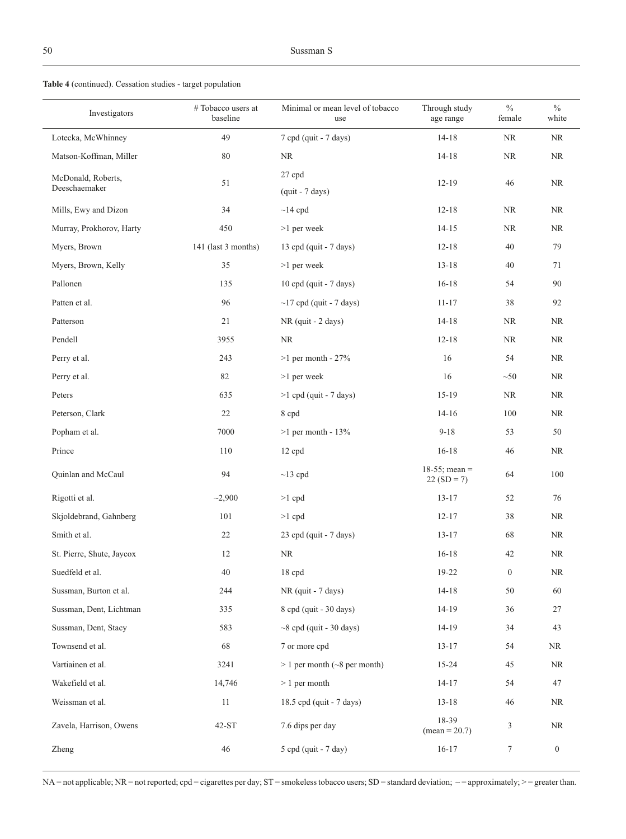# **Table 4** (continued). Cessation studies - target population

| Investigators             | # Tobacco users at<br>baseline | Minimal or mean level of tobacco<br>use | Through study<br>age range       | $\%$<br>female   | $\frac{0}{0}$<br>white |
|---------------------------|--------------------------------|-----------------------------------------|----------------------------------|------------------|------------------------|
| Lotecka, McWhinney        | 49                             | 7 cpd (quit - 7 days)                   | $14 - 18$                        | $\rm NR$         | NR                     |
| Matson-Koffman, Miller    | $80\,$                         | NR.                                     | $14 - 18$                        | NR               | NR                     |
| McDonald, Roberts,        | 51                             | 27 cpd                                  | $12 - 19$                        | 46               | <b>NR</b>              |
| Deeschaemaker             |                                | $(quit - 7 days)$                       |                                  |                  |                        |
| Mills, Ewy and Dizon      | 34                             | $\sim$ 14 cpd                           | $12 - 18$                        | NR               | <b>NR</b>              |
| Murray, Prokhorov, Harty  | 450                            | $>1$ per week                           | $14 - 15$                        | $\rm NR$         | NR                     |
| Myers, Brown              | 141 (last 3 months)            | 13 cpd (quit $-7$ days)                 | $12 - 18$                        | 40               | 79                     |
| Myers, Brown, Kelly       | 35                             | $>1$ per week                           | $13 - 18$                        | 40               | 71                     |
| Pallonen                  | 135                            | 10 cpd (quit - 7 days)                  | $16 - 18$                        | 54               | 90                     |
| Patten et al.             | 96                             | $\sim$ 17 cpd (quit - 7 days)           | $11 - 17$                        | 38               | 92                     |
| Patterson                 | 21                             | NR (quit - 2 days)                      | $14 - 18$                        | NR.              | NR                     |
| Pendell                   | 3955                           | <b>NR</b>                               | $12 - 18$                        | NR               | NR                     |
| Perry et al.              | 243                            | $>1$ per month - 27%                    | 16                               | 54               | NR                     |
| Perry et al.              | 82                             | >1 per week                             | 16                               | ~50              | <b>NR</b>              |
| Peters                    | 635                            | $>1$ cpd (quit - 7 days)                | $15-19$                          | $\rm NR$         | NR                     |
| Peterson, Clark           | 22                             | 8 cpd                                   | $14 - 16$                        | 100              | NR                     |
| Popham et al.             | 7000                           | $>1$ per month - 13%                    | $9 - 18$                         | 53               | 50                     |
| Prince                    | 110                            | 12 cpd                                  | $16 - 18$                        | 46               | NR                     |
| Quinlan and McCaul        | 94                             | $\sim$ 13 cpd                           | $18-55$ ; mean =<br>$22(SD = 7)$ | 64               | 100                    |
| Rigotti et al.            | ~2,900                         | $>1$ cpd                                | $13 - 17$                        | 52               | 76                     |
| Skjoldebrand, Gahnberg    | 101                            | $>1$ cpd                                | $12 - 17$                        | 38               | NR                     |
| Smith et al.              | 22                             | 23 cpd (quit - 7 days)                  | $13 - 17$                        | 68               | NR                     |
| St. Pierre, Shute, Jaycox | 12                             | NR.                                     | $16 - 18$                        | 42               | <b>NR</b>              |
| Suedfeld et al.           | 40                             | 18 cpd                                  | 19-22                            | $\boldsymbol{0}$ | <b>NR</b>              |
| Sussman, Burton et al.    | 244                            | NR (quit - 7 days)                      | $14 - 18$                        | 50               | 60                     |
| Sussman, Dent, Lichtman   | 335                            | 8 cpd (quit - 30 days)                  | 14-19                            | 36               | $27\,$                 |
| Sussman, Dent, Stacy      | 583                            | $\sim$ 8 cpd (quit - 30 days)           | $14 - 19$                        | 34               | 43                     |
| Townsend et al.           | 68                             | 7 or more cpd                           | $13 - 17$                        | 54               | NR                     |
| Vartiainen et al.         | 3241                           | $> 1$ per month ( $\sim$ 8 per month)   | $15 - 24$                        | 45               | NR                     |
| Wakefield et al.          | 14,746                         | $> 1$ per month                         | $14 - 17$                        | 54               | 47                     |
| Weissman et al.           | 11                             | 18.5 cpd (quit - 7 days)                | $13 - 18$                        | 46               | <b>NR</b>              |
| Zavela, Harrison, Owens   | 42-ST                          | 7.6 dips per day                        | 18-39<br>$(mean = 20.7)$         | 3                | NR                     |
| Zheng                     | 46                             | $5$ cpd (quit - $7$ day)                | $16 - 17$                        | $\tau$           | $\boldsymbol{0}$       |

NA = not applicable; NR = not reported; cpd = cigarettes per day; ST = smokeless tobacco users; SD = standard deviation; ~ = approximately; > = greater than.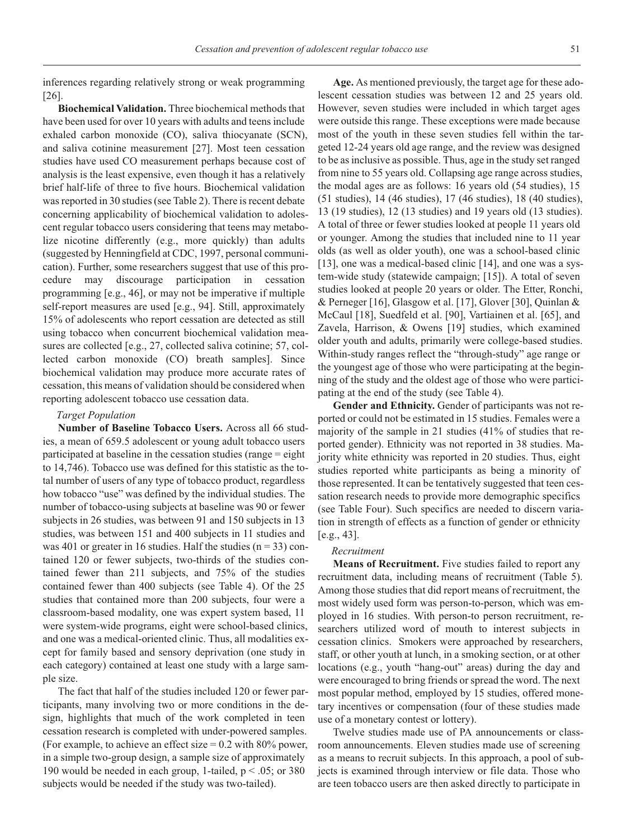inferences regarding relatively strong or weak programming [26].

**Biochemical Validation.** Three biochemical methods that have been used for over 10 years with adults and teens include exhaled carbon monoxide (CO), saliva thiocyanate (SCN), and saliva cotinine measurement [27]. Most teen cessation studies have used CO measurement perhaps because cost of analysis is the least expensive, even though it has a relatively brief half-life of three to five hours. Biochemical validation was reported in 30 studies (see Table 2). There is recent debate concerning applicability of biochemical validation to adolescent regular tobacco users considering that teens may metabolize nicotine differently (e.g., more quickly) than adults (suggested by Henningfield at CDC, 1997, personal communication). Further, some researchers suggest that use of this procedure may discourage participation in cessation programming [e.g., 46], or may not be imperative if multiple self-report measures are used [e.g., 94]. Still, approximately 15% of adolescents who report cessation are detected as still using tobacco when concurrent biochemical validation measures are collected [e.g., 27, collected saliva cotinine; 57, collected carbon monoxide (CO) breath samples]. Since biochemical validation may produce more accurate rates of cessation, this means of validation should be considered when reporting adolescent tobacco use cessation data.

### *Target Population*

**Number of Baseline Tobacco Users.** Across all 66 studies, a mean of 659.5 adolescent or young adult tobacco users participated at baseline in the cessation studies (range = eight to 14,746). Tobacco use was defined for this statistic as the total number of users of any type of tobacco product, regardless how tobacco "use" was defined by the individual studies. The number of tobacco-using subjects at baseline was 90 or fewer subjects in 26 studies, was between 91 and 150 subjects in 13 studies, was between 151 and 400 subjects in 11 studies and was 401 or greater in 16 studies. Half the studies  $(n = 33)$  contained 120 or fewer subjects, two-thirds of the studies contained fewer than 211 subjects, and 75% of the studies contained fewer than 400 subjects (see Table 4). Of the 25 studies that contained more than 200 subjects, four were a classroom-based modality, one was expert system based, 11 were system-wide programs, eight were school-based clinics, and one was a medical-oriented clinic. Thus, all modalities except for family based and sensory deprivation (one study in each category) contained at least one study with a large sample size.

The fact that half of the studies included 120 or fewer participants, many involving two or more conditions in the design, highlights that much of the work completed in teen cessation research is completed with under-powered samples. (For example, to achieve an effect size  $= 0.2$  with 80% power, in a simple two-group design, a sample size of approximately 190 would be needed in each group, 1-tailed,  $p < .05$ ; or 380 subjects would be needed if the study was two-tailed).

**Age.** As mentioned previously, the target age for these adolescent cessation studies was between 12 and 25 years old. However, seven studies were included in which target ages were outside this range. These exceptions were made because most of the youth in these seven studies fell within the targeted 12-24 years old age range, and the review was designed to be as inclusive as possible. Thus, age in the study set ranged from nine to 55 years old. Collapsing age range across studies, the modal ages are as follows: 16 years old (54 studies), 15 (51 studies), 14 (46 studies), 17 (46 studies), 18 (40 studies), 13 (19 studies), 12 (13 studies) and 19 years old (13 studies). A total of three or fewer studies looked at people 11 years old or younger. Among the studies that included nine to 11 year olds (as well as older youth), one was a school-based clinic [13], one was a medical-based clinic [14], and one was a system-wide study (statewide campaign; [15]). A total of seven studies looked at people 20 years or older. The Etter, Ronchi, & Perneger [16], Glasgow et al. [17], Glover [30], Quinlan & McCaul [18], Suedfeld et al. [90], Vartiainen et al. [65], and Zavela, Harrison, & Owens [19] studies, which examined older youth and adults, primarily were college-based studies. Within-study ranges reflect the "through-study" age range or the youngest age of those who were participating at the beginning of the study and the oldest age of those who were participating at the end of the study (see Table 4).

**Gender and Ethnicity.** Gender of participants was not reported or could not be estimated in 15 studies. Females were a majority of the sample in 21 studies (41% of studies that reported gender). Ethnicity was not reported in 38 studies. Majority white ethnicity was reported in 20 studies. Thus, eight studies reported white participants as being a minority of those represented. It can be tentatively suggested that teen cessation research needs to provide more demographic specifics (see Table Four). Such specifics are needed to discern variation in strength of effects as a function of gender or ethnicity [e.g., 43].

### *Recruitment*

**Means of Recruitment.** Five studies failed to report any recruitment data, including means of recruitment (Table 5). Among those studies that did report means of recruitment, the most widely used form was person-to-person, which was employed in 16 studies. With person-to person recruitment, researchers utilized word of mouth to interest subjects in cessation clinics. Smokers were approached by researchers, staff, or other youth at lunch, in a smoking section, or at other locations (e.g., youth "hang-out" areas) during the day and were encouraged to bring friends or spread the word. The next most popular method, employed by 15 studies, offered monetary incentives or compensation (four of these studies made use of a monetary contest or lottery).

Twelve studies made use of PA announcements or classroom announcements. Eleven studies made use of screening as a means to recruit subjects. In this approach, a pool of subjects is examined through interview or file data. Those who are teen tobacco users are then asked directly to participate in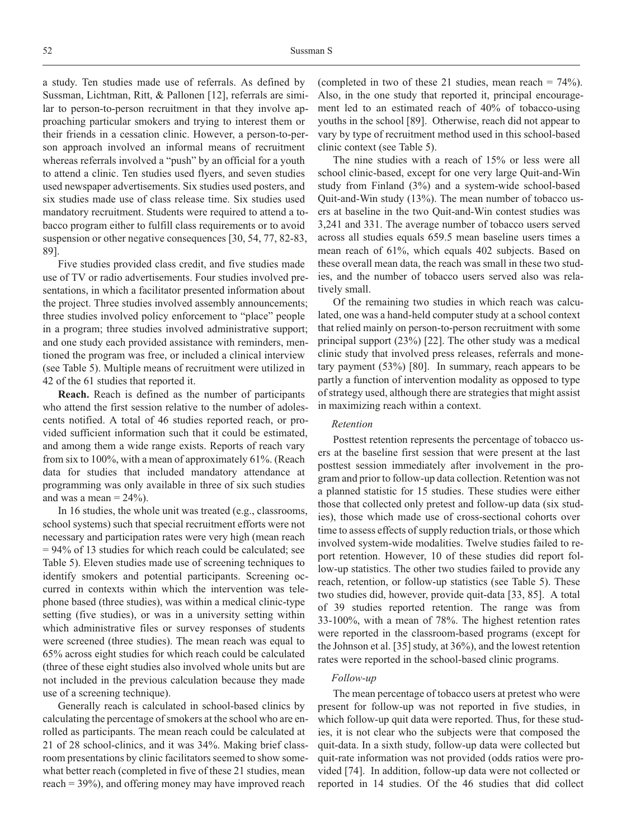a study. Ten studies made use of referrals. As defined by Sussman, Lichtman, Ritt, & Pallonen [12], referrals are similar to person-to-person recruitment in that they involve approaching particular smokers and trying to interest them or their friends in a cessation clinic. However, a person-to-person approach involved an informal means of recruitment whereas referrals involved a "push" by an official for a youth to attend a clinic. Ten studies used flyers, and seven studies used newspaper advertisements. Six studies used posters, and six studies made use of class release time. Six studies used mandatory recruitment. Students were required to attend a tobacco program either to fulfill class requirements or to avoid suspension or other negative consequences [30, 54, 77, 82-83, 89].

Five studies provided class credit, and five studies made use of TV or radio advertisements. Four studies involved presentations, in which a facilitator presented information about the project. Three studies involved assembly announcements; three studies involved policy enforcement to "place" people in a program; three studies involved administrative support; and one study each provided assistance with reminders, mentioned the program was free, or included a clinical interview (see Table 5). Multiple means of recruitment were utilized in 42 of the 61 studies that reported it.

**Reach.** Reach is defined as the number of participants who attend the first session relative to the number of adolescents notified. A total of 46 studies reported reach, or provided sufficient information such that it could be estimated, and among them a wide range exists. Reports of reach vary from six to 100%, with a mean of approximately 61%. (Reach data for studies that included mandatory attendance at programming was only available in three of six such studies and was a mean  $= 24\%$ ).

In 16 studies, the whole unit was treated (e.g., classrooms, school systems) such that special recruitment efforts were not necessary and participation rates were very high (mean reach  $= 94\%$  of 13 studies for which reach could be calculated; see Table 5). Eleven studies made use of screening techniques to identify smokers and potential participants. Screening occurred in contexts within which the intervention was telephone based (three studies), was within a medical clinic-type setting (five studies), or was in a university setting within which administrative files or survey responses of students were screened (three studies). The mean reach was equal to 65% across eight studies for which reach could be calculated (three of these eight studies also involved whole units but are not included in the previous calculation because they made use of a screening technique).

Generally reach is calculated in school-based clinics by calculating the percentage of smokers at the school who are enrolled as participants. The mean reach could be calculated at 21 of 28 school-clinics, and it was 34%. Making brief classroom presentations by clinic facilitators seemed to show somewhat better reach (completed in five of these 21 studies, mean reach = 39%), and offering money may have improved reach

(completed in two of these 21 studies, mean reach  $= 74\%$ ). Also, in the one study that reported it, principal encouragement led to an estimated reach of 40% of tobacco-using youths in the school [89]. Otherwise, reach did not appear to vary by type of recruitment method used in this school-based clinic context (see Table 5).

The nine studies with a reach of 15% or less were all school clinic-based, except for one very large Quit-and-Win study from Finland (3%) and a system-wide school-based Quit-and-Win study (13%). The mean number of tobacco users at baseline in the two Quit-and-Win contest studies was 3,241 and 331. The average number of tobacco users served across all studies equals 659.5 mean baseline users times a mean reach of 61%, which equals 402 subjects. Based on these overall mean data, the reach was small in these two studies, and the number of tobacco users served also was relatively small.

Of the remaining two studies in which reach was calculated, one was a hand-held computer study at a school context that relied mainly on person-to-person recruitment with some principal support (23%) [22]. The other study was a medical clinic study that involved press releases, referrals and monetary payment (53%) [80]. In summary, reach appears to be partly a function of intervention modality as opposed to type of strategy used, although there are strategies that might assist in maximizing reach within a context.

### *Retention*

Posttest retention represents the percentage of tobacco users at the baseline first session that were present at the last posttest session immediately after involvement in the program and prior to follow-up data collection. Retention was not a planned statistic for 15 studies. These studies were either those that collected only pretest and follow-up data (six studies), those which made use of cross-sectional cohorts over time to assess effects of supply reduction trials, or those which involved system-wide modalities. Twelve studies failed to report retention. However, 10 of these studies did report follow-up statistics. The other two studies failed to provide any reach, retention, or follow-up statistics (see Table 5). These two studies did, however, provide quit-data [33, 85]. A total of 39 studies reported retention. The range was from 33-100%, with a mean of 78%. The highest retention rates were reported in the classroom-based programs (except for the Johnson et al. [35] study, at 36%), and the lowest retention rates were reported in the school-based clinic programs.

### *Follow-up*

The mean percentage of tobacco users at pretest who were present for follow-up was not reported in five studies, in which follow-up quit data were reported. Thus, for these studies, it is not clear who the subjects were that composed the quit-data. In a sixth study, follow-up data were collected but quit-rate information was not provided (odds ratios were provided [74]. In addition, follow-up data were not collected or reported in 14 studies. Of the 46 studies that did collect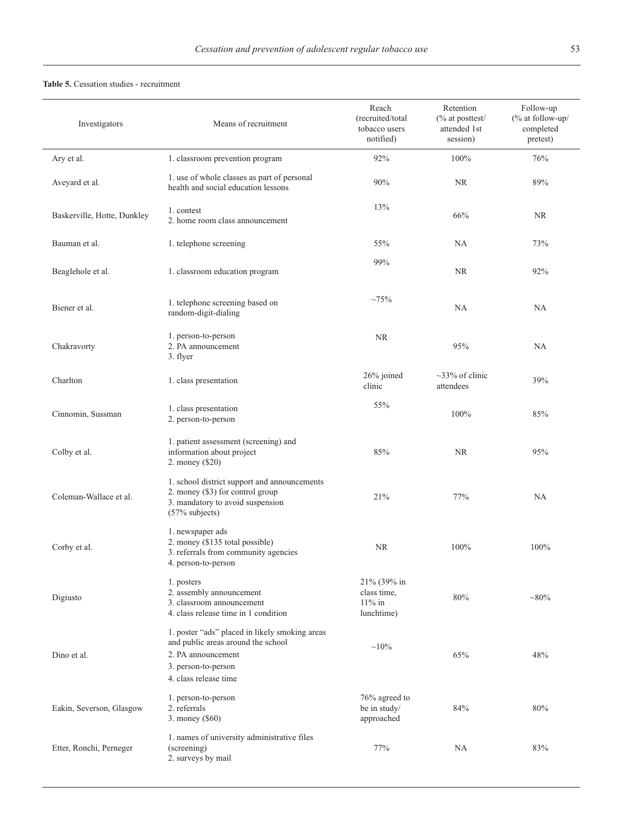# **Table 5.** Cessation studies - recruitment

| Investigators                                                            | Means of recruitment                                                                                                                                       | Reach<br>(recruited/total<br>tobacco users<br>notified) | Retention<br>$\frac{6}{6}$ at posttest/<br>attended 1st<br>session) | Follow-up<br>(% at follow-up/<br>completed<br>pretest) |  |
|--------------------------------------------------------------------------|------------------------------------------------------------------------------------------------------------------------------------------------------------|---------------------------------------------------------|---------------------------------------------------------------------|--------------------------------------------------------|--|
| Ary et al.                                                               | 1. classroom prevention program                                                                                                                            | 92%                                                     | 100%                                                                | 76%                                                    |  |
| Aveyard et al.                                                           | 1. use of whole classes as part of personal<br>health and social education lessons                                                                         | 90%                                                     | <b>NR</b>                                                           | 89%                                                    |  |
| Baskerville, Hotte, Dunkley                                              | 1. contest<br>2. home room class announcement                                                                                                              | 13%                                                     | 66%                                                                 | <b>NR</b>                                              |  |
| Bauman et al.                                                            | 1. telephone screening                                                                                                                                     |                                                         | NA                                                                  | 73%                                                    |  |
| Beaglehole et al.                                                        | 1. classroom education program                                                                                                                             | 99%                                                     | NR                                                                  | 92%                                                    |  |
| 1. telephone screening based on<br>Biener et al.<br>random-digit-dialing |                                                                                                                                                            | $~10^{-7}$                                              | NA                                                                  | NA                                                     |  |
| 1. person-to-person<br>Chakravorty<br>2. PA announcement<br>3. flyer     |                                                                                                                                                            | NR.<br>95%                                              |                                                                     | NA                                                     |  |
| Charlton                                                                 | 1. class presentation                                                                                                                                      | 26% joined<br>clinic                                    | $\sim$ 33% of clinic<br>attendees                                   | 39%                                                    |  |
| Cinnomin, Sussman                                                        | 1. class presentation<br>2. person-to-person                                                                                                               | 55%                                                     | 100%                                                                | 85%                                                    |  |
| Colby et al.                                                             | 1. patient assessment (screening) and<br>information about project<br>2. money (\$20)                                                                      | 85%                                                     | NR                                                                  | 95%                                                    |  |
| Coleman-Wallace et al.                                                   | 1. school district support and announcements<br>2. money (\$3) for control group<br>3. mandatory to avoid suspension<br>$(57\%$ subjects)                  |                                                         | 77%                                                                 | NA                                                     |  |
| Corby et al.                                                             | 1. newspaper ads<br>2. money (\$135 total possible)<br>3. referrals from community agencies<br>4. person-to-person                                         | <b>NR</b>                                               | 100%                                                                | 100%                                                   |  |
| Digiusto                                                                 | 1. posters<br>2. assembly announcement<br>3. classroom announcement<br>4. class release time in 1 condition                                                | 21% (39% in<br>class time,<br>$11\%$ in<br>lunchtime)   | 80%                                                                 | $\sim 80\%$                                            |  |
| Dino et al.                                                              | 1. poster "ads" placed in likely smoking areas<br>and public areas around the school<br>2. PA announcement<br>3. person-to-person<br>4. class release time | $~10\%$                                                 | 65%                                                                 | 48%                                                    |  |
| Eakin, Severson, Glasgow                                                 | 1. person-to-person<br>2. referrals<br>3. money (\$60)                                                                                                     | 76% agreed to<br>be in study/<br>approached             | 84%                                                                 | 80%                                                    |  |
| Etter, Ronchi, Perneger                                                  | 1. names of university administrative files<br>(screening)<br>2. surveys by mail                                                                           | 77%                                                     | NA.                                                                 | 83%                                                    |  |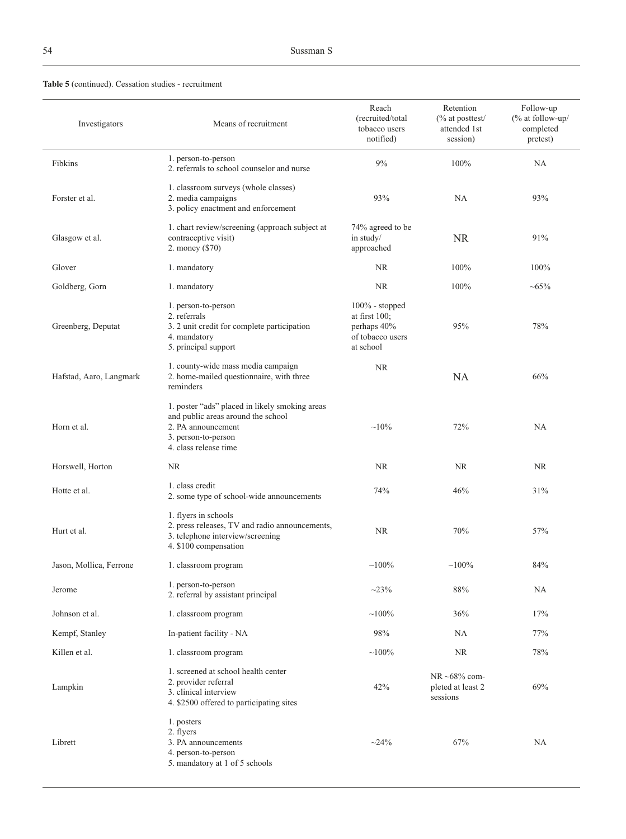# **Table 5** (continued). Cessation studies - recruitment

| Investigators           | Means of recruitment                                                                                                                                       | Reach<br>(recruited/total<br>tobacco users<br>notified)                               | Retention<br>$\frac{6}{6}$ at posttest/<br>attended 1st<br>session) | Follow-up<br>(% at follow-up/<br>completed<br>pretest) |
|-------------------------|------------------------------------------------------------------------------------------------------------------------------------------------------------|---------------------------------------------------------------------------------------|---------------------------------------------------------------------|--------------------------------------------------------|
| Fibkins                 | 1. person-to-person<br>2. referrals to school counselor and nurse                                                                                          | 9%                                                                                    | 100%                                                                | <b>NA</b>                                              |
| Forster et al.          | 1. classroom surveys (whole classes)<br>2. media campaigns<br>3. policy enactment and enforcement                                                          | 93%                                                                                   | NA                                                                  | 93%                                                    |
| Glasgow et al.          | 1. chart review/screening (approach subject at<br>contraceptive visit)<br>2. money (\$70)                                                                  | 74% agreed to be<br>in study/<br>approached                                           | <b>NR</b>                                                           | 91%                                                    |
| Glover                  | 1. mandatory                                                                                                                                               | NR.                                                                                   | 100%                                                                | 100%                                                   |
| Goldberg, Gorn          | 1. mandatory                                                                                                                                               |                                                                                       | 100%                                                                | ~100                                                   |
| Greenberg, Deputat      | 1. person-to-person<br>2. referrals<br>3. 2 unit credit for complete participation<br>4. mandatory<br>5. principal support                                 | $100\%$ - stopped<br>at first $100$ ;<br>perhaps 40%<br>of tobacco users<br>at school | 95%                                                                 | 78%                                                    |
| Hafstad, Aaro, Langmark | 1. county-wide mass media campaign<br>2. home-mailed questionnaire, with three<br>reminders                                                                | NR                                                                                    | <b>NA</b>                                                           | 66%                                                    |
| Horn et al.             | 1. poster "ads" placed in likely smoking areas<br>and public areas around the school<br>2. PA announcement<br>3. person-to-person<br>4. class release time | $~10\%$                                                                               | 72%                                                                 | <b>NA</b>                                              |
| Horswell, Horton        | <b>NR</b>                                                                                                                                                  | NR                                                                                    | NR                                                                  | <b>NR</b>                                              |
| Hotte et al.            | 1. class credit<br>2. some type of school-wide announcements                                                                                               | 74%                                                                                   | 46%                                                                 | 31%                                                    |
| Hurt et al.             | 1. flyers in schools<br>2. press releases, TV and radio announcements,<br>3. telephone interview/screening<br>4. \$100 compensation                        | NR                                                                                    | 70%                                                                 | 57%                                                    |
| Jason, Mollica, Ferrone | 1. classroom program                                                                                                                                       | $~100\%$                                                                              | $~100\%$                                                            | 84%                                                    |
| Jerome                  | 1. person-to-person<br>2. referral by assistant principal                                                                                                  | $~23\%$                                                                               | 88%                                                                 | NA                                                     |
| Johnson et al.          | 1. classroom program                                                                                                                                       | $~100\%$                                                                              | 36%                                                                 | 17%                                                    |
| Kempf, Stanley          | In-patient facility - NA                                                                                                                                   | 98%                                                                                   | NA                                                                  | 77%                                                    |
| Killen et al.           | 1. classroom program                                                                                                                                       | $~100\%$                                                                              | NR.                                                                 | 78%                                                    |
| Lampkin                 | 1. screened at school health center<br>2. provider referral<br>3. clinical interview<br>4. \$2500 offered to participating sites                           |                                                                                       | NR ~68% com-<br>pleted at least 2<br>sessions                       | 69%                                                    |
| Librett                 | 1. posters<br>2. flyers<br>3. PA announcements<br>4. person-to-person<br>5. mandatory at 1 of 5 schools                                                    | $~24\%$                                                                               | 67%                                                                 | NA                                                     |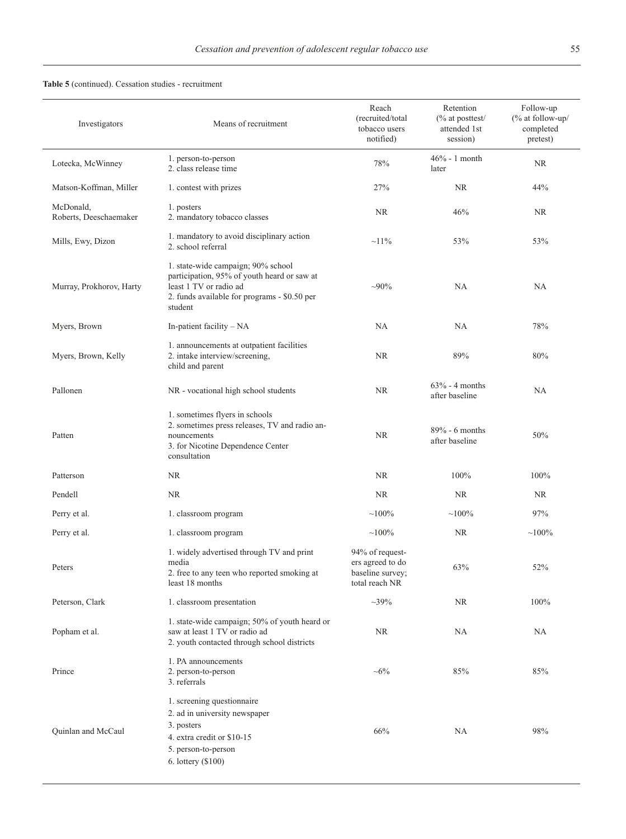# **Table 5** (continued). Cessation studies - recruitment

| Investigators                       | Means of recruitment                                                                                                                                                   | Reach<br>(recruited/total<br>tobacco users<br>notified)                   | Retention<br>$\frac{6}{6}$ at posttest/<br>attended 1st<br>session) | Follow-up<br>(% at follow-up/<br>completed<br>pretest) |
|-------------------------------------|------------------------------------------------------------------------------------------------------------------------------------------------------------------------|---------------------------------------------------------------------------|---------------------------------------------------------------------|--------------------------------------------------------|
| Lotecka, McWinney                   | 1. person-to-person<br>2. class release time                                                                                                                           | 78%                                                                       | $46% - 1$ month<br>later                                            | <b>NR</b>                                              |
| Matson-Koffman, Miller              | 1. contest with prizes                                                                                                                                                 | 27%                                                                       | <b>NR</b>                                                           | 44%                                                    |
| McDonald,<br>Roberts, Deeschaemaker | 1. posters<br>2. mandatory tobacco classes                                                                                                                             | <b>NR</b>                                                                 | 46%                                                                 | <b>NR</b>                                              |
| Mills, Ewy, Dizon                   | 1. mandatory to avoid disciplinary action<br>2. school referral                                                                                                        | ${\sim}11\%$                                                              | 53%                                                                 | 53%                                                    |
| Murray, Prokhorov, Harty            | 1. state-wide campaign; 90% school<br>participation, 95% of youth heard or saw at<br>least 1 TV or radio ad<br>2. funds available for programs - \$0.50 per<br>student |                                                                           | NA                                                                  | NA                                                     |
| Myers, Brown                        | In-patient facility $- NA$                                                                                                                                             |                                                                           | NA                                                                  | 78%                                                    |
| Myers, Brown, Kelly                 | 1. announcements at outpatient facilities<br>2. intake interview/screening,<br>child and parent                                                                        |                                                                           | <b>NR</b><br>89%                                                    |                                                        |
| Pallonen                            | NR - vocational high school students                                                                                                                                   | NR.                                                                       | $63\%$ - 4 months<br>after baseline                                 | NA                                                     |
| Patten                              | 1. sometimes flyers in schools<br>2. sometimes press releases, TV and radio an-<br>nouncements<br>3. for Nicotine Dependence Center<br>consultation                    | <b>NR</b>                                                                 | $89\%$ - 6 months<br>after baseline                                 | 50%                                                    |
| Patterson                           | <b>NR</b>                                                                                                                                                              | <b>NR</b>                                                                 | 100%                                                                | 100%                                                   |
| Pendell                             | <b>NR</b>                                                                                                                                                              | <b>NR</b>                                                                 | <b>NR</b>                                                           | <b>NR</b>                                              |
| Perry et al.                        | 1. classroom program                                                                                                                                                   | $~100\%$                                                                  | $~100\%$                                                            | 97%                                                    |
| Perry et al.                        | 1. classroom program                                                                                                                                                   | $~100\%$                                                                  | <b>NR</b>                                                           | $~100\%$                                               |
| Peters                              | 1. widely advertised through TV and print<br>media<br>2. free to any teen who reported smoking at<br>least 18 months                                                   | 94% of request-<br>ers agreed to do<br>baseline survey;<br>total reach NR | 63%                                                                 | 52%                                                    |
| Peterson, Clark                     | 1. classroom presentation                                                                                                                                              | $~10^{-39\%}$                                                             | NR                                                                  | 100%                                                   |
| Popham et al.                       | 1. state-wide campaign; 50% of youth heard or<br>saw at least 1 TV or radio ad<br>2. youth contacted through school districts                                          | NR                                                                        | NA                                                                  | NA                                                     |
| Prince                              | 1. PA announcements<br>2. person-to-person<br>3. referrals                                                                                                             | $~10^{-6}$                                                                | 85%                                                                 | 85%                                                    |
| Quinlan and McCaul                  | 1. screening questionnaire<br>2. ad in university newspaper<br>3. posters<br>4. extra credit or \$10-15<br>5. person-to-person<br>6. lottery (\$100)                   | 66%                                                                       | NA                                                                  | 98%                                                    |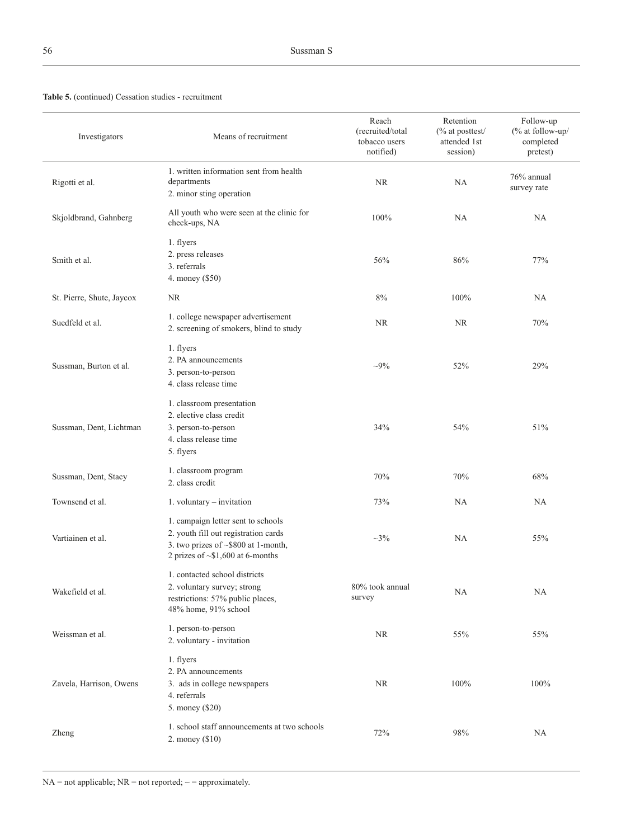# **Table 5.** (continued) Cessation studies - recruitment

| Investigators             | Means of recruitment                                                                                                                                        | Reach<br>(recruited/total<br>tobacco users<br>notified) | Retention<br>(% at posttest/<br>attended 1st<br>session) | Follow-up<br>(% at follow-up/<br>completed<br>pretest) |
|---------------------------|-------------------------------------------------------------------------------------------------------------------------------------------------------------|---------------------------------------------------------|----------------------------------------------------------|--------------------------------------------------------|
| Rigotti et al.            | 1. written information sent from health<br>departments<br>2. minor sting operation                                                                          | NR.                                                     | NA                                                       | 76% annual<br>survey rate                              |
| Skjoldbrand, Gahnberg     | All youth who were seen at the clinic for<br>check-ups, NA                                                                                                  | 100%                                                    | NA                                                       | NA                                                     |
| Smith et al.              | 1. flyers<br>2. press releases<br>3. referrals<br>4. money (\$50)                                                                                           | 56%                                                     | 86%                                                      | 77%                                                    |
| St. Pierre, Shute, Jaycox | <b>NR</b>                                                                                                                                                   | 8%                                                      | 100%                                                     | NA                                                     |
| Suedfeld et al.           | 1. college newspaper advertisement<br>2. screening of smokers, blind to study                                                                               | NR                                                      | <b>NR</b>                                                | 70%                                                    |
| Sussman, Burton et al.    | 1. flyers<br>2. PA announcements<br>3. person-to-person<br>4. class release time                                                                            | $\sim 9\%$                                              | 52%                                                      | 29%                                                    |
| Sussman, Dent, Lichtman   | 1. classroom presentation<br>2. elective class credit<br>3. person-to-person<br>4. class release time<br>5. flyers                                          | 34%                                                     | 54%                                                      | 51%                                                    |
| Sussman, Dent, Stacy      | 1. classroom program<br>2. class credit                                                                                                                     | 70%                                                     | 70%                                                      | 68%                                                    |
| Townsend et al.           | 1. voluntary $-$ invitation                                                                                                                                 | 73%                                                     | NA                                                       | NA                                                     |
| Vartiainen et al.         | 1. campaign letter sent to schools<br>2. youth fill out registration cards<br>3. two prizes of ~\$800 at 1-month,<br>2 prizes of $\sim$ \$1,600 at 6-months | $\sim 3\%$                                              | NA                                                       | 55%                                                    |
| Wakefield et al.          | 1. contacted school districts<br>2. voluntary survey; strong<br>restrictions: 57% public places,<br>48% home, 91% school                                    | 80% took annual<br>survey                               | NA                                                       | NA                                                     |
| Weissman et al.           | 1. person-to-person<br>2. voluntary - invitation                                                                                                            | NR                                                      | 55%                                                      | 55%                                                    |
| Zavela, Harrison, Owens   | 1. flyers<br>2. PA announcements<br>3. ads in college newspapers<br>4. referrals<br>5. money (\$20)                                                         | NR                                                      | 100%                                                     | 100%                                                   |
| Zheng                     | 1. school staff announcements at two schools<br>2. money (\$10)                                                                                             | 72%                                                     | 98%                                                      | NA                                                     |

 $NA = not applicable; NR = not reported; \sim = approximately.$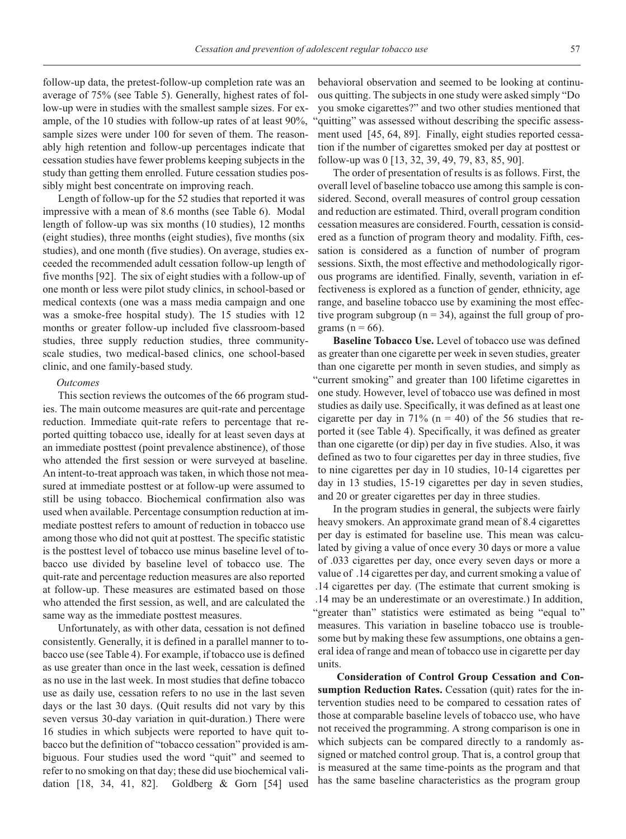follow-up data, the pretest-follow-up completion rate was an average of 75% (see Table 5). Generally, highest rates of follow-up were in studies with the smallest sample sizes. For example, of the 10 studies with follow-up rates of at least 90%, sample sizes were under 100 for seven of them. The reasonably high retention and follow-up percentages indicate that cessation studies have fewer problems keeping subjects in the study than getting them enrolled. Future cessation studies possibly might best concentrate on improving reach.

Length of follow-up for the 52 studies that reported it was impressive with a mean of 8.6 months (see Table 6). Modal length of follow-up was six months (10 studies), 12 months (eight studies), three months (eight studies), five months (six studies), and one month (five studies). On average, studies exceeded the recommended adult cessation follow-up length of five months [92]. The six of eight studies with a follow-up of one month or less were pilot study clinics, in school-based or medical contexts (one was a mass media campaign and one was a smoke-free hospital study). The 15 studies with 12 months or greater follow-up included five classroom-based studies, three supply reduction studies, three communityscale studies, two medical-based clinics, one school-based clinic, and one family-based study.

### *Outcomes*

This section reviews the outcomes of the 66 program studies. The main outcome measures are quit-rate and percentage reduction. Immediate quit-rate refers to percentage that reported quitting tobacco use, ideally for at least seven days at an immediate posttest (point prevalence abstinence), of those who attended the first session or were surveyed at baseline. An intent-to-treat approach was taken, in which those not measured at immediate posttest or at follow-up were assumed to still be using tobacco. Biochemical confirmation also was used when available. Percentage consumption reduction at immediate posttest refers to amount of reduction in tobacco use among those who did not quit at posttest. The specific statistic is the posttest level of tobacco use minus baseline level of tobacco use divided by baseline level of tobacco use. The quit-rate and percentage reduction measures are also reported at follow-up. These measures are estimated based on those who attended the first session, as well, and are calculated the same way as the immediate posttest measures.

Unfortunately, as with other data, cessation is not defined consistently. Generally, it is defined in a parallel manner to tobacco use (see Table 4). For example, if tobacco use is defined as use greater than once in the last week, cessation is defined as no use in the last week. In most studies that define tobacco use as daily use, cessation refers to no use in the last seven days or the last 30 days. (Quit results did not vary by this seven versus 30-day variation in quit-duration.) There were 16 studies in which subjects were reported to have quit tobacco but the definition of "tobacco cessation" provided is ambiguous. Four studies used the word "quit" and seemed to refer to no smoking on that day; these did use biochemical validation [18, 34, 41, 82]. Goldberg & Gorn [54] used behavioral observation and seemed to be looking at continuous quitting. The subjects in one study were asked simply "Do you smoke cigarettes?" and two other studies mentioned that "quitting" was assessed without describing the specific assessment used [45, 64, 89]. Finally, eight studies reported cessation if the number of cigarettes smoked per day at posttest or follow-up was 0 [13, 32, 39, 49, 79, 83, 85, 90].

The order of presentation of results is as follows. First, the overall level of baseline tobacco use among this sample is considered. Second, overall measures of control group cessation and reduction are estimated. Third, overall program condition cessation measures are considered. Fourth, cessation is considered as a function of program theory and modality. Fifth, cessation is considered as a function of number of program sessions. Sixth, the most effective and methodologically rigorous programs are identified. Finally, seventh, variation in effectiveness is explored as a function of gender, ethnicity, age range, and baseline tobacco use by examining the most effective program subgroup ( $n = 34$ ), against the full group of programs ( $n = 66$ ).

**Baseline Tobacco Use.** Level of tobacco use was defined as greater than one cigarette per week in seven studies, greater than one cigarette per month in seven studies, and simply as "current smoking" and greater than 100 lifetime cigarettes in one study. However, level of tobacco use was defined in most studies as daily use. Specifically, it was defined as at least one cigarette per day in 71% ( $n = 40$ ) of the 56 studies that reported it (see Table 4). Specifically, it was defined as greater than one cigarette (or dip) per day in five studies. Also, it was defined as two to four cigarettes per day in three studies, five to nine cigarettes per day in 10 studies, 10-14 cigarettes per day in 13 studies, 15-19 cigarettes per day in seven studies, and 20 or greater cigarettes per day in three studies.

In the program studies in general, the subjects were fairly heavy smokers. An approximate grand mean of 8.4 cigarettes per day is estimated for baseline use. This mean was calculated by giving a value of once every 30 days or more a value of .033 cigarettes per day, once every seven days or more a value of .14 cigarettes per day, and current smoking a value of .14 cigarettes per day. (The estimate that current smoking is .14 may be an underestimate or an overestimate.) In addition, "greater than" statistics were estimated as being "equal to" measures. This variation in baseline tobacco use is troublesome but by making these few assumptions, one obtains a general idea of range and mean of tobacco use in cigarette per day units.

**Consideration of Control Group Cessation and Consumption Reduction Rates.** Cessation (quit) rates for the intervention studies need to be compared to cessation rates of those at comparable baseline levels of tobacco use, who have not received the programming. A strong comparison is one in which subjects can be compared directly to a randomly assigned or matched control group. That is, a control group that is measured at the same time-points as the program and that has the same baseline characteristics as the program group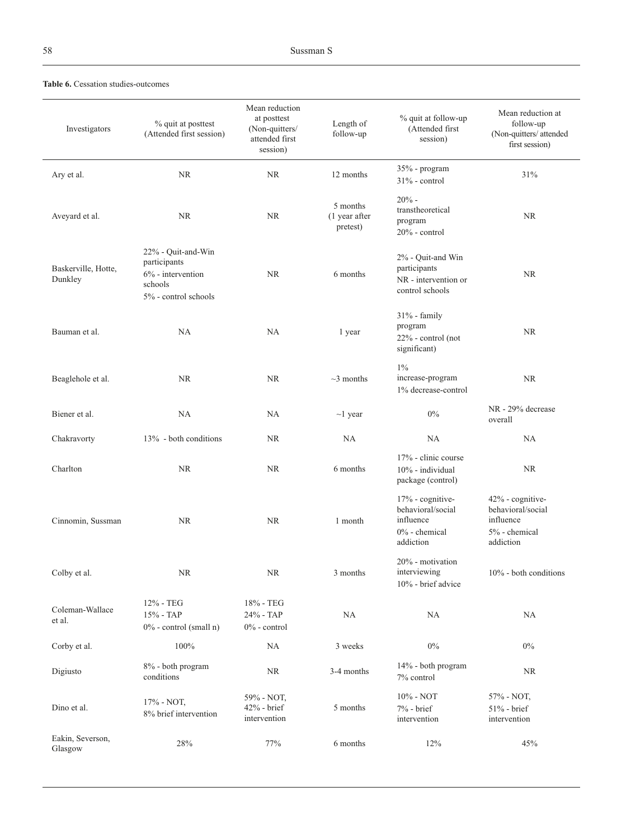# **Table 6.** Cessation studies-outcomes

| Investigators                  | % quit at posttest<br>(Attended first session)                                                | Mean reduction<br>at posttest<br>(Non-quitters/<br>attended first<br>session) | Length of<br>follow-up                | % quit at follow-up<br>(Attended first<br>session)                               | Mean reduction at<br>follow-up<br>(Non-quitters/attended<br>first session)       |
|--------------------------------|-----------------------------------------------------------------------------------------------|-------------------------------------------------------------------------------|---------------------------------------|----------------------------------------------------------------------------------|----------------------------------------------------------------------------------|
| Ary et al.                     | <b>NR</b>                                                                                     | <b>NR</b>                                                                     | 12 months                             | 35% - program<br>$31\%$ - control                                                | 31%                                                                              |
| Aveyard et al.                 | <b>NR</b>                                                                                     | <b>NR</b>                                                                     | 5 months<br>(1 year after<br>pretest) | $20%$ -<br>transtheoretical<br>program<br>20% - control                          | <b>NR</b>                                                                        |
| Baskerville, Hotte,<br>Dunkley | 22% - Quit-and-Win<br>participants<br>$6\%$ - intervention<br>schools<br>5% - control schools | <b>NR</b>                                                                     | 6 months                              | 2% - Quit-and Win<br>participants<br>NR - intervention or<br>control schools     | <b>NR</b>                                                                        |
| Bauman et al.                  | <b>NA</b>                                                                                     | NA                                                                            | 1 year                                | $31\%$ - family<br>program<br>22% - control (not<br>significant)                 | <b>NR</b>                                                                        |
| Beaglehole et al.              | <b>NR</b>                                                                                     | <b>NR</b>                                                                     | $\sim$ 3 months                       | $1\%$<br>increase-program<br>1% decrease-control                                 | <b>NR</b>                                                                        |
| Biener et al.                  | NA                                                                                            | NA                                                                            | $\sim$ 1 year                         | $0\%$                                                                            | NR - 29% decrease<br>overall                                                     |
| Chakravorty                    | 13% - both conditions                                                                         | <b>NR</b>                                                                     | NA                                    | NA                                                                               | NA                                                                               |
| Charlton                       | <b>NR</b>                                                                                     | NR                                                                            | 6 months                              | 17% - clinic course<br>10% - individual<br>package (control)                     | <b>NR</b>                                                                        |
| Cinnomin, Sussman              | <b>NR</b>                                                                                     | <b>NR</b>                                                                     | 1 month                               | 17% - cognitive-<br>behavioral/social<br>influence<br>0% - chemical<br>addiction | 42% - cognitive-<br>behavioral/social<br>influence<br>5% - chemical<br>addiction |
| Colby et al.                   | <b>NR</b>                                                                                     | <b>NR</b>                                                                     | 3 months                              | 20% - motivation<br>interviewing<br>10% - brief advice                           | $10\%$ - both conditions                                                         |
| Coleman-Wallace<br>et al.      | $12\%$ - TEG<br>$15\%$ - TAP<br>$0\%$ - control (small n)                                     | $18\%$ - TEG<br>$24\%$ - TAP<br>$0\%$ - control                               | NA                                    | <b>NA</b>                                                                        | NA                                                                               |
| Corby et al.                   | 100%                                                                                          | NA                                                                            | 3 weeks                               | 0%                                                                               | $0\%$                                                                            |
| Digiusto                       | 8% - both program<br>conditions                                                               | NR.                                                                           | 3-4 months                            | 14% - both program<br>7% control                                                 | <b>NR</b>                                                                        |
| Dino et al.                    | 17% - NOT,<br>8% brief intervention                                                           | 59% - NOT,<br>42% - brief<br>intervention                                     | 5 months                              | $10\%$ - NOT<br>7% - brief<br>intervention                                       | 57% - NOT,<br>51% - brief<br>intervention                                        |
| Eakin, Severson,<br>Glasgow    | 28%                                                                                           | 77%                                                                           | 6 months                              | 12%                                                                              | 45%                                                                              |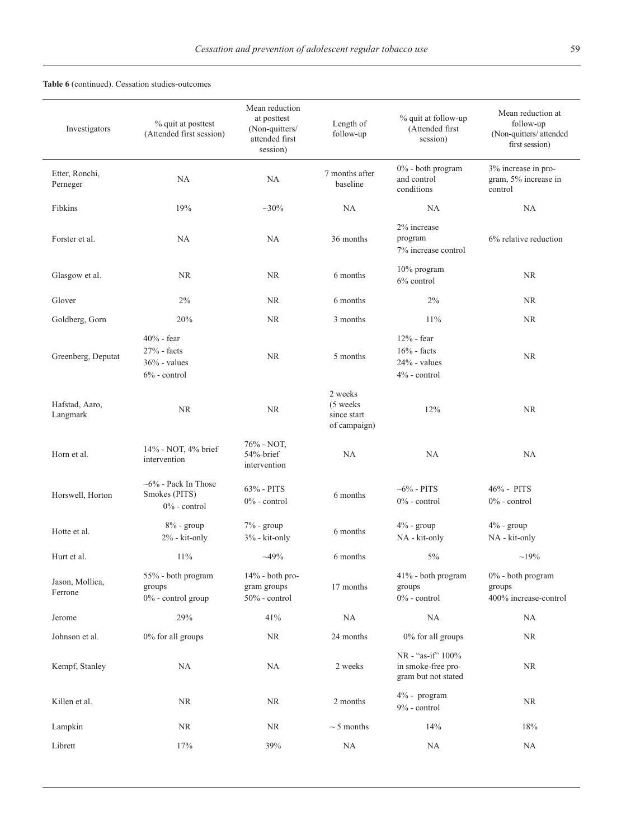| Investigators              | % quit at posttest<br>(Attended first session)                      | Mean reduction<br>at posttest<br>(Non-quitters/<br>attended first<br>session) | Length of<br>follow-up                              | % quit at follow-up<br>(Attended first<br>session)                  | Mean reduction at<br>follow-up<br>(Non-quitters/attended<br>first session) |
|----------------------------|---------------------------------------------------------------------|-------------------------------------------------------------------------------|-----------------------------------------------------|---------------------------------------------------------------------|----------------------------------------------------------------------------|
| Etter, Ronchi,<br>Perneger | NA                                                                  | NA                                                                            | 7 months after<br>baseline                          | 0% - both program<br>and control<br>conditions                      | 3% increase in pro-<br>gram, 5% increase in<br>control                     |
| Fibkins                    | 19%                                                                 | $~10\%$                                                                       | NA                                                  | NA                                                                  | NA                                                                         |
| Forster et al.             | <b>NA</b>                                                           | NA                                                                            | 36 months                                           | 2% increase<br>program<br>7% increase control                       | 6% relative reduction                                                      |
| Glasgow et al.             | NR                                                                  | <b>NR</b>                                                                     | 6 months                                            | 10% program<br>6% control                                           | <b>NR</b>                                                                  |
| Glover                     | $2\%$                                                               | <b>NR</b>                                                                     | 6 months                                            | $2\%$                                                               | <b>NR</b>                                                                  |
| Goldberg, Gorn             | 20%                                                                 | <b>NR</b>                                                                     | 3 months                                            | 11%                                                                 | <b>NR</b>                                                                  |
| Greenberg, Deputat         | $40%$ - fear<br>$27%$ - facts<br>$36\%$ - values<br>$6\%$ - control | <b>NR</b>                                                                     | 5 months                                            | $12\%$ - fear<br>$16%$ - facts<br>$24%$ - values<br>$4\%$ - control | <b>NR</b>                                                                  |
| Hafstad, Aaro,<br>Langmark | NR                                                                  | NR.                                                                           | 2 weeks<br>(5 weeks)<br>since start<br>of campaign) | 12%                                                                 | <b>NR</b>                                                                  |
| Horn et al.                | 14% - NOT, 4% brief<br>intervention                                 | 76% - NOT,<br>54%-brief<br>intervention                                       | NA                                                  | <b>NA</b>                                                           | NA                                                                         |
| Horswell, Horton           | $\sim 6\%$ - Pack In Those<br>Smokes (PITS)<br>$0\%$ - control      | 63% - PITS<br>0% - control                                                    | 6 months                                            | $~6\%$ - PITS<br>$0\%$ - control                                    | 46% - PITS<br>0% - control                                                 |
| Hotte et al.               | $8\%$ - group<br>$2\%$ - kit-only                                   | $7\%$ - group<br>$3% - kit-only$                                              | 6 months                                            | $4\%$ - group<br>NA - kit-only                                      | $4\%$ - group<br>NA - kit-only                                             |
| Hurt et al.                | $11\%$                                                              | $~149\%$                                                                      | 6 months                                            | $5\%$                                                               | $\sim$ 19%                                                                 |
| Jason, Mollica,<br>Ferrone | 55% - both program<br>groups<br>$0\%$ - control group               | $14\%$ - both pro-<br>gram groups<br>$50\%$ - control                         | 17 months                                           | 41% - both program<br>groups<br>$0\%$ - control                     | 0% - both program<br>groups<br>400% increase-control                       |
| Jerome                     | 29%                                                                 | 41%                                                                           | $_{\rm NA}$                                         | NA                                                                  | NA                                                                         |
| Johnson et al.             | 0% for all groups                                                   | NR                                                                            | 24 months                                           | 0% for all groups                                                   | NR                                                                         |
| Kempf, Stanley             | NA                                                                  | NA                                                                            | 2 weeks                                             | NR - "as-if" 100%<br>in smoke-free pro-<br>gram but not stated      | NR                                                                         |
| Killen et al.              | NR                                                                  | NR                                                                            | 2 months                                            | $4\%$ - program<br>9% - control                                     | NR                                                                         |
| Lampkin                    | NR                                                                  | NR                                                                            | $\sim$ 5 months                                     | 14%                                                                 | 18%                                                                        |
| Librett                    | 17%                                                                 | 39%                                                                           | $_{\rm NA}$                                         | $\rm NA$                                                            | NA                                                                         |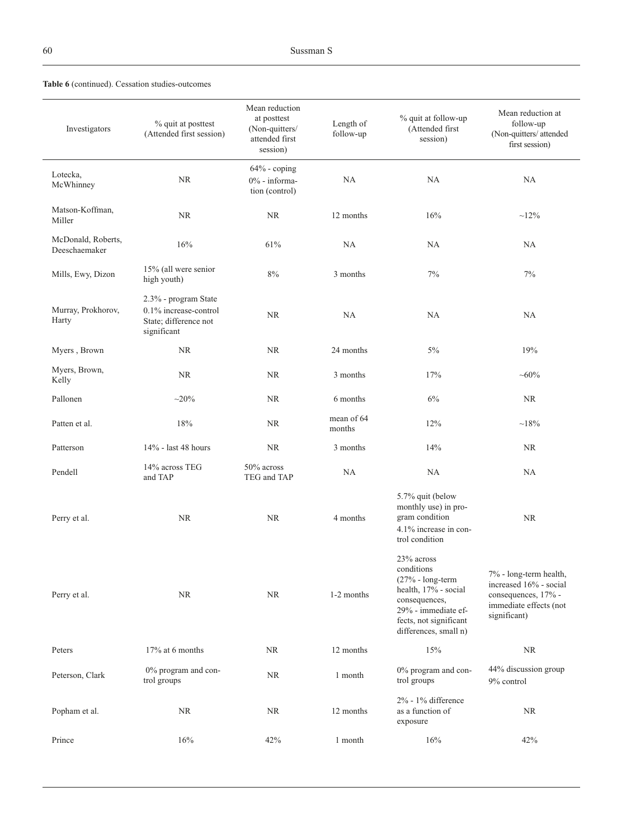| Investigators                       | % quit at posttest<br>(Attended first session)                                           | Mean reduction<br>at posttest<br>(Non-quitters/<br>attended first<br>session) | Length of<br>follow-up | % quit at follow-up<br>(Attended first<br>session)                                                                                                                | Mean reduction at<br>follow-up<br>(Non-quitters/attended<br>first session)                                        |
|-------------------------------------|------------------------------------------------------------------------------------------|-------------------------------------------------------------------------------|------------------------|-------------------------------------------------------------------------------------------------------------------------------------------------------------------|-------------------------------------------------------------------------------------------------------------------|
| Lotecka,<br>McWhinney               | <b>NR</b>                                                                                | $64\%$ - coping<br>0% - informa-<br>tion (control)                            | NA                     | <b>NA</b>                                                                                                                                                         | NA                                                                                                                |
| Matson-Koffman,<br>Miller           | <b>NR</b>                                                                                | <b>NR</b>                                                                     | 12 months              | 16%                                                                                                                                                               | $~12\%$                                                                                                           |
| McDonald, Roberts,<br>Deeschaemaker | 16%                                                                                      | 61%                                                                           | <b>NA</b>              | NA                                                                                                                                                                | NA                                                                                                                |
| Mills, Ewy, Dizon                   | 15% (all were senior<br>high youth)                                                      | 8%                                                                            | 3 months               | 7%                                                                                                                                                                | 7%                                                                                                                |
| Murray, Prokhorov,<br>Harty         | 2.3% - program State<br>$0.1\%$ increase-control<br>State; difference not<br>significant | NR.                                                                           | NA                     | NA                                                                                                                                                                | NA                                                                                                                |
| Myers, Brown                        | <b>NR</b>                                                                                | <b>NR</b>                                                                     | 24 months              | 5%                                                                                                                                                                | 19%                                                                                                               |
| Myers, Brown,<br>Kelly              | <b>NR</b>                                                                                | <b>NR</b>                                                                     | 3 months               | 17%                                                                                                                                                               | $~100\%$                                                                                                          |
| Pallonen                            | $\sim$ 20%                                                                               | <b>NR</b>                                                                     | 6 months               | 6%                                                                                                                                                                | NR                                                                                                                |
| Patten et al.                       | 18%                                                                                      | NR                                                                            | mean of 64<br>months   | 12%                                                                                                                                                               | $~18\%$                                                                                                           |
| Patterson                           | 14% - last 48 hours                                                                      | <b>NR</b>                                                                     | 3 months               | 14%                                                                                                                                                               | NR.                                                                                                               |
| Pendell                             | 14% across TEG<br>and TAP                                                                | 50% across<br>TEG and TAP                                                     | <b>NA</b>              | <b>NA</b>                                                                                                                                                         | NA                                                                                                                |
| Perry et al.                        | <b>NR</b>                                                                                | <b>NR</b>                                                                     | 4 months               | 5.7% quit (below<br>monthly use) in pro-<br>gram condition<br>4.1% increase in con-<br>trol condition                                                             | <b>NR</b>                                                                                                         |
| Perry et al.                        | NR                                                                                       | NR.                                                                           | 1-2 months             | 23% across<br>conditions<br>$(27% - long-term$<br>health, 17% - social<br>consequences,<br>29% - immediate ef-<br>fects, not significant<br>differences, small n) | 7% - long-term health,<br>increased 16% - social<br>consequences, 17% -<br>immediate effects (not<br>significant) |
| Peters                              | 17% at 6 months                                                                          | <b>NR</b>                                                                     | 12 months              | 15%                                                                                                                                                               | NR                                                                                                                |
| Peterson, Clark                     | 0% program and con-<br>trol groups                                                       | NR                                                                            | 1 month                | 0% program and con-<br>trol groups                                                                                                                                | 44% discussion group<br>9% control                                                                                |
| Popham et al.                       | <b>NR</b>                                                                                | NR                                                                            | 12 months              | $2\%$ - 1% difference<br>as a function of<br>exposure                                                                                                             | NR                                                                                                                |
| Prince                              | 16%                                                                                      | 42%                                                                           | 1 month                | 16%                                                                                                                                                               | 42%                                                                                                               |

# **Table 6** (continued). Cessation studies-outcomes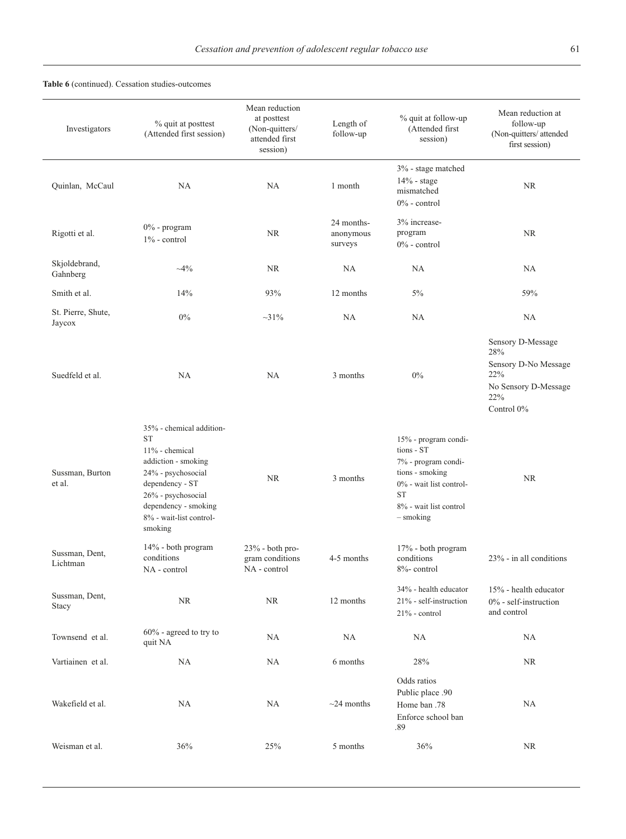**Table 6** (continued). Cessation studies-outcomes

| Investigators                | % quit at posttest<br>(Attended first session)                                                                                                                                                              | Mean reduction<br>at posttest<br>(Non-quitters/<br>attended first<br>session) | Length of<br>follow-up             | % quit at follow-up<br>(Attended first<br>session)                                                                                                                                | Mean reduction at<br>follow-up<br>(Non-quitters/attended<br>first session)                           |
|------------------------------|-------------------------------------------------------------------------------------------------------------------------------------------------------------------------------------------------------------|-------------------------------------------------------------------------------|------------------------------------|-----------------------------------------------------------------------------------------------------------------------------------------------------------------------------------|------------------------------------------------------------------------------------------------------|
| Quinlan, McCaul              | NA                                                                                                                                                                                                          | NA                                                                            | 1 month                            | 3% - stage matched<br>$14\%$ - stage<br>mismatched<br>$0\%$ - control                                                                                                             | <b>NR</b>                                                                                            |
| Rigotti et al.               | $0\%$ - program<br>$1\%$ - control                                                                                                                                                                          | <b>NR</b>                                                                     | 24 months-<br>anonymous<br>surveys | 3% increase-<br>program<br>$0\%$ - control                                                                                                                                        | <b>NR</b>                                                                                            |
| Skjoldebrand,<br>Gahnberg    | $-4\%$                                                                                                                                                                                                      | <b>NR</b>                                                                     | NA                                 | NA                                                                                                                                                                                | NA                                                                                                   |
| Smith et al.                 | 14%                                                                                                                                                                                                         | 93%                                                                           | 12 months                          | $5\%$                                                                                                                                                                             | 59%                                                                                                  |
| St. Pierre, Shute,<br>Jaycox | $0\%$                                                                                                                                                                                                       | $-31\%$                                                                       | NA                                 | NA                                                                                                                                                                                | NA                                                                                                   |
| Suedfeld et al.              | NA                                                                                                                                                                                                          | NA                                                                            | 3 months                           | 0%                                                                                                                                                                                | Sensory D-Message<br>28%<br>Sensory D-No Message<br>22%<br>No Sensory D-Message<br>22%<br>Control 0% |
| Sussman, Burton<br>et al.    | 35% - chemical addition-<br><b>ST</b><br>11% - chemical<br>addiction - smoking<br>24% - psychosocial<br>dependency - ST<br>26% - psychosocial<br>dependency - smoking<br>8% - wait-list control-<br>smoking | <b>NR</b>                                                                     | 3 months                           | 15% - program condi-<br>tions - $\operatorname{ST}$<br>7% - program condi-<br>tions - smoking<br>$0\%$ - wait list control-<br><b>ST</b><br>8% - wait list control<br>$-$ smoking | <b>NR</b>                                                                                            |
| Sussman, Dent,<br>Lichtman   | 14% - both program<br>conditions<br>NA - control                                                                                                                                                            | $23%$ - both pro-<br>gram conditions<br>NA - control                          | 4-5 months                         | 17% - both program<br>conditions<br>8%-control                                                                                                                                    | $23%$ - in all conditions                                                                            |
| Sussman, Dent,<br>Stacy      | NR                                                                                                                                                                                                          | NR                                                                            | 12 months                          | 34% - health educator<br>21% - self-instruction<br>$21\%$ - control                                                                                                               | 15% - health educator<br>0% - self-instruction<br>and control                                        |
| Townsend et al.              | $60\%$ - agreed to try to<br>quit NA                                                                                                                                                                        | NA                                                                            | NA                                 | NA                                                                                                                                                                                | NA                                                                                                   |
| Vartiainen et al.            | NA                                                                                                                                                                                                          | NA                                                                            | 6 months                           | 28%                                                                                                                                                                               | NR.                                                                                                  |
| Wakefield et al.             | NA                                                                                                                                                                                                          | <b>NA</b>                                                                     | $\sim$ 24 months                   | Odds ratios<br>Public place .90<br>Home ban .78<br>Enforce school ban<br>.89                                                                                                      | NA                                                                                                   |
| Weisman et al.               | 36%                                                                                                                                                                                                         | 25%                                                                           | 5 months                           | 36%                                                                                                                                                                               | NR                                                                                                   |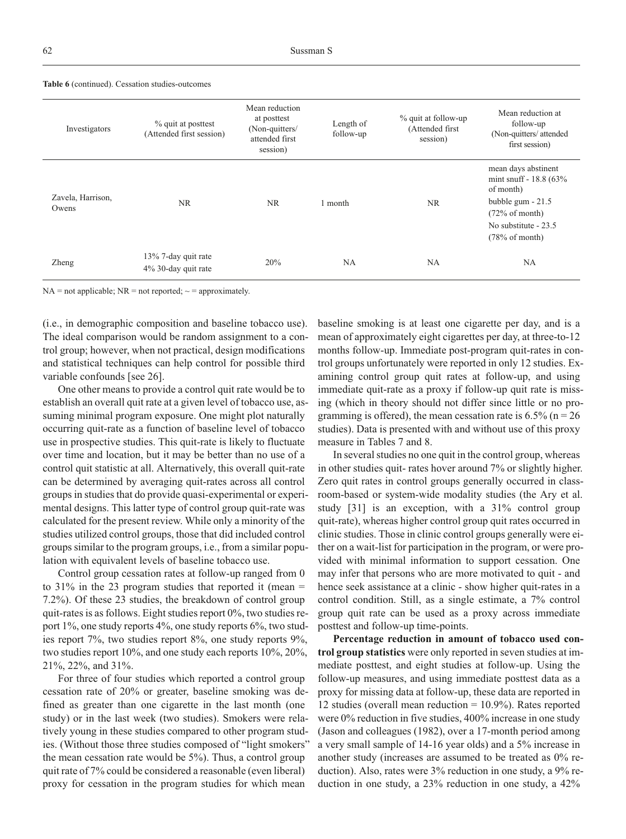| Investigators              | % quit at posttest<br>(Attended first session) | Mean reduction<br>at posttest<br>(Non-quitters/<br>attended first<br>session) | Length of<br>follow-up | % quit at follow-up<br>(Attended first<br>session) | Mean reduction at<br>follow-up<br>(Non-quitters/attended<br>first session)                                                                                         |
|----------------------------|------------------------------------------------|-------------------------------------------------------------------------------|------------------------|----------------------------------------------------|--------------------------------------------------------------------------------------------------------------------------------------------------------------------|
| Zavela, Harrison,<br>Owens | <b>NR</b>                                      | NR.                                                                           | 1 month                | <b>NR</b>                                          | mean days abstinent<br>mint snuff - 18.8 (63%<br>of month)<br>bubble gum $-21.5$<br>$(72\% \text{ of month})$<br>No substitute - 23.5<br>$(78\% \text{ of month})$ |
| Zheng                      | 13% 7-day quit rate<br>$4\%$ 30-day quit rate  | 20%                                                                           | <b>NA</b>              | <b>NA</b>                                          | <b>NA</b>                                                                                                                                                          |

#### **Table 6** (continued). Cessation studies-outcomes

 $NA = not applicable; NR = not reported; \sim = approximately.$ 

(i.e., in demographic composition and baseline tobacco use). The ideal comparison would be random assignment to a control group; however, when not practical, design modifications and statistical techniques can help control for possible third variable confounds [see 26].

One other means to provide a control quit rate would be to establish an overall quit rate at a given level of tobacco use, assuming minimal program exposure. One might plot naturally occurring quit-rate as a function of baseline level of tobacco use in prospective studies. This quit-rate is likely to fluctuate over time and location, but it may be better than no use of a control quit statistic at all. Alternatively, this overall quit-rate can be determined by averaging quit-rates across all control groups in studies that do provide quasi-experimental or experimental designs. This latter type of control group quit-rate was calculated for the present review. While only a minority of the studies utilized control groups, those that did included control groups similar to the program groups, i.e., from a similar population with equivalent levels of baseline tobacco use.

Control group cessation rates at follow-up ranged from 0 to  $31\%$  in the 23 program studies that reported it (mean = 7.2%). Of these 23 studies, the breakdown of control group quit-rates is as follows. Eight studies report 0%, two studies report 1%, one study reports 4%, one study reports 6%, two studies report 7%, two studies report 8%, one study reports 9%, two studies report 10%, and one study each reports 10%, 20%, 21%, 22%, and 31%.

For three of four studies which reported a control group cessation rate of 20% or greater, baseline smoking was defined as greater than one cigarette in the last month (one study) or in the last week (two studies). Smokers were relatively young in these studies compared to other program studies. (Without those three studies composed of "light smokers" the mean cessation rate would be 5%). Thus, a control group quit rate of 7% could be considered a reasonable (even liberal) proxy for cessation in the program studies for which mean

baseline smoking is at least one cigarette per day, and is a mean of approximately eight cigarettes per day, at three-to-12 months follow-up. Immediate post-program quit-rates in control groups unfortunately were reported in only 12 studies. Examining control group quit rates at follow-up, and using immediate quit-rate as a proxy if follow-up quit rate is missing (which in theory should not differ since little or no programming is offered), the mean cessation rate is  $6.5\%$  (n = 26 studies). Data is presented with and without use of this proxy measure in Tables 7 and 8.

In several studies no one quit in the control group, whereas in other studies quit- rates hover around 7% or slightly higher. Zero quit rates in control groups generally occurred in classroom-based or system-wide modality studies (the Ary et al. study [31] is an exception, with a 31% control group quit-rate), whereas higher control group quit rates occurred in clinic studies. Those in clinic control groups generally were either on a wait-list for participation in the program, or were provided with minimal information to support cessation. One may infer that persons who are more motivated to quit - and hence seek assistance at a clinic - show higher quit-rates in a control condition. Still, as a single estimate, a 7% control group quit rate can be used as a proxy across immediate posttest and follow-up time-points.

**Percentage reduction in amount of tobacco used control group statistics** were only reported in seven studies at immediate posttest, and eight studies at follow-up. Using the follow-up measures, and using immediate posttest data as a proxy for missing data at follow-up, these data are reported in 12 studies (overall mean reduction = 10.9%). Rates reported were 0% reduction in five studies, 400% increase in one study (Jason and colleagues (1982), over a 17-month period among a very small sample of 14-16 year olds) and a 5% increase in another study (increases are assumed to be treated as 0% reduction). Also, rates were 3% reduction in one study, a 9% reduction in one study, a 23% reduction in one study, a 42%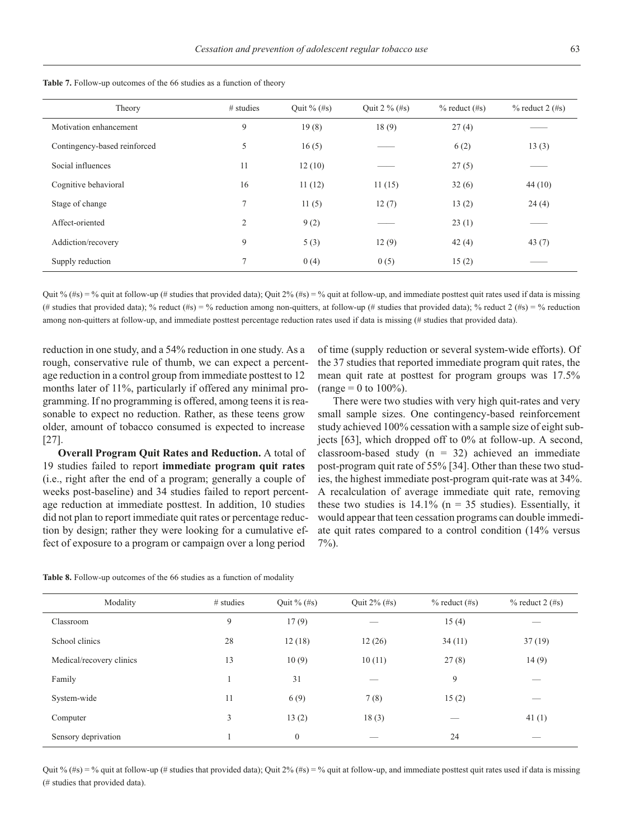| Theory                       | $#$ studies    | Ouit $\%$ (#s) | Ouit $2\%$ (#s) | $\%$ reduct $(\#s)$ | $\%$ reduct 2 (#s) |
|------------------------------|----------------|----------------|-----------------|---------------------|--------------------|
| Motivation enhancement       | 9              | 19(8)          | 18(9)           | 27(4)               |                    |
| Contingency-based reinforced | 5              | 16(5)          |                 | 6(2)                | 13(3)              |
| Social influences            | 11             | 12(10)         |                 | 27(5)               |                    |
| Cognitive behavioral         | 16             | 11(12)         | 11(15)          | 32(6)               | 44(10)             |
| Stage of change              | 7              | 11(5)          | 12(7)           | 13(2)               | 24(4)              |
| Affect-oriented              | $\overline{2}$ | 9(2)           |                 | 23(1)               |                    |
| Addiction/recovery           | 9              | 5(3)           | 12(9)           | 42(4)               | 43(7)              |
| Supply reduction             | 7              | 0(4)           | 0(5)            | 15(2)               |                    |

**Table 7.** Follow-up outcomes of the 66 studies as a function of theory

Quit % (#s) = % quit at follow-up (# studies that provided data); Quit  $2\%$  (#s) = % quit at follow-up, and immediate posttest quit rates used if data is missing (# studies that provided data); % reduct (#s) = % reduction among non-quitters, at follow-up (# studies that provided data); % reduct 2 (#s) = % reduction among non-quitters at follow-up, and immediate posttest percentage reduction rates used if data is missing (# studies that provided data).

reduction in one study, and a 54% reduction in one study. As a rough, conservative rule of thumb, we can expect a percentage reduction in a control group from immediate posttest to 12 months later of 11%, particularly if offered any minimal programming. If no programming is offered, among teens it is reasonable to expect no reduction. Rather, as these teens grow older, amount of tobacco consumed is expected to increase [27].

**Overall Program Quit Rates and Reduction.** A total of 19 studies failed to report **immediate program quit rates** (i.e., right after the end of a program; generally a couple of weeks post-baseline) and 34 studies failed to report percentage reduction at immediate posttest. In addition, 10 studies did not plan to report immediate quit rates or percentage reduction by design; rather they were looking for a cumulative effect of exposure to a program or campaign over a long period

of time (supply reduction or several system-wide efforts). Of the 37 studies that reported immediate program quit rates, the mean quit rate at posttest for program groups was 17.5%  $(range = 0 to 100\%).$ 

There were two studies with very high quit-rates and very small sample sizes. One contingency-based reinforcement study achieved 100% cessation with a sample size of eight subjects [63], which dropped off to 0% at follow-up. A second, classroom-based study  $(n = 32)$  achieved an immediate post-program quit rate of 55% [34]. Other than these two studies, the highest immediate post-program quit-rate was at 34%. A recalculation of average immediate quit rate, removing these two studies is  $14.1\%$  (n = 35 studies). Essentially, it would appear that teen cessation programs can double immediate quit rates compared to a control condition (14% versus 7%).

**Table 8.** Follow-up outcomes of the 66 studies as a function of modality

| Modality                 | $#$ studies | Quit $\%$ (#s) | Quit $2\%$ (#s) | $\%$ reduct $(\#s)$ | $\%$ reduct 2 (#s) |
|--------------------------|-------------|----------------|-----------------|---------------------|--------------------|
| Classroom                | 9           | 17(9)          |                 | 15(4)               |                    |
| School clinics           | 28          | 12(18)         | 12(26)          | 34(11)              | 37(19)             |
| Medical/recovery clinics | 13          | 10(9)          | 10(11)          | 27(8)               | 14(9)              |
| Family                   |             | 31             | _               | 9                   | ___                |
| System-wide              | 11          | 6(9)           | 7(8)            | 15(2)               | ___                |
| Computer                 | 3           | 13(2)          | 18(3)           |                     | 41(1)              |
| Sensory deprivation      |             | $\overline{0}$ | _               | 24                  | _                  |

Quit % (#s) = % quit at follow-up (# studies that provided data); Quit 2% (#s) = % quit at follow-up, and immediate posttest quit rates used if data is missing (# studies that provided data).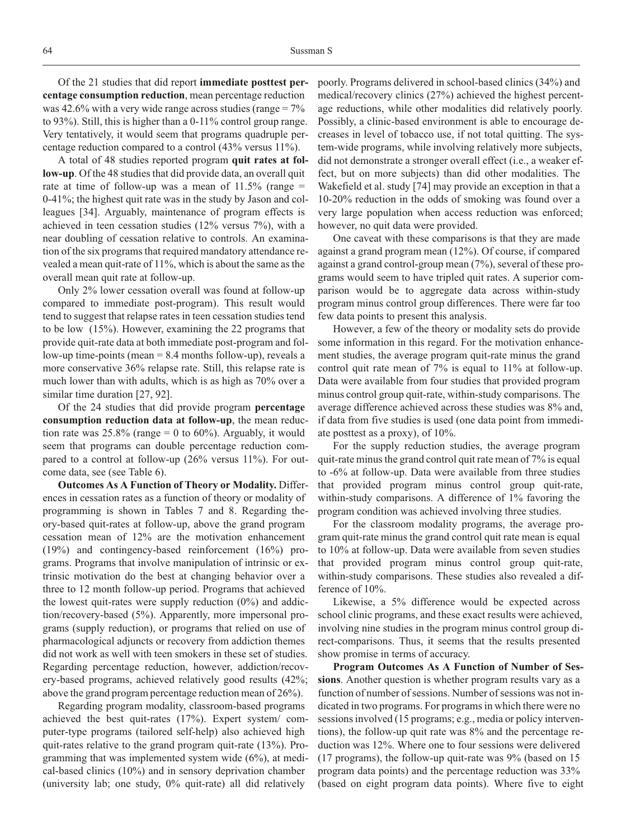Of the 21 studies that did report **immediate posttest percentage consumption reduction**, mean percentage reduction was 42.6% with a very wide range across studies (range  $= 7\%$ to 93%). Still, this is higher than a 0-11% control group range. Very tentatively, it would seem that programs quadruple percentage reduction compared to a control (43% versus 11%).

A total of 48 studies reported program **quit rates at follow-up**. Of the 48 studies that did provide data, an overall quit rate at time of follow-up was a mean of  $11.5\%$  (range = 0-41%; the highest quit rate was in the study by Jason and colleagues [34]. Arguably, maintenance of program effects is achieved in teen cessation studies (12% versus 7%), with a near doubling of cessation relative to controls. An examination of the six programs that required mandatory attendance revealed a mean quit-rate of 11%, which is about the same as the overall mean quit rate at follow-up.

Only 2% lower cessation overall was found at follow-up compared to immediate post-program). This result would tend to suggest that relapse rates in teen cessation studies tend to be low (15%). However, examining the 22 programs that provide quit-rate data at both immediate post-program and follow-up time-points (mean  $= 8.4$  months follow-up), reveals a more conservative 36% relapse rate. Still, this relapse rate is much lower than with adults, which is as high as 70% over a similar time duration [27, 92].

Of the 24 studies that did provide program **percentage consumption reduction data at follow-up**, the mean reduction rate was  $25.8\%$  (range = 0 to 60%). Arguably, it would seem that programs can double percentage reduction compared to a control at follow-up (26% versus 11%). For outcome data, see (see Table 6).

**Outcomes As A Function of Theory or Modality.** Differences in cessation rates as a function of theory or modality of programming is shown in Tables 7 and 8. Regarding theory-based quit-rates at follow-up, above the grand program cessation mean of 12% are the motivation enhancement (19%) and contingency-based reinforcement (16%) programs. Programs that involve manipulation of intrinsic or extrinsic motivation do the best at changing behavior over a three to 12 month follow-up period. Programs that achieved the lowest quit-rates were supply reduction (0%) and addiction/recovery-based (5%). Apparently, more impersonal programs (supply reduction), or programs that relied on use of pharmacological adjuncts or recovery from addiction themes did not work as well with teen smokers in these set of studies. Regarding percentage reduction, however, addiction/recovery-based programs, achieved relatively good results (42%; above the grand program percentage reduction mean of 26%).

Regarding program modality, classroom-based programs achieved the best quit-rates (17%). Expert system/ computer-type programs (tailored self-help) also achieved high quit-rates relative to the grand program quit-rate (13%). Programming that was implemented system wide (6%), at medical-based clinics (10%) and in sensory deprivation chamber (university lab; one study, 0% quit-rate) all did relatively

poorly. Programs delivered in school-based clinics (34%) and medical/recovery clinics (27%) achieved the highest percentage reductions, while other modalities did relatively poorly. Possibly, a clinic-based environment is able to encourage decreases in level of tobacco use, if not total quitting. The system-wide programs, while involving relatively more subjects, did not demonstrate a stronger overall effect (i.e., a weaker effect, but on more subjects) than did other modalities. The Wakefield et al. study [74] may provide an exception in that a 10-20% reduction in the odds of smoking was found over a very large population when access reduction was enforced; however, no quit data were provided.

One caveat with these comparisons is that they are made against a grand program mean (12%). Of course, if compared against a grand control-group mean (7%), several of these programs would seem to have tripled quit rates. A superior comparison would be to aggregate data across within-study program minus control group differences. There were far too few data points to present this analysis.

However, a few of the theory or modality sets do provide some information in this regard. For the motivation enhancement studies, the average program quit-rate minus the grand control quit rate mean of 7% is equal to 11% at follow-up. Data were available from four studies that provided program minus control group quit-rate, within-study comparisons. The average difference achieved across these studies was 8% and, if data from five studies is used (one data point from immediate posttest as a proxy), of 10%.

For the supply reduction studies, the average program quit-rate minus the grand control quit rate mean of 7% is equal to -6% at follow-up. Data were available from three studies that provided program minus control group quit-rate, within-study comparisons. A difference of 1% favoring the program condition was achieved involving three studies.

For the classroom modality programs, the average program quit-rate minus the grand control quit rate mean is equal to 10% at follow-up. Data were available from seven studies that provided program minus control group quit-rate, within-study comparisons. These studies also revealed a difference of 10%.

Likewise, a 5% difference would be expected across school clinic programs, and these exact results were achieved, involving nine studies in the program minus control group direct-comparisons. Thus, it seems that the results presented show promise in terms of accuracy.

**Program Outcomes As A Function of Number of Sessions**. Another question is whether program results vary as a function of number of sessions. Number of sessions was not indicated in two programs. For programs in which there were no sessions involved (15 programs; e.g., media or policy interventions), the follow-up quit rate was 8% and the percentage reduction was 12%. Where one to four sessions were delivered (17 programs), the follow-up quit-rate was 9% (based on 15 program data points) and the percentage reduction was 33% (based on eight program data points). Where five to eight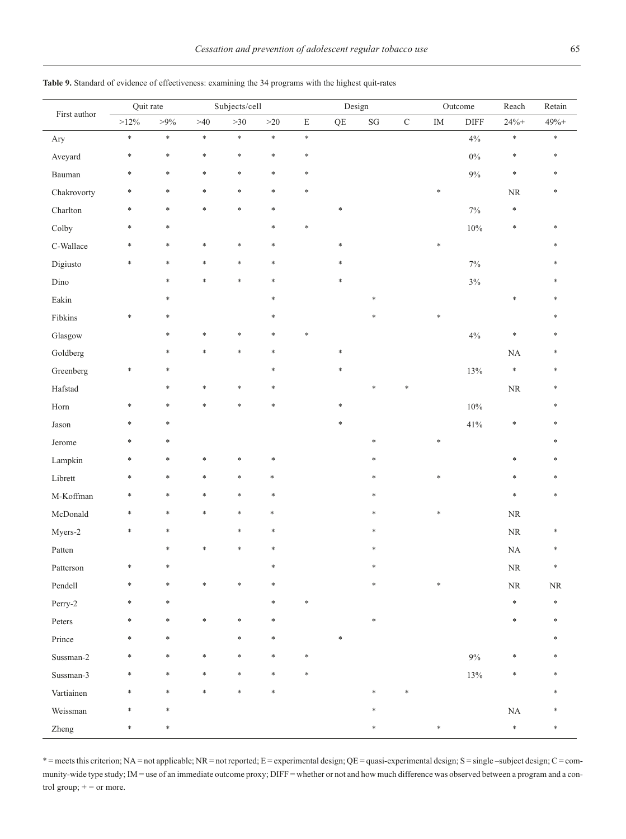|                          | Quit rate |            |        | Subjects/cell |        |           | Design                                   |                        |             |                     | Outcome     | $\mbox{Reach}$ | Retain   |
|--------------------------|-----------|------------|--------|---------------|--------|-----------|------------------------------------------|------------------------|-------------|---------------------|-------------|----------------|----------|
| $\rm First$ author       | $>12\%$   | $>\!\!9\%$ | $>40$  | $>30$         | $>20$  | ${\bf E}$ | $\mathrm{QE}% \left( \mathcal{N}\right)$ | $\mathbf{S}\mathbf{G}$ | $\mathbf C$ | $\operatorname{IM}$ | $\rm{DIFF}$ | $24% +$        | $49% +$  |
| Ary                      | *         | $\ast$     | $\ast$ | $\ast$        | $\ast$ | $\ast$    |                                          |                        |             |                     | $4\%$       | $\ast$         | $\ast$   |
| Aveyard                  | *         | $\ast$     | $\ast$ | $\ast$        | $\ast$ | $\ast$    |                                          |                        |             |                     | $0\%$       | $\ast$         | $\ast$   |
| Bauman                   | *         | $\ast$     | $\ast$ | $\ast$        | $\ast$ | $\ast$    |                                          |                        |             |                     | $9\%$       | $\ast$         | *        |
| Chakrovorty              | *         | $\ast$     | $\ast$ | $\ast$        | $\ast$ | $\ast$    |                                          |                        |             | $\ast$              |             | $\rm NR$       | $\ast$   |
| Charlton                 | *         | $\ast$     | $\ast$ | $\ast$        | $\ast$ |           | *                                        |                        |             |                     | $7\%$       | $\ast$         |          |
| Colby                    | *         | $\ast$     |        |               | $\ast$ | $\ast$    |                                          |                        |             |                     | $10\%$      | $\ast$         |          |
| C-Wallace                | *         | *          | $\ast$ | $\ast$        | $\ast$ |           | *                                        |                        |             | $\ast$              |             |                |          |
| Digiusto                 | *         | $\ast$     | $\ast$ | $\ast$        | $\ast$ |           | *                                        |                        |             |                     | $7\%$       |                |          |
| $\mathop{\mathsf{Dino}}$ |           | $\ast$     | $\ast$ | $\ast$        | $\ast$ |           | *                                        |                        |             |                     | $3\%$       |                |          |
| Eakin                    |           | $\ast$     |        |               | $\ast$ |           |                                          | *                      |             |                     |             | $\ast$         |          |
| Fibkins                  | *         | $\ast$     |        |               | $\ast$ |           |                                          | *                      |             | $\ast$              |             |                |          |
| Glasgow                  |           | $\ast$     | *      | $\ast$        | $\ast$ | $\ast$    |                                          |                        |             |                     | $4\%$       | $\ast$         |          |
| Goldberg                 |           | $\ast$     | $\ast$ | $\ast$        | $\ast$ |           | *                                        |                        |             |                     |             | $\rm NA$       |          |
| Greenberg                | *         | $\ast$     |        |               | $\ast$ |           | $\ast$                                   |                        |             |                     | $13\%$      | $\ast$         |          |
| Hafstad                  |           | $\ast$     | *      | $\ast$        | $\ast$ |           |                                          |                        | $\ast$      |                     |             | $\rm NR$       |          |
| Horn                     | *         | $\ast$     | *      | $\ast$        | $\ast$ |           | *                                        |                        |             |                     | $10\%$      |                |          |
| Jason                    | $\ast$    | $\ast$     |        |               |        |           | *                                        |                        |             |                     | $41\%$      | $\ast$         |          |
| Jerome                   | *         | $\ast$     |        |               |        |           |                                          | *                      |             | $\ast$              |             |                |          |
| Lampkin                  | *         | $\ast$     | $\ast$ | $\ast$        | *      |           |                                          | *                      |             |                     |             | $\ast$         |          |
| Librett                  | *         | $\ast$     | $\ast$ | $\ast$        | *      |           |                                          | *                      |             | $\ast$              |             | *              |          |
| M-Koffman                | *         | $\ast$     | $\ast$ | $\ast$        | $\ast$ |           |                                          |                        |             |                     |             | $\ast$         | *        |
| McDonald                 | *         | $\ast$     | $\ast$ | $\ast$        | *      |           |                                          | *                      |             | $\ast$              |             | $\rm NR$       |          |
| Myers-2                  | $\ast$    | $\ast$     |        | $\ast$        | $\ast$ |           |                                          |                        |             |                     |             | $\rm NR$       |          |
| Patten                   |           | $\ast$     | *      | $\ast$        | $\ast$ |           |                                          |                        |             |                     |             | $\rm NA$       |          |
| Patterson                | *         | $\ast$     |        |               | $\ast$ |           |                                          | *                      |             |                     |             | $\rm NR$       | *        |
| Pendell                  | $\ast$    | $\ast$     | $\ast$ | $\ast$        | $\ast$ |           |                                          | $\ast$                 |             | $\ast$              |             | $\rm NR$       | $\rm NR$ |
| Perry-2                  | *         | $\ast$     |        |               | $\ast$ | $\ast$    |                                          |                        |             |                     |             | $\ast$         | $\ast$   |
| Peters                   | *         | $\ast$     | $\ast$ | $\ast$        | $\ast$ |           |                                          | $\ast$                 |             |                     |             | $\ast$         | $\ast$   |
| Prince                   | *         | $\ast$     |        | $\ast$        | $\ast$ |           | $\ast$                                   |                        |             |                     |             |                |          |
| Sussman-2                | *         | $\ast$     | $\ast$ | $\ast$        | $\ast$ | $\ast$    |                                          |                        |             |                     | $9\%$       | $\ast$         |          |
| Sussman-3                | $\ast$    | $\ast$     | $\ast$ | $\ast$        | $\ast$ | $\ast$    |                                          |                        |             |                     | $13\%$      | $\ast$         |          |
| Vartiainen               | $\ast$    | $\ast$     | $\ast$ | $\ast$        | $\ast$ |           |                                          | $\ast$                 | $\ast$      |                     |             |                |          |
| Weissman                 | *         | $\ast$     |        |               |        |           |                                          | *                      |             |                     |             | $\rm NA$       |          |
| Zheng                    | *         | $\ast$     |        |               |        |           |                                          | *                      |             | $\ast$              |             | $\ast$         | *        |

**Table 9.** Standard of evidence of effectiveness: examining the 34 programs with the highest quit-rates

\* = meets this criterion; NA = not applicable; NR = not reported; E = experimental design; QE = quasi-experimental design; S = single –subject design; C = community-wide type study; IM = use of an immediate outcome proxy; DIFF = whether or not and how much difference was observed between a program and a control group;  $+=$  or more.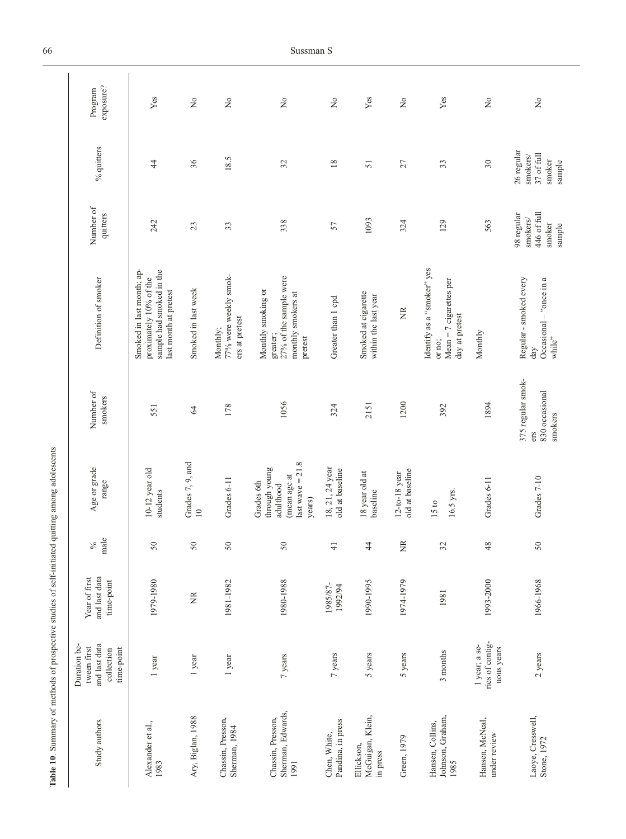| ļ                                                                                           |
|---------------------------------------------------------------------------------------------|
|                                                                                             |
| ١                                                                                           |
| こくく こくてく とうきくうきく とうきこう<br>j                                                                 |
| j                                                                                           |
| ֖֦֦֧֧֧ׅ֧֚֚֚֚֚֚֚֚֚֚֚֚֚֚֚֚֚֚֚֚֚֚֚֚֚֚֚֚֚֚֚֬֝֝֬֝֓֜֝<br>ţ                                        |
| $\frac{1}{2}$                                                                               |
| to at memorante attraction of an interest<br>í                                              |
|                                                                                             |
|                                                                                             |
| てんちゅう ちょうき                                                                                  |
| $\ddot{\phantom{a}}$<br><b>MARK</b><br>j                                                    |
| ֓֕֡                                                                                         |
| ֧֖֧֧֧֧֧֪ׅ֧֧֧֧֧֧֧֧֧֧֧֧֚֚֚֚֚֚֚֚֚֚֚֚֚֚֚֚֚֚֚֚֚֚֚֚֚֡֓֝֝֓֡֬֝֓֝֬֝֓֝֓֓֝֬֓֓֝֬֓֝֬֓֝֬֝֓֝֬֝֬֝֬֝֬֝֬<br>j |

| Table 10. Summary of methods of prospective studies of self-initiated quitting among adolescents |                                                                          |                                              |                 |                                                                                          |                                                       |                                                                                                          |                                                           |                                                          |                                     |  |
|--------------------------------------------------------------------------------------------------|--------------------------------------------------------------------------|----------------------------------------------|-----------------|------------------------------------------------------------------------------------------|-------------------------------------------------------|----------------------------------------------------------------------------------------------------------|-----------------------------------------------------------|----------------------------------------------------------|-------------------------------------|--|
| Study authors                                                                                    | and last data<br>Duration be-<br>tween first<br>time-point<br>collection | and last data<br>Year of first<br>time-point | male<br>$\%$    | Age or grade<br>range                                                                    | Number of<br>smokers                                  | Definition of smoker                                                                                     | Number of<br>quitters                                     | $\%$ quitters                                            | exposure?<br>Program                |  |
| Alexander et al.,<br>1983                                                                        | 1 year                                                                   | 1979-1980                                    | 50              | $10-12$ year old<br>students                                                             | 551                                                   | sample had smoked in the<br>Smoked in last month; ap-<br>proximately 10% of the<br>last month at pretest | 242                                                       | $\ddot{4}$                                               | Yes                                 |  |
| Ary, Biglan, 1988                                                                                | 1 year                                                                   | Ĕ                                            | 50              | Grades 7, 9, and<br>$10$                                                                 | 64                                                    | Smoked in last week                                                                                      | 23                                                        | 36                                                       | $\stackrel{\circ}{\mathsf{Z}}$      |  |
| Chassin, Presson,<br>Sherman, 1984                                                               | 1 year                                                                   | 1981-1982                                    | 50              | Grades 6-11                                                                              | 178                                                   | 77% were weekly smok-<br>ers at pretest<br>Monthly;                                                      | 33                                                        | 18.5                                                     | $\tilde{z}$                         |  |
| Sherman, Edwards,<br>Chassin, Presson,<br>1991                                                   | 7 years                                                                  | 1980-1988                                    | $50\,$          | last wave $= 21.8$<br>through young<br>(mean age at<br>Grades 6th<br>adulthood<br>years) | 1056                                                  | 27% of the sample were<br>Monthly smoking or<br>monthly smokers at<br>greater;<br>pretest                | 338                                                       | 32                                                       | $\stackrel{\circ}{\simeq}$          |  |
| Pandina, in press<br>Chen, White,                                                                | 7 years                                                                  | 1985/87-<br>1992/94                          | $\frac{1}{4}$   | 18, 21, 24 year<br>old at baseline                                                       | 324                                                   | Greater than 1 cpd                                                                                       | 57                                                        | $18\,$                                                   | $\gtrsim$                           |  |
| McGuigan, Klein,<br>Ellickson,<br>in press                                                       | 5 years                                                                  | 1990-1995                                    | $\frac{4}{4}$   | 18 year old at<br>baseline                                                               | 2151                                                  | Smoked at cigarette<br>within the last year                                                              | 1093                                                      | $\overline{5}$                                           | Yes                                 |  |
| Green, 1979                                                                                      | 5 years                                                                  | 1974-1979                                    | $\widetilde{z}$ | old at baseline<br>$12-to-18$ year                                                       | 1200                                                  | $\widetilde{\Xi}$                                                                                        | 324                                                       | $27\,$                                                   | $\stackrel{\mathtt{o}}{\mathsf{z}}$ |  |
| Johnson, Graham,<br>Hansen, Collins,<br>1985                                                     | 3 months                                                                 | 1981                                         | 32              | 16.5 yrs.<br>15 to                                                                       | 392                                                   | Identify as a "smoker" yes<br>$Mean = 7$ cigarettes per<br>day at pretest<br>or no;                      | 129                                                       | 33                                                       | Yes                                 |  |
| Hansen, McNeal,<br>under review                                                                  | ries of contig-<br>1 year; a se-<br>uous years                           | 1993-2000                                    | 48              | Grades 6-11                                                                              | 1894                                                  | Monthly                                                                                                  | 563                                                       | $30\,$                                                   | $\stackrel{\circ}{\mathsf{Z}}$      |  |
| Laoye, Cresswell,<br>Stone, 1972                                                                 | 2 years                                                                  | 1966-1968                                    | 50              | Grades 7-10                                                                              | 375 regular smok-<br>830 occasional<br>smokers<br>ers | Occasional - "once in a<br>Regular - smoked every<br>while"<br>day                                       | 446 of full<br>98 regular<br>smokers/<br>smoker<br>sample | 26 regular<br>37 of full<br>smokers/<br>smoker<br>sample | $\mathring{\mathsf{Z}}$             |  |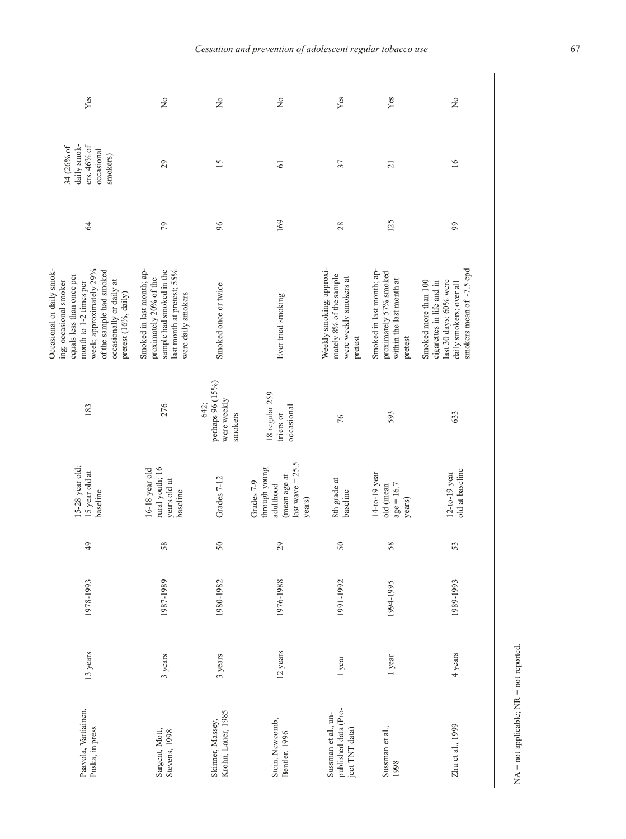| Yes                                                                                                                                                                                                                   | $\frac{1}{2}$                                                                                                                       | $\stackrel{\circ}{\simeq}$                         | $\tilde{z}$                                                                             | Yes                                                                                      | Yes                                                                                        | $\tilde{z}$                                                                                                                              |
|-----------------------------------------------------------------------------------------------------------------------------------------------------------------------------------------------------------------------|-------------------------------------------------------------------------------------------------------------------------------------|----------------------------------------------------|-----------------------------------------------------------------------------------------|------------------------------------------------------------------------------------------|--------------------------------------------------------------------------------------------|------------------------------------------------------------------------------------------------------------------------------------------|
| daily smok-<br>ers, 46% of<br>34 (26% of<br>occasional<br>smokers)                                                                                                                                                    | 29                                                                                                                                  | 15                                                 | $\sqrt{6}$                                                                              | 37                                                                                       | $\overline{21}$                                                                            | $\overline{16}$                                                                                                                          |
| 64                                                                                                                                                                                                                    | 79                                                                                                                                  | 96                                                 | 169                                                                                     | 28                                                                                       | 125                                                                                        | 99                                                                                                                                       |
| Occasional or daily smok-<br>week; approximately 29%<br>of the sample had smoked<br>equals less than once per<br>occasionally or daily at<br>ing; occasional smoker<br>month to 1-2 times per<br>pretest (16%, daily) | Smoked in last month; ap-<br>last month at pretest; 55%<br>sample had smoked in the<br>proximately 20% of the<br>were daily smokers | Smoked once or twice                               | Ever tried smoking                                                                      | Weekly smoking; approxi-<br>mately 8% of the sample<br>were weekly smokers at<br>pretest | Smoked in last month; ap-<br>proximately 57% smoked<br>within the last month at<br>pretest | smokers mean of $\sim$ 7.5 cpd<br>Smoked more than 100<br>last 30 days; 60% were<br>cigarettes in life and in<br>daily smokers; over all |
| 183                                                                                                                                                                                                                   | 276                                                                                                                                 | perhaps 96 (15%)<br>were weekly<br>642:<br>smokers | 18 regular 259<br>occasional<br>triers or                                               | 76                                                                                       | 593                                                                                        | 633                                                                                                                                      |
| 15-28 year old;<br>15 year old at<br>baseline                                                                                                                                                                         | rural youth; 16<br>$16-18$ year old<br>years old at<br>baseline                                                                     | Grades 7-12                                        | last wave $= 25.5$<br>through young<br>mean age at<br>Grades 7-9<br>adulthood<br>years) | 8th grade at<br>baseline                                                                 | $14-to-19$ year<br>$age = 16.7$<br>old (mean<br>years)                                     | old at baseline<br>$12-to-19$ year                                                                                                       |
| $^{49}$                                                                                                                                                                                                               | 58                                                                                                                                  | 50                                                 | 29                                                                                      | 50                                                                                       | 58                                                                                         | 53                                                                                                                                       |
| 1978-1993                                                                                                                                                                                                             | 1987-1989                                                                                                                           | 1980-1982                                          | 1976-1988                                                                               | 1991-1992                                                                                | 1994-1995                                                                                  | 1989-1993                                                                                                                                |
| 13 years                                                                                                                                                                                                              | 3 years                                                                                                                             | 3 years                                            | 12 years                                                                                | 1 year                                                                                   | 1 year                                                                                     | 4 years                                                                                                                                  |
| Paavola, Vartiainen,<br>Puska, in press                                                                                                                                                                               | Sargent, Mott,<br>Stevens, 1998                                                                                                     | Krohn, Lauer, 1985<br>Skinner, Massey,             | Stein, Newcomb,<br>Bentler, 1996                                                        | published data (Pro-<br>Sussman et al., un-<br>ject TNT data)                            | Sussman et al.,<br>1998                                                                    | Zhu et al., 1999                                                                                                                         |

 $\mathrm{NA}$  = not applicable;  $\mathrm{NR}$  = not reported. NA = not applicable; NR = not reported.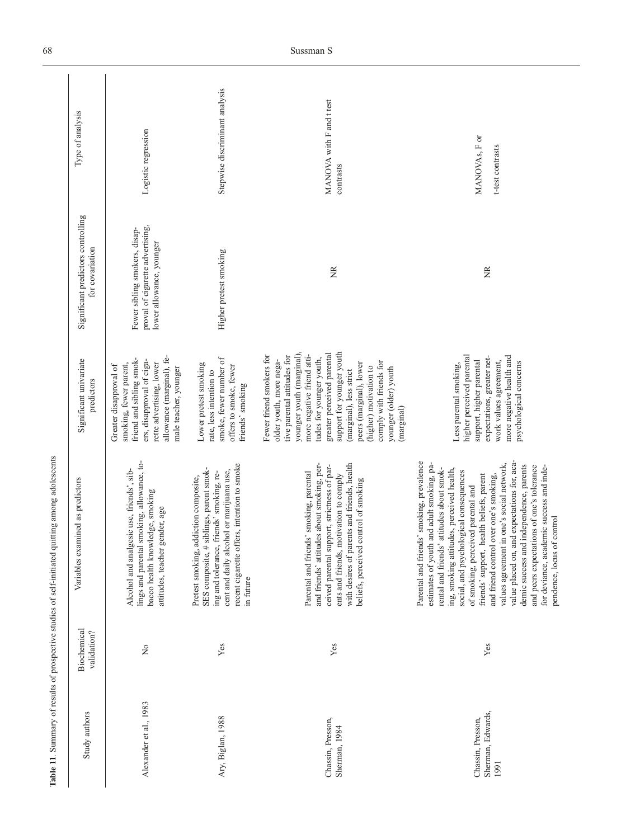|                                                |                            | Table 11. Summary of results of prospective studies of self-initiated quitting among adolescents                                                                                                                                                                                                                                                                                                                                                                                                                                                                                                                           |                                                                                                                                                                                                                                                                                                                                                                                        |                                                                                               |                                       |
|------------------------------------------------|----------------------------|----------------------------------------------------------------------------------------------------------------------------------------------------------------------------------------------------------------------------------------------------------------------------------------------------------------------------------------------------------------------------------------------------------------------------------------------------------------------------------------------------------------------------------------------------------------------------------------------------------------------------|----------------------------------------------------------------------------------------------------------------------------------------------------------------------------------------------------------------------------------------------------------------------------------------------------------------------------------------------------------------------------------------|-----------------------------------------------------------------------------------------------|---------------------------------------|
| Study authors                                  | Biochemical<br>validation? | Variables examined as predictors                                                                                                                                                                                                                                                                                                                                                                                                                                                                                                                                                                                           | Significant univariate<br>predictors                                                                                                                                                                                                                                                                                                                                                   | Significant predictors controlling<br>for covariation                                         | Type of analysis                      |
| Alexander et al., 1983                         | $\tilde{z}$                | lings and parental smoking, allowance, to-<br>Alcohol and analgesic use, friends', sib-<br>bacco health knowledge, smoking<br>gender, age<br>attitudes, teacher                                                                                                                                                                                                                                                                                                                                                                                                                                                            | allowance (marginal), fe-<br>friend and sibling smok-<br>ers, disapproval of ciga-<br>rette advertising, lower<br>smoking, fewer parent,<br>Greater disapproval of<br>male teacher, younger                                                                                                                                                                                            | proval of cigarette advertising,<br>Fewer sibling smokers, disap-<br>lower allowance, younger | Logistic regression                   |
| Ary, Biglan, 1988                              | Yes                        | recent cigarette offers, intention to smoke<br>SES composite, # siblings, parent smok-<br>cent and daily alcohol or marijuana use,<br>ing and tolerance, friends' smoking, re-<br>Pretest smoking, addiction composite,<br>in future                                                                                                                                                                                                                                                                                                                                                                                       | smoke, fewer number of<br>Lower pretest smoking<br>offers to smoke, fewer<br>rate, less intention to<br>friends' smoking                                                                                                                                                                                                                                                               | Higher pretest smoking                                                                        | Stepwise discriminant analysis        |
| Chassin, Presson,<br>Sherman, 1984             | Yes                        | and friends' attitudes about smoking, per-<br>with desires of parents and friends, health<br>ceived parental support, strictness of par-<br>Parental and friends' smoking, parental<br>motivation to comply<br>beliefs, perceived control of smoking<br>ents and friends,                                                                                                                                                                                                                                                                                                                                                  | support for younger youth<br>younger youth (marginal),<br>greater perceived parental<br>more negative friend atti-<br>Fewer friend smokers for<br>tive parental attitudes for<br>tudes for younger youth,<br>older youth, more nega-<br>comply with friends for<br>peers (marginal), lower<br>(higher) motivation to<br>younger (older) youth<br>(marginal), less strict<br>(marginal) | g                                                                                             | MANOVA with F and t test<br>contrasts |
| Sherman, Edwards,<br>Chassin, Presson,<br>1991 | Yes                        | Parental and friends' smoking, prevalence<br>and expectations for, aca-<br>estimates of youth and adult smoking, pa-<br>values agreement in one's social network,<br>demic success and independence, parents<br>and peers expectations of one's tolerance<br>for deviance, academic success and inde-<br>rental and friends' attitudes about smok-<br>ing, smoking attitudes, perceived health,<br>social, and psychological consequences<br>health beliefs, parent<br>and friend control over one's smoking,<br>of smoking, perceived parental and<br>pendence, locus of control<br>friends' support,<br>value placed on, | more negative health and<br>higher perceived parental<br>expectations, greater net-<br>support, higher parental<br>work values agreement,<br>psychological concerns<br>Less parental smoking,                                                                                                                                                                                          | ž                                                                                             | MANOVAS, F or<br>t-test contrasts     |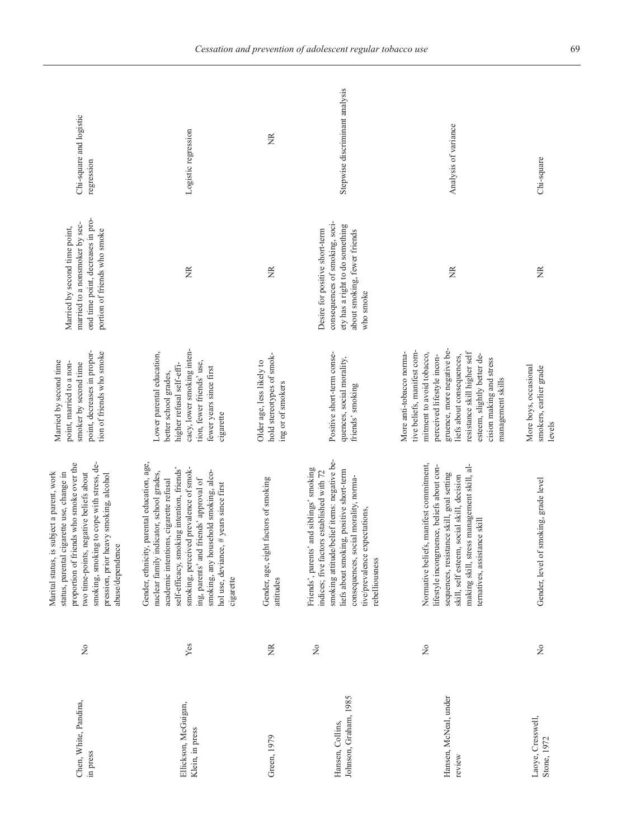| Chen, White, Pandina,<br>in press         | $\tilde{z}$     | smoking, smoking to cope with stress, de-<br>proportion of friends who smoke over the<br>Marital status, is subject a parent, work<br>two time-points, negative beliefs about<br>status, parental cigarette use, change in<br>pression, prior heavy smoking, alcohol<br>abuse/dependence                                                                               | point, decreases in propor-<br>tion of friends who smoke<br>Married by second time<br>point, married to a non-<br>smoker by second time                                                                                                                                                       | ond time point, decreases in pro-<br>married to a nonsmoker by sec-<br>Married by second time point,<br>portion of friends who smoke             | Chi-square and logistic<br>regression |
|-------------------------------------------|-----------------|------------------------------------------------------------------------------------------------------------------------------------------------------------------------------------------------------------------------------------------------------------------------------------------------------------------------------------------------------------------------|-----------------------------------------------------------------------------------------------------------------------------------------------------------------------------------------------------------------------------------------------------------------------------------------------|--------------------------------------------------------------------------------------------------------------------------------------------------|---------------------------------------|
| Ellickson, McGuigan,<br>Klein, in press   | Yes             | Gender, ethnicity, parental education, age,<br>smoking, perceived prevalence of smok-<br>self-efficacy, smoking intention, friends'<br>smoking, any household smoking, alco-<br>nuclear family indicator, school grades,<br>and friends' approval of<br>academic intentions, cigarette refusal<br>hol use, deviance, # years since first<br>ing, parents'<br>cigarette | cacy, lower smoking inten-<br>Lower parental education,<br>tion, fewer friends' use,<br>higher refusal self-effi-<br>fewer years since first<br>better school grades,<br>cigarette                                                                                                            | Ž                                                                                                                                                | Logistic regression                   |
| Green, 1979                               | $\widetilde{Z}$ | eight factors of smoking<br>Gender, age,<br>attitudes                                                                                                                                                                                                                                                                                                                  | hold stereotypes of smok-<br>Older age, less likely to<br>ing or of smokers                                                                                                                                                                                                                   | Ĕ                                                                                                                                                | Z                                     |
| Johnson, Graham, 1985<br>Hansen, Collins, | $\tilde{z}$     | smoking attitude/belief items: negative be-<br>Friends', parents' and siblings' smoking<br>liefs about smoking, positive short-term<br>indices; five factors established with 72<br>consequences, social morality, norma-<br>tive/prevalence expectations,<br>rebelliousness                                                                                           | Positive short-term conse-<br>quences, social morality,<br>friends' smoking                                                                                                                                                                                                                   | consequences of smoking, soci-<br>ety has a right to do something<br>Desire for positive short-term<br>about smoking, fewer friends<br>who smoke | Stepwise discriminant analysis        |
| Hansen, McNeal, under<br>review           | $\frac{1}{2}$   | Normative beliefs, manifest commitment,<br>lifestyle incongruence, beliefs about con-<br>making skill, stress management skill, al-<br>sequences, resistance skill, goal setting<br>skill, self esteem, social skill, decision<br>ternatives, assistance skill                                                                                                         | gruence, more negative be-<br>tive beliefs, manifest com-<br>resistance skill higher self<br>More anti-tobacco norma-<br>mitment to avoid tobacco,<br>perceived lifestyle incon-<br>liefs about consequences,<br>esteem, slightly better de-<br>cision making and stress<br>management skills | ž                                                                                                                                                | Analysis of variance                  |
| Laoye, Cresswell,<br>Stone, 1972          | $\tilde{z}$     | of smoking, grade level<br>Gender, level                                                                                                                                                                                                                                                                                                                               | More boys, occasional<br>smokers, earlier grade<br>levels                                                                                                                                                                                                                                     | ž                                                                                                                                                | Chi-square                            |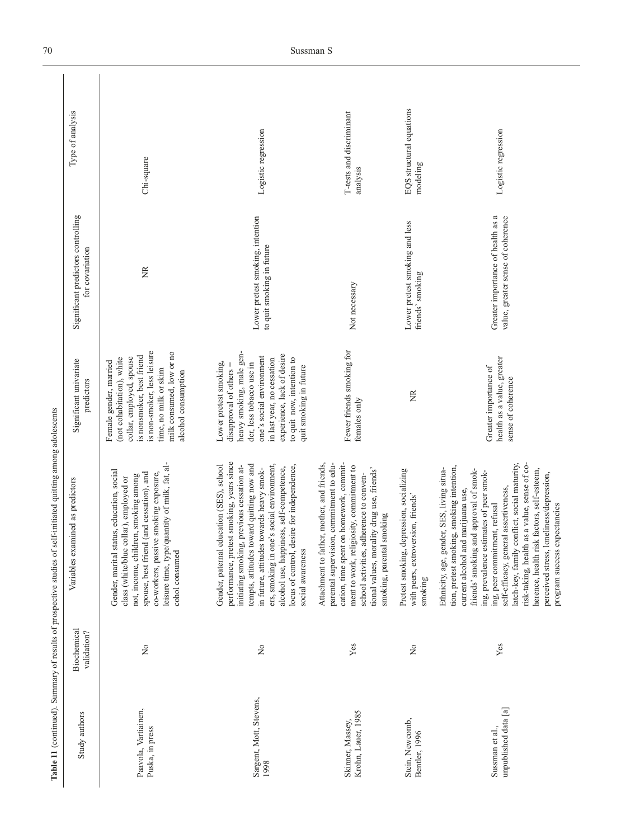| <b>Table 11</b> (continued). Summary of results of prospective studies of |                            | self-initiated quitting among adolescents                                                                                                                                                                                                                                                                                                                                                                                                                                                                                 |                                                                                                                                                                                                                                                          |                                                                        |                                      |
|---------------------------------------------------------------------------|----------------------------|---------------------------------------------------------------------------------------------------------------------------------------------------------------------------------------------------------------------------------------------------------------------------------------------------------------------------------------------------------------------------------------------------------------------------------------------------------------------------------------------------------------------------|----------------------------------------------------------------------------------------------------------------------------------------------------------------------------------------------------------------------------------------------------------|------------------------------------------------------------------------|--------------------------------------|
| Study authors                                                             | Biochemical<br>validation? | Variables examined as predictors                                                                                                                                                                                                                                                                                                                                                                                                                                                                                          | Significant univariate<br>predictors                                                                                                                                                                                                                     | Significant predictors controlling<br>for covariation                  | Type of analysis                     |
| Paavola, Vartiainen,<br>Puska, in press                                   | $\tilde{z}$                | leisure time, type/quantity of milk, fat, al-<br>status, education, social<br>spouse, best friend (and cessation), and<br>co-workers, passive smoking exposure,<br>not, income, children, smoking among<br>class (white/blue collar), employed or<br>cohol consumed<br>Gender, marital                                                                                                                                                                                                                                    | is non-smoker, less leisure<br>milk consumed, low or no<br>is nonsmoker, best friend<br>(not cohabitation), white<br>collar, employed, spouse<br>Female gender, married<br>time, no milk or skim<br>alcohol consumption                                  | Z                                                                      | Chi-square                           |
| Sargent, Mott, Stevens,<br>1998                                           | $\tilde{z}$                | performance, pretest smoking, years since<br>toward quitting now and<br>ers, smoking in one's social environment,<br>education (SES), school<br>initiating smoking, previous cessation at-<br>locus of control, desire for independence,<br>alcohol use, happiness, self-competence,<br>in future, attitudes towards heavy smok-<br>Gender, paternal<br>tempts, attitudes<br>social awareness                                                                                                                             | heavy smoking, male gen-<br>experience, lack of desire<br>one's social environment<br>in last year, no cessation<br>to quit now, intention to<br>Lower pretest smoking,<br>der, less tobacco use in<br>disapproval of others =<br>quit smoking in future | Lower pretest smoking, intention<br>to quit smoking in future          | Logistic regression                  |
| Krohn, Lauer, 1985<br>Skinner, Massey,                                    | Yes                        | cation, time spent on homework, commit-<br>Attachment to father, mother, and friends,<br>parental supervision, commitment to edu-<br>ment to work, religiosity, commitment to<br>tional values, morality drug use, friends'<br>school activities, adherence to conven-<br>smoking, parental smoking                                                                                                                                                                                                                       | Fewer friends smoking for<br>females only                                                                                                                                                                                                                | Not necessary                                                          | T-tests and discriminant<br>analysis |
| Stein, Newcomb,<br>Bentler, 1996                                          | $\tilde{z}$                | Pretest smoking, depression, socializing<br>with peers, extroversion, friends'<br>smoking                                                                                                                                                                                                                                                                                                                                                                                                                                 | E                                                                                                                                                                                                                                                        | Lower pretest smoking and less<br>friends' smoking                     | EQS structural equations<br>modeling |
| unpublished data [a]<br>Sussman et al.                                    | Yes                        | risk-taking, health as a value, sense of co-<br>latch-key, family conflict, social maturity,<br>tion, pretest smoking, smoking intention,<br>Ethnicity, age, gender, SES, living situa-<br>friends' smoking and approval of smok-<br>herence, health risk factors, self-esteem,<br>ing, prevalence estimates of peer smok-<br>perceived stress, loneliness/depression,<br>self-efficacy, general assertiveness,<br>current alcohol and marijuana use,<br>expectancies<br>ing, peer commitment, refusal<br>program success | health as a value, greater<br>Greater importance of<br>sense of coherence                                                                                                                                                                                | Greater importance of health as a<br>value, greater sense of coherence | Logistic regression                  |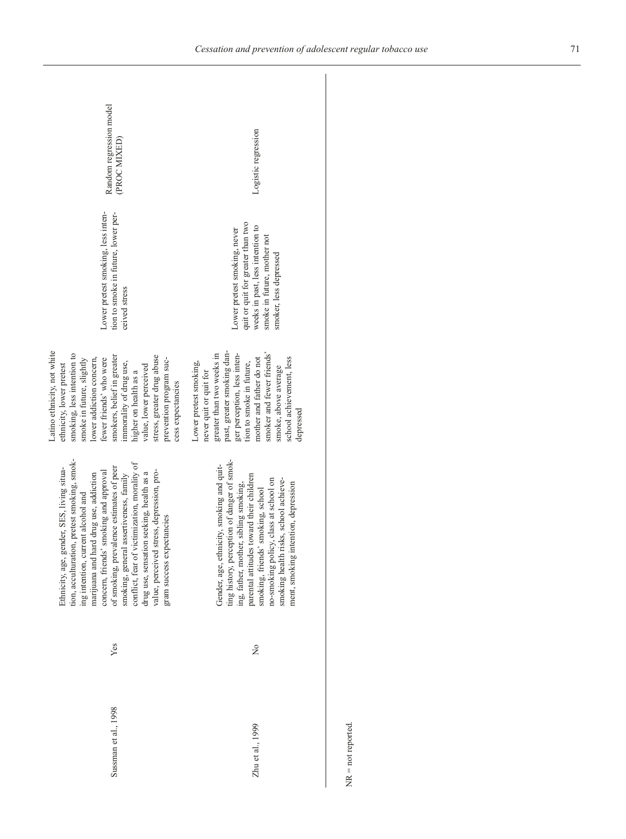| Random regression model<br>(PROC MIXED)                                                                                                                                                                                                                                                                                                                                                                                                                                         | Logistic regression                                                                                                                                                                                                                                                                                                                        |
|---------------------------------------------------------------------------------------------------------------------------------------------------------------------------------------------------------------------------------------------------------------------------------------------------------------------------------------------------------------------------------------------------------------------------------------------------------------------------------|--------------------------------------------------------------------------------------------------------------------------------------------------------------------------------------------------------------------------------------------------------------------------------------------------------------------------------------------|
| Lower pretest smoking, less inten-<br>tion to smoke in future, lower per-<br>ceived stress                                                                                                                                                                                                                                                                                                                                                                                      | quit or quit for greater than two<br>weeks in past, less intention to<br>Lower pretest smoking, never<br>smoke in future, mother not<br>smoker, less depressed                                                                                                                                                                             |
| smoking, less intention to<br>stress, greater drug abuse<br>smokers, belief in greater<br>fewer friends' who were<br>smoke in future, slightly<br>lower addiction concern,<br>prevention program suc-<br>immorality of drug use,<br>ethnicity, lower pretest<br>value, lower perceived<br>higher on health as a<br>cess expectancies                                                                                                                                            | past, greater smoking dan-<br>smoker and fewer friends'<br>greater than two weeks in<br>ger perception, less inten-<br>school achievement, less<br>mother and father do not<br>tion to smoke in future,<br>Lower pretest smoking,<br>smoke, above average<br>never quit or quit for<br>depressed                                           |
| tion, acculturation, pretest smoking, smok-<br>conflict, fear of victimization, morality of<br>of smoking, prevalence estimates of peer<br>Ethnicity, age, gender, SES, living situa-<br>value, perceived stress, depression, pro-<br>concern, friends' smoking and approval<br>marijuana and hard drug use, addiction<br>drug use, sensation seeking, health as a<br>smoking, general assertiveness, family<br>ing intention, current alcohol and<br>gram success expectancies | ting history, perception of danger of smok-<br>Gender, age, ethnicity, smoking and quit-<br>parental attitudes toward their children<br>smoking health risks, school achieve-<br>no-smoking policy, class at school on<br>ng, father, mother, sibling smoking,<br>ment, smoking intention, depression<br>smoking, friends' smoking, school |
| Yes                                                                                                                                                                                                                                                                                                                                                                                                                                                                             | $\frac{1}{2}$                                                                                                                                                                                                                                                                                                                              |
| Sussman et al., 1998                                                                                                                                                                                                                                                                                                                                                                                                                                                            | Zhu et al., 1999                                                                                                                                                                                                                                                                                                                           |

Latino ethnicity, not white

Latino ethnicity, not white

 $NR = not reported.$ NR = not reported.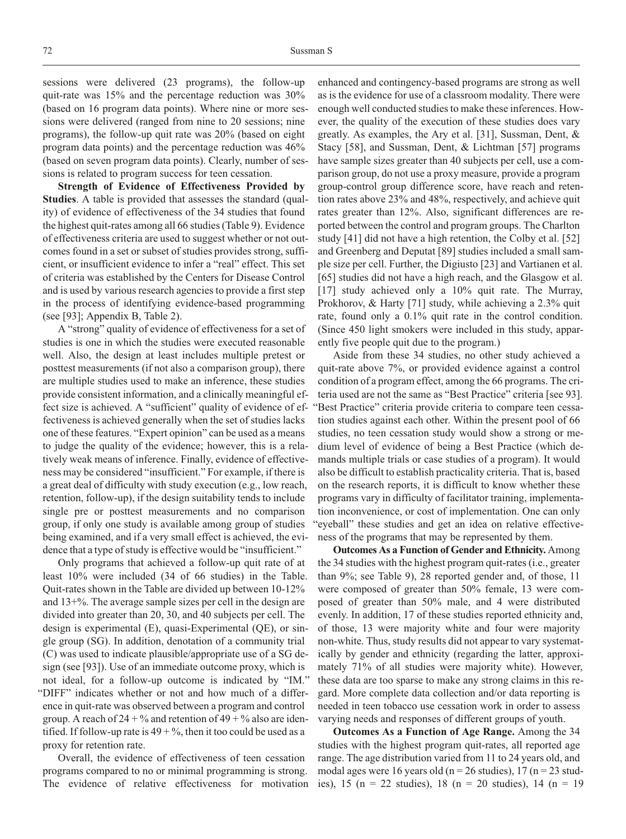sessions were delivered (23 programs), the follow-up quit-rate was 15% and the percentage reduction was 30% (based on 16 program data points). Where nine or more sessions were delivered (ranged from nine to 20 sessions; nine programs), the follow-up quit rate was 20% (based on eight program data points) and the percentage reduction was 46% (based on seven program data points). Clearly, number of sessions is related to program success for teen cessation.

**Strength of Evidence of Effectiveness Provided by Studies**. A table is provided that assesses the standard (quality) of evidence of effectiveness of the 34 studies that found the highest quit-rates among all 66 studies (Table 9). Evidence of effectiveness criteria are used to suggest whether or not outcomes found in a set or subset of studies provides strong, sufficient, or insufficient evidence to infer a "real" effect. This set of criteria was established by the Centers for Disease Control and is used by various research agencies to provide a first step in the process of identifying evidence-based programming (see [93]; Appendix B, Table 2).

A "strong" quality of evidence of effectiveness for a set of studies is one in which the studies were executed reasonable well. Also, the design at least includes multiple pretest or posttest measurements (if not also a comparison group), there are multiple studies used to make an inference, these studies provide consistent information, and a clinically meaningful effect size is achieved. A "sufficient" quality of evidence of effectiveness is achieved generally when the set of studies lacks one of these features. "Expert opinion" can be used as a means to judge the quality of the evidence; however, this is a relatively weak means of inference. Finally, evidence of effectiveness may be considered "insufficient." For example, if there is a great deal of difficulty with study execution (e.g., low reach, retention, follow-up), if the design suitability tends to include single pre or posttest measurements and no comparison group, if only one study is available among group of studies being examined, and if a very small effect is achieved, the evidence that a type of study is effective would be "insufficient."

Only programs that achieved a follow-up quit rate of at least 10% were included (34 of 66 studies) in the Table. Quit-rates shown in the Table are divided up between 10-12% and 13+%. The average sample sizes per cell in the design are divided into greater than 20, 30, and 40 subjects per cell. The design is experimental (E), quasi-Experimental (QE), or single group (SG). In addition, denotation of a community trial (C) was used to indicate plausible/appropriate use of a SG design (see [93]). Use of an immediate outcome proxy, which is not ideal, for a follow-up outcome is indicated by "IM." "DIFF" indicates whether or not and how much of a difference in quit-rate was observed between a program and control group. A reach of  $24 + \%$  and retention of  $49 + \%$  also are identified. If follow-up rate is  $49 + \frac{9}{20}$ , then it too could be used as a proxy for retention rate.

Overall, the evidence of effectiveness of teen cessation programs compared to no or minimal programming is strong. The evidence of relative effectiveness for motivation enhanced and contingency-based programs are strong as well as is the evidence for use of a classroom modality. There were enough well conducted studies to make these inferences. However, the quality of the execution of these studies does vary greatly. As examples, the Ary et al. [31], Sussman, Dent, & Stacy [58], and Sussman, Dent, & Lichtman [57] programs have sample sizes greater than 40 subjects per cell, use a comparison group, do not use a proxy measure, provide a program group-control group difference score, have reach and retention rates above 23% and 48%, respectively, and achieve quit rates greater than 12%. Also, significant differences are reported between the control and program groups. The Charlton study [41] did not have a high retention, the Colby et al. [52] and Greenberg and Deputat [89] studies included a small sample size per cell. Further, the Digiusto [23] and Vartianen et al. [65] studies did not have a high reach, and the Glasgow et al. [17] study achieved only a 10% quit rate. The Murray, Prokhorov, & Harty [71] study, while achieving a 2.3% quit rate, found only a 0.1% quit rate in the control condition. (Since 450 light smokers were included in this study, apparently five people quit due to the program.)

Aside from these 34 studies, no other study achieved a quit-rate above 7%, or provided evidence against a control condition of a program effect, among the 66 programs. The criteria used are not the same as "Best Practice" criteria [see 93]. "Best Practice" criteria provide criteria to compare teen cessation studies against each other. Within the present pool of 66 studies, no teen cessation study would show a strong or medium level of evidence of being a Best Practice (which demands multiple trials or case studies of a program). It would also be difficult to establish practicality criteria. That is, based on the research reports, it is difficult to know whether these programs vary in difficulty of facilitator training, implementation inconvenience, or cost of implementation. One can only 'eyeball" these studies and get an idea on relative effectiveness of the programs that may be represented by them.

**Outcomes As a Function of Gender and Ethnicity.** Among the 34 studies with the highest program quit-rates (i.e., greater than 9%; see Table 9), 28 reported gender and, of those, 11 were composed of greater than 50% female, 13 were composed of greater than 50% male, and 4 were distributed evenly. In addition, 17 of these studies reported ethnicity and, of those, 13 were majority white and four were majority non-white. Thus, study results did not appear to vary systematically by gender and ethnicity (regarding the latter, approximately 71% of all studies were majority white). However, these data are too sparse to make any strong claims in this regard. More complete data collection and/or data reporting is needed in teen tobacco use cessation work in order to assess varying needs and responses of different groups of youth.

**Outcomes As a Function of Age Range.** Among the 34 studies with the highest program quit-rates, all reported age range. The age distribution varied from 11 to 24 years old, and modal ages were 16 years old ( $n = 26$  studies), 17 ( $n = 23$  studies), 15 (n = 22 studies), 18 (n = 20 studies), 14 (n = 19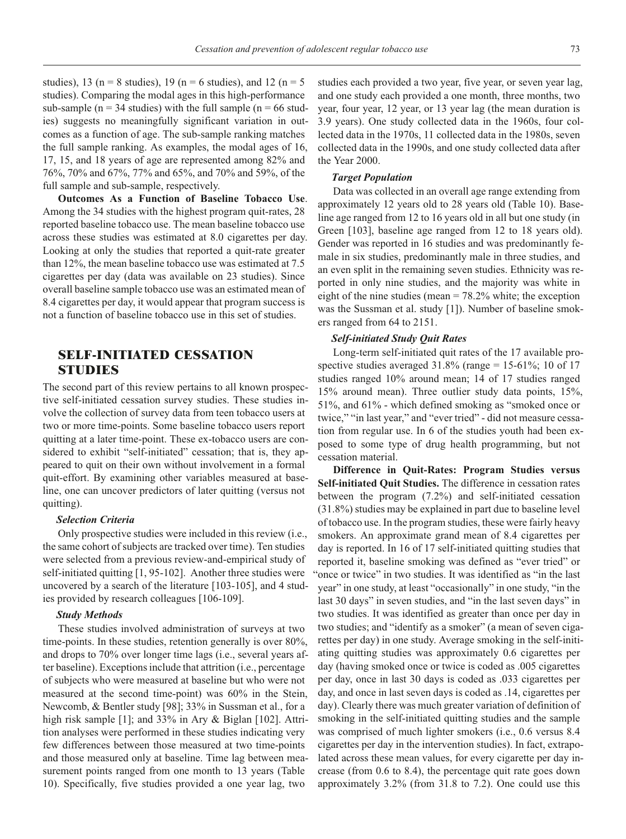studies), 13 (n = 8 studies), 19 (n = 6 studies), and 12 (n = 5 studies). Comparing the modal ages in this high-performance sub-sample ( $n = 34$  studies) with the full sample ( $n = 66$  studies) suggests no meaningfully significant variation in outcomes as a function of age. The sub-sample ranking matches the full sample ranking. As examples, the modal ages of 16, 17, 15, and 18 years of age are represented among 82% and 76%, 70% and 67%, 77% and 65%, and 70% and 59%, of the full sample and sub-sample, respectively.

**Outcomes As a Function of Baseline Tobacco Use**. Among the 34 studies with the highest program quit-rates, 28 reported baseline tobacco use. The mean baseline tobacco use across these studies was estimated at 8.0 cigarettes per day. Looking at only the studies that reported a quit-rate greater than 12%, the mean baseline tobacco use was estimated at 7.5 cigarettes per day (data was available on 23 studies). Since overall baseline sample tobacco use was an estimated mean of 8.4 cigarettes per day, it would appear that program success is not a function of baseline tobacco use in this set of studies.

# SELF-INITIATED CESSATION STUDIES

The second part of this review pertains to all known prospective self-initiated cessation survey studies. These studies involve the collection of survey data from teen tobacco users at two or more time-points. Some baseline tobacco users report quitting at a later time-point. These ex-tobacco users are considered to exhibit "self-initiated" cessation; that is, they appeared to quit on their own without involvement in a formal quit-effort. By examining other variables measured at baseline, one can uncover predictors of later quitting (versus not quitting).

### *Selection Criteria*

Only prospective studies were included in this review (i.e., the same cohort of subjects are tracked over time). Ten studies were selected from a previous review-and-empirical study of self-initiated quitting [1, 95-102]. Another three studies were uncovered by a search of the literature [103-105], and 4 studies provided by research colleagues [106-109].

# *Study Methods*

These studies involved administration of surveys at two time-points. In these studies, retention generally is over 80%, and drops to 70% over longer time lags (i.e., several years after baseline). Exceptions include that attrition (i.e., percentage of subjects who were measured at baseline but who were not measured at the second time-point) was 60% in the Stein, Newcomb, & Bentler study [98]; 33% in Sussman et al., for a high risk sample [1]; and 33% in Ary & Biglan [102]. Attrition analyses were performed in these studies indicating very few differences between those measured at two time-points and those measured only at baseline. Time lag between measurement points ranged from one month to 13 years (Table 10). Specifically, five studies provided a one year lag, two

studies each provided a two year, five year, or seven year lag, and one study each provided a one month, three months, two year, four year, 12 year, or 13 year lag (the mean duration is 3.9 years). One study collected data in the 1960s, four collected data in the 1970s, 11 collected data in the 1980s, seven collected data in the 1990s, and one study collected data after the Year 2000.

### *Target Population*

Data was collected in an overall age range extending from approximately 12 years old to 28 years old (Table 10). Baseline age ranged from 12 to 16 years old in all but one study (in Green [103], baseline age ranged from 12 to 18 years old). Gender was reported in 16 studies and was predominantly female in six studies, predominantly male in three studies, and an even split in the remaining seven studies. Ethnicity was reported in only nine studies, and the majority was white in eight of the nine studies (mean = 78.2% white; the exception was the Sussman et al. study [1]). Number of baseline smokers ranged from 64 to 2151.

### *Self-initiated Study Quit Rates*

Long-term self-initiated quit rates of the 17 available prospective studies averaged  $31.8\%$  (range = 15-61%; 10 of 17 studies ranged 10% around mean; 14 of 17 studies ranged 15% around mean). Three outlier study data points, 15%, 51%, and 61% - which defined smoking as "smoked once or twice," "in last year," and "ever tried" - did not measure cessation from regular use. In 6 of the studies youth had been exposed to some type of drug health programming, but not cessation material.

**Difference in Quit-Rates: Program Studies versus Self-initiated Quit Studies.** The difference in cessation rates between the program (7.2%) and self-initiated cessation (31.8%) studies may be explained in part due to baseline level of tobacco use. In the program studies, these were fairly heavy smokers. An approximate grand mean of 8.4 cigarettes per day is reported. In 16 of 17 self-initiated quitting studies that reported it, baseline smoking was defined as "ever tried" or 'once or twice" in two studies. It was identified as "in the last year" in one study, at least "occasionally" in one study, "in the last 30 days" in seven studies, and "in the last seven days" in two studies. It was identified as greater than once per day in two studies; and "identify as a smoker" (a mean of seven cigarettes per day) in one study. Average smoking in the self-initiating quitting studies was approximately 0.6 cigarettes per day (having smoked once or twice is coded as .005 cigarettes per day, once in last 30 days is coded as .033 cigarettes per day, and once in last seven days is coded as .14, cigarettes per day). Clearly there was much greater variation of definition of smoking in the self-initiated quitting studies and the sample was comprised of much lighter smokers (i.e., 0.6 versus 8.4 cigarettes per day in the intervention studies). In fact, extrapolated across these mean values, for every cigarette per day increase (from 0.6 to 8.4), the percentage quit rate goes down approximately 3.2% (from 31.8 to 7.2). One could use this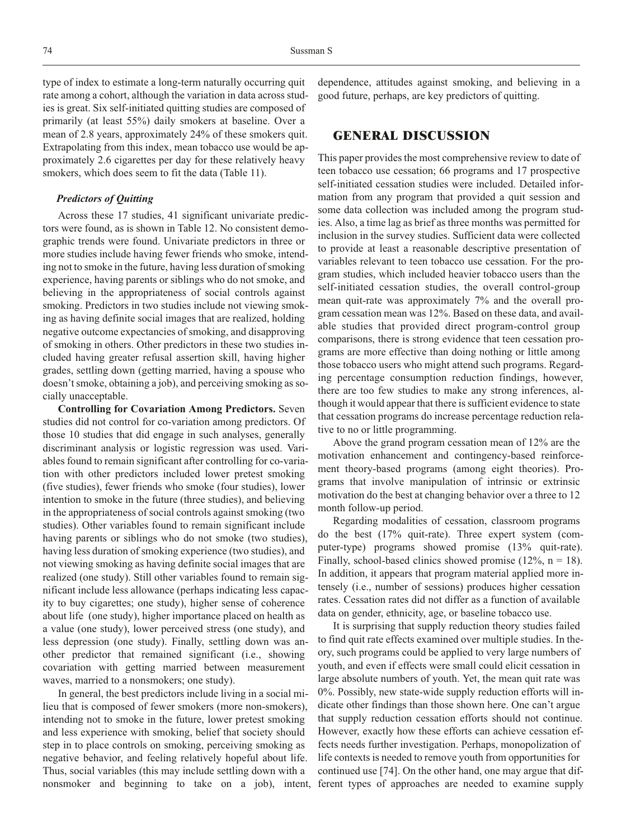type of index to estimate a long-term naturally occurring quit rate among a cohort, although the variation in data across studies is great. Six self-initiated quitting studies are composed of primarily (at least 55%) daily smokers at baseline. Over a mean of 2.8 years, approximately 24% of these smokers quit. Extrapolating from this index, mean tobacco use would be approximately 2.6 cigarettes per day for these relatively heavy smokers, which does seem to fit the data (Table 11).

# *Predictors of Quitting*

Across these 17 studies, 41 significant univariate predictors were found, as is shown in Table 12. No consistent demographic trends were found. Univariate predictors in three or more studies include having fewer friends who smoke, intending not to smoke in the future, having less duration of smoking experience, having parents or siblings who do not smoke, and believing in the appropriateness of social controls against smoking. Predictors in two studies include not viewing smoking as having definite social images that are realized, holding negative outcome expectancies of smoking, and disapproving of smoking in others. Other predictors in these two studies included having greater refusal assertion skill, having higher grades, settling down (getting married, having a spouse who doesn't smoke, obtaining a job), and perceiving smoking as socially unacceptable.

**Controlling for Covariation Among Predictors.** Seven studies did not control for co-variation among predictors. Of those 10 studies that did engage in such analyses, generally discriminant analysis or logistic regression was used. Variables found to remain significant after controlling for co-variation with other predictors included lower pretest smoking (five studies), fewer friends who smoke (four studies), lower intention to smoke in the future (three studies), and believing in the appropriateness of social controls against smoking (two studies). Other variables found to remain significant include having parents or siblings who do not smoke (two studies), having less duration of smoking experience (two studies), and not viewing smoking as having definite social images that are realized (one study). Still other variables found to remain significant include less allowance (perhaps indicating less capacity to buy cigarettes; one study), higher sense of coherence about life (one study), higher importance placed on health as a value (one study), lower perceived stress (one study), and less depression (one study). Finally, settling down was another predictor that remained significant (i.e., showing covariation with getting married between measurement waves, married to a nonsmokers; one study).

In general, the best predictors include living in a social milieu that is composed of fewer smokers (more non-smokers), intending not to smoke in the future, lower pretest smoking and less experience with smoking, belief that society should step in to place controls on smoking, perceiving smoking as negative behavior, and feeling relatively hopeful about life. Thus, social variables (this may include settling down with a nonsmoker and beginning to take on a job), intent,

dependence, attitudes against smoking, and believing in a good future, perhaps, are key predictors of quitting.

# GENERAL DISCUSSION

This paper provides the most comprehensive review to date of teen tobacco use cessation; 66 programs and 17 prospective self-initiated cessation studies were included. Detailed information from any program that provided a quit session and some data collection was included among the program studies. Also, a time lag as brief as three months was permitted for inclusion in the survey studies. Sufficient data were collected to provide at least a reasonable descriptive presentation of variables relevant to teen tobacco use cessation. For the program studies, which included heavier tobacco users than the self-initiated cessation studies, the overall control-group mean quit-rate was approximately 7% and the overall program cessation mean was 12%. Based on these data, and available studies that provided direct program-control group comparisons, there is strong evidence that teen cessation programs are more effective than doing nothing or little among those tobacco users who might attend such programs. Regarding percentage consumption reduction findings, however, there are too few studies to make any strong inferences, although it would appear that there is sufficient evidence to state that cessation programs do increase percentage reduction relative to no or little programming.

Above the grand program cessation mean of 12% are the motivation enhancement and contingency-based reinforcement theory-based programs (among eight theories). Programs that involve manipulation of intrinsic or extrinsic motivation do the best at changing behavior over a three to 12 month follow-up period.

Regarding modalities of cessation, classroom programs do the best (17% quit-rate). Three expert system (computer-type) programs showed promise (13% quit-rate). Finally, school-based clinics showed promise (12%,  $n = 18$ ). In addition, it appears that program material applied more intensely (i.e., number of sessions) produces higher cessation rates. Cessation rates did not differ as a function of available data on gender, ethnicity, age, or baseline tobacco use.

It is surprising that supply reduction theory studies failed to find quit rate effects examined over multiple studies. In theory, such programs could be applied to very large numbers of youth, and even if effects were small could elicit cessation in large absolute numbers of youth. Yet, the mean quit rate was 0%. Possibly, new state-wide supply reduction efforts will indicate other findings than those shown here. One can't argue that supply reduction cessation efforts should not continue. However, exactly how these efforts can achieve cessation effects needs further investigation. Perhaps, monopolization of life contexts is needed to remove youth from opportunities for continued use [74]. On the other hand, one may argue that different types of approaches are needed to examine supply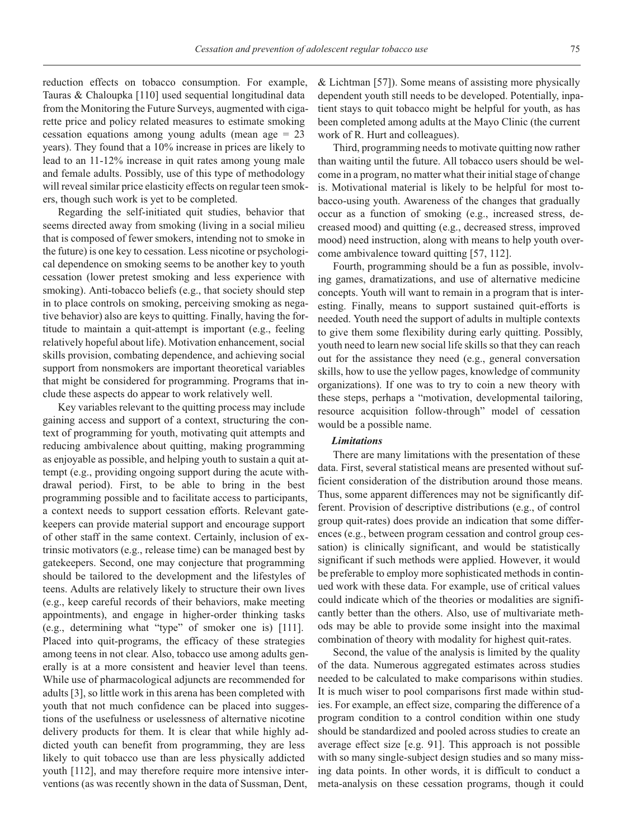reduction effects on tobacco consumption. For example, Tauras & Chaloupka [110] used sequential longitudinal data from the Monitoring the Future Surveys, augmented with cigarette price and policy related measures to estimate smoking cessation equations among young adults (mean age  $= 23$ years). They found that a 10% increase in prices are likely to lead to an 11-12% increase in quit rates among young male and female adults. Possibly, use of this type of methodology will reveal similar price elasticity effects on regular teen smokers, though such work is yet to be completed.

Regarding the self-initiated quit studies, behavior that seems directed away from smoking (living in a social milieu that is composed of fewer smokers, intending not to smoke in the future) is one key to cessation. Less nicotine or psychological dependence on smoking seems to be another key to youth cessation (lower pretest smoking and less experience with smoking). Anti-tobacco beliefs (e.g., that society should step in to place controls on smoking, perceiving smoking as negative behavior) also are keys to quitting. Finally, having the fortitude to maintain a quit-attempt is important (e.g., feeling relatively hopeful about life). Motivation enhancement, social skills provision, combating dependence, and achieving social support from nonsmokers are important theoretical variables that might be considered for programming. Programs that include these aspects do appear to work relatively well.

Key variables relevant to the quitting process may include gaining access and support of a context, structuring the context of programming for youth, motivating quit attempts and reducing ambivalence about quitting, making programming as enjoyable as possible, and helping youth to sustain a quit attempt (e.g., providing ongoing support during the acute withdrawal period). First, to be able to bring in the best programming possible and to facilitate access to participants, a context needs to support cessation efforts. Relevant gatekeepers can provide material support and encourage support of other staff in the same context. Certainly, inclusion of extrinsic motivators (e.g., release time) can be managed best by gatekeepers. Second, one may conjecture that programming should be tailored to the development and the lifestyles of teens. Adults are relatively likely to structure their own lives (e.g., keep careful records of their behaviors, make meeting appointments), and engage in higher-order thinking tasks (e.g., determining what "type" of smoker one is) [111]. Placed into quit-programs, the efficacy of these strategies among teens in not clear. Also, tobacco use among adults generally is at a more consistent and heavier level than teens. While use of pharmacological adjuncts are recommended for adults [3], so little work in this arena has been completed with youth that not much confidence can be placed into suggestions of the usefulness or uselessness of alternative nicotine delivery products for them. It is clear that while highly addicted youth can benefit from programming, they are less likely to quit tobacco use than are less physically addicted youth [112], and may therefore require more intensive interventions (as was recently shown in the data of Sussman, Dent,

& Lichtman [57]). Some means of assisting more physically dependent youth still needs to be developed. Potentially, inpatient stays to quit tobacco might be helpful for youth, as has been completed among adults at the Mayo Clinic (the current work of R. Hurt and colleagues).

Third, programming needs to motivate quitting now rather than waiting until the future. All tobacco users should be welcome in a program, no matter what their initial stage of change is. Motivational material is likely to be helpful for most tobacco-using youth. Awareness of the changes that gradually occur as a function of smoking (e.g., increased stress, decreased mood) and quitting (e.g., decreased stress, improved mood) need instruction, along with means to help youth overcome ambivalence toward quitting [57, 112].

Fourth, programming should be a fun as possible, involving games, dramatizations, and use of alternative medicine concepts. Youth will want to remain in a program that is interesting. Finally, means to support sustained quit-efforts is needed. Youth need the support of adults in multiple contexts to give them some flexibility during early quitting. Possibly, youth need to learn new social life skills so that they can reach out for the assistance they need (e.g., general conversation skills, how to use the yellow pages, knowledge of community organizations). If one was to try to coin a new theory with these steps, perhaps a "motivation, developmental tailoring, resource acquisition follow-through" model of cessation would be a possible name.

## *Limitations*

There are many limitations with the presentation of these data. First, several statistical means are presented without sufficient consideration of the distribution around those means. Thus, some apparent differences may not be significantly different. Provision of descriptive distributions (e.g., of control group quit-rates) does provide an indication that some differences (e.g., between program cessation and control group cessation) is clinically significant, and would be statistically significant if such methods were applied. However, it would be preferable to employ more sophisticated methods in continued work with these data. For example, use of critical values could indicate which of the theories or modalities are significantly better than the others. Also, use of multivariate methods may be able to provide some insight into the maximal combination of theory with modality for highest quit-rates.

Second, the value of the analysis is limited by the quality of the data. Numerous aggregated estimates across studies needed to be calculated to make comparisons within studies. It is much wiser to pool comparisons first made within studies. For example, an effect size, comparing the difference of a program condition to a control condition within one study should be standardized and pooled across studies to create an average effect size [e.g. 91]. This approach is not possible with so many single-subject design studies and so many missing data points. In other words, it is difficult to conduct a meta-analysis on these cessation programs, though it could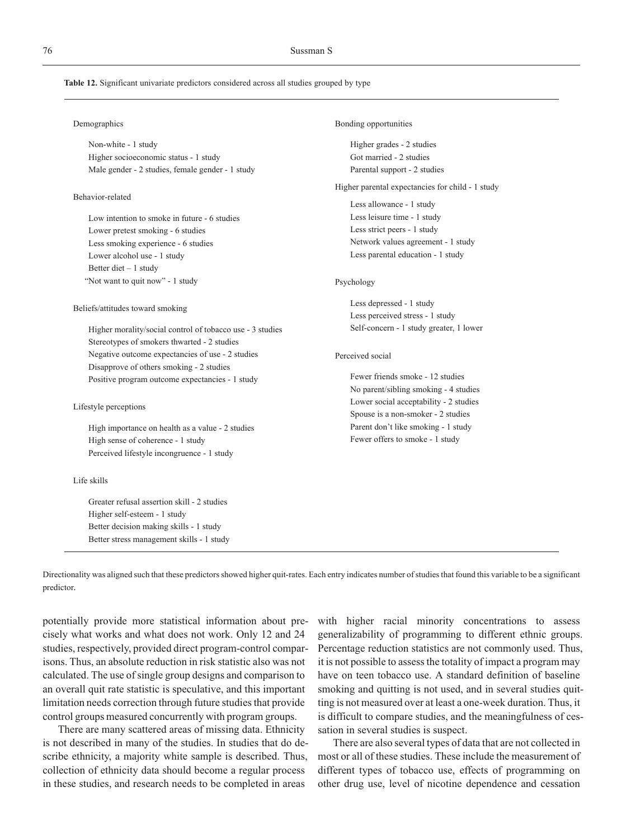### **Table 12.** Significant univariate predictors considered across all studies grouped by type

### Demographics

Non-white - 1 study Higher socioeconomic status - 1 study Male gender - 2 studies, female gender - 1 study

### Behavior-related

Low intention to smoke in future - 6 studies Lower pretest smoking - 6 studies Less smoking experience - 6 studies Lower alcohol use - 1 study Better diet  $-1$  study "Not want to quit now" - 1 study

#### Beliefs/attitudes toward smoking

Higher morality/social control of tobacco use - 3 studies Stereotypes of smokers thwarted - 2 studies Negative outcome expectancies of use - 2 studies Disapprove of others smoking - 2 studies Positive program outcome expectancies - 1 study

#### Lifestyle perceptions

High importance on health as a value - 2 studies High sense of coherence - 1 study Perceived lifestyle incongruence - 1 study

### Life skills

Greater refusal assertion skill - 2 studies Higher self-esteem - 1 study Better decision making skills - 1 study Better stress management skills - 1 study

### Bonding opportunities

Higher grades - 2 studies Got married - 2 studies Parental support - 2 studies

Higher parental expectancies for child - 1 study

Less allowance - 1 study Less leisure time - 1 study Less strict peers - 1 study Network values agreement - 1 study Less parental education - 1 study

### Psychology

Less depressed - 1 study Less perceived stress - 1 study Self-concern - 1 study greater, 1 lower

### Perceived social

Fewer friends smoke - 12 studies No parent/sibling smoking - 4 studies Lower social acceptability - 2 studies Spouse is a non-smoker - 2 studies Parent don't like smoking - 1 study Fewer offers to smoke - 1 study

Directionality was aligned such that these predictors showed higher quit-rates. Each entry indicates number of studies that found this variable to be a significant predictor.

potentially provide more statistical information about precisely what works and what does not work. Only 12 and 24 studies, respectively, provided direct program-control comparisons. Thus, an absolute reduction in risk statistic also was not calculated. The use of single group designs and comparison to an overall quit rate statistic is speculative, and this important limitation needs correction through future studies that provide control groups measured concurrently with program groups.

There are many scattered areas of missing data. Ethnicity is not described in many of the studies. In studies that do describe ethnicity, a majority white sample is described. Thus, collection of ethnicity data should become a regular process in these studies, and research needs to be completed in areas

with higher racial minority concentrations to assess generalizability of programming to different ethnic groups. Percentage reduction statistics are not commonly used. Thus, it is not possible to assess the totality of impact a program may have on teen tobacco use. A standard definition of baseline smoking and quitting is not used, and in several studies quitting is not measured over at least a one-week duration. Thus, it is difficult to compare studies, and the meaningfulness of cessation in several studies is suspect.

There are also several types of data that are not collected in most or all of these studies. These include the measurement of different types of tobacco use, effects of programming on other drug use, level of nicotine dependence and cessation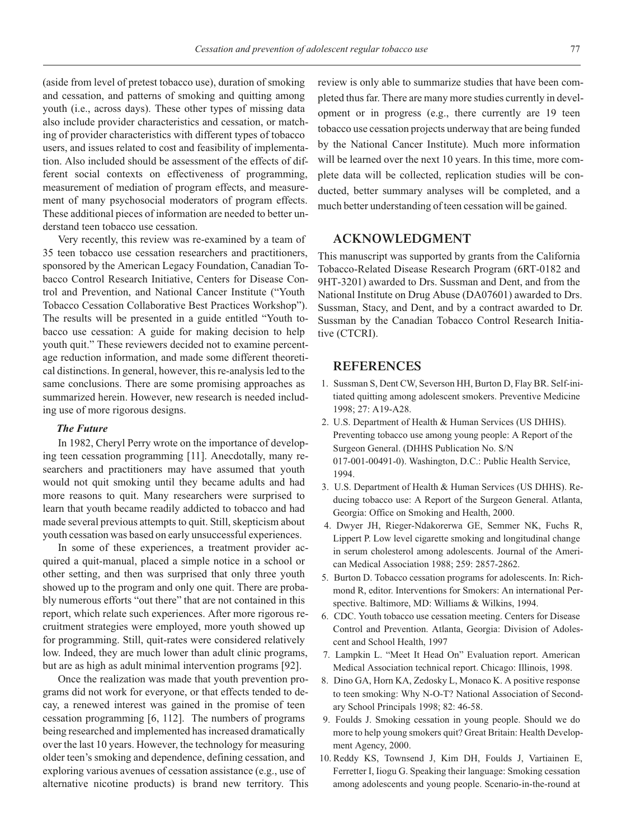(aside from level of pretest tobacco use), duration of smoking and cessation, and patterns of smoking and quitting among youth (i.e., across days). These other types of missing data also include provider characteristics and cessation, or matching of provider characteristics with different types of tobacco users, and issues related to cost and feasibility of implementation. Also included should be assessment of the effects of different social contexts on effectiveness of programming, measurement of mediation of program effects, and measurement of many psychosocial moderators of program effects. These additional pieces of information are needed to better understand teen tobacco use cessation.

Very recently, this review was re-examined by a team of 35 teen tobacco use cessation researchers and practitioners, sponsored by the American Legacy Foundation, Canadian Tobacco Control Research Initiative, Centers for Disease Control and Prevention, and National Cancer Institute ("Youth Tobacco Cessation Collaborative Best Practices Workshop"). The results will be presented in a guide entitled "Youth tobacco use cessation: A guide for making decision to help youth quit." These reviewers decided not to examine percentage reduction information, and made some different theoretical distinctions. In general, however, this re-analysis led to the same conclusions. There are some promising approaches as summarized herein. However, new research is needed including use of more rigorous designs.

### *The Future*

In 1982, Cheryl Perry wrote on the importance of developing teen cessation programming [11]. Anecdotally, many researchers and practitioners may have assumed that youth would not quit smoking until they became adults and had more reasons to quit. Many researchers were surprised to learn that youth became readily addicted to tobacco and had made several previous attempts to quit. Still, skepticism about youth cessation was based on early unsuccessful experiences.

In some of these experiences, a treatment provider acquired a quit-manual, placed a simple notice in a school or other setting, and then was surprised that only three youth showed up to the program and only one quit. There are probably numerous efforts "out there" that are not contained in this report, which relate such experiences. After more rigorous recruitment strategies were employed, more youth showed up for programming. Still, quit-rates were considered relatively low. Indeed, they are much lower than adult clinic programs, but are as high as adult minimal intervention programs [92].

Once the realization was made that youth prevention programs did not work for everyone, or that effects tended to decay, a renewed interest was gained in the promise of teen cessation programming [6, 112]. The numbers of programs being researched and implemented has increased dramatically over the last 10 years. However, the technology for measuring older teen's smoking and dependence, defining cessation, and exploring various avenues of cessation assistance (e.g., use of alternative nicotine products) is brand new territory. This review is only able to summarize studies that have been completed thus far. There are many more studies currently in development or in progress (e.g., there currently are 19 teen tobacco use cessation projects underway that are being funded by the National Cancer Institute). Much more information will be learned over the next 10 years. In this time, more complete data will be collected, replication studies will be conducted, better summary analyses will be completed, and a much better understanding of teen cessation will be gained.

# **ACKNOWLEDGMENT**

This manuscript was supported by grants from the California Tobacco-Related Disease Research Program (6RT-0182 and 9HT-3201) awarded to Drs. Sussman and Dent, and from the National Institute on Drug Abuse (DA07601) awarded to Drs. Sussman, Stacy, and Dent, and by a contract awarded to Dr. Sussman by the Canadian Tobacco Control Research Initiative (CTCRI).

# **REFERENCES**

- 1. Sussman S, Dent CW, Severson HH, Burton D, Flay BR. Self-initiated quitting among adolescent smokers. Preventive Medicine 1998; 27: A19-A28.
- 2. U.S. Department of Health & Human Services (US DHHS). Preventing tobacco use among young people: A Report of the Surgeon General. (DHHS Publication No. S/N 017-001-00491-0). Washington, D.C.: Public Health Service, 1994.
- 3. U.S. Department of Health & Human Services (US DHHS). Reducing tobacco use: A Report of the Surgeon General. Atlanta, Georgia: Office on Smoking and Health, 2000.
- 4. Dwyer JH, Rieger-Ndakorerwa GE, Semmer NK, Fuchs R, Lippert P. Low level cigarette smoking and longitudinal change in serum cholesterol among adolescents. Journal of the American Medical Association 1988; 259: 2857-2862.
- 5. Burton D. Tobacco cessation programs for adolescents. In: Richmond R, editor. Interventions for Smokers: An international Perspective. Baltimore, MD: Williams & Wilkins, 1994.
- 6. CDC. Youth tobacco use cessation meeting. Centers for Disease Control and Prevention. Atlanta, Georgia: Division of Adolescent and School Health, 1997
- 7. Lampkin L. "Meet It Head On" Evaluation report. American Medical Association technical report. Chicago: Illinois, 1998.
- 8. Dino GA, Horn KA, Zedosky L, Monaco K. A positive response to teen smoking: Why N-O-T? National Association of Secondary School Principals 1998; 82: 46-58.
- 9. Foulds J. Smoking cessation in young people. Should we do more to help young smokers quit? Great Britain: Health Development Agency, 2000.
- 10. Reddy KS, Townsend J, Kim DH, Foulds J, Vartiainen E, Ferretter I, Iiogu G. Speaking their language: Smoking cessation among adolescents and young people. Scenario-in-the-round at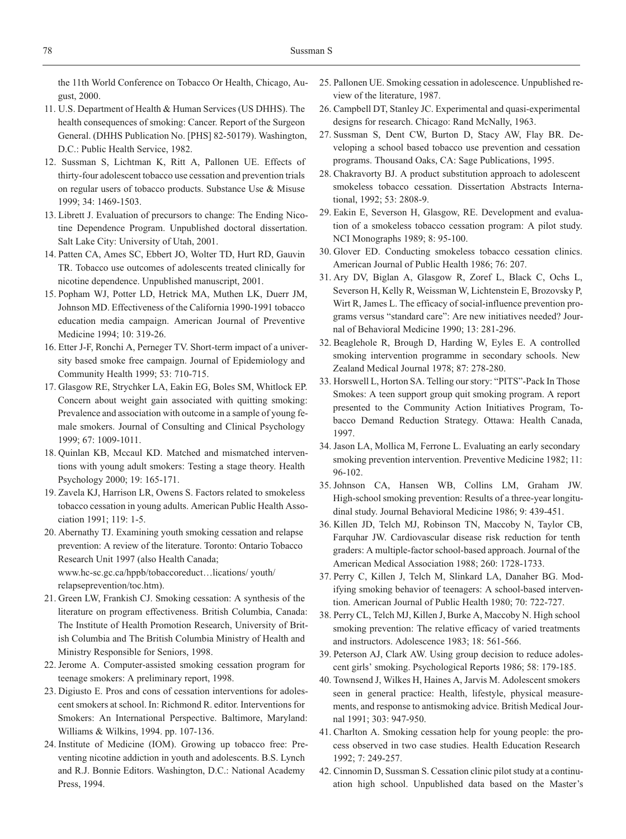the 11th World Conference on Tobacco Or Health, Chicago, August, 2000.

- 11. U.S. Department of Health & Human Services (US DHHS). The health consequences of smoking: Cancer. Report of the Surgeon General. (DHHS Publication No. [PHS] 82-50179). Washington, D.C.: Public Health Service, 1982.
- 12. Sussman S, Lichtman K, Ritt A, Pallonen UE. Effects of thirty-four adolescent tobacco use cessation and prevention trials on regular users of tobacco products. Substance Use & Misuse 1999; 34: 1469-1503.
- 13. Librett J. Evaluation of precursors to change: The Ending Nicotine Dependence Program. Unpublished doctoral dissertation. Salt Lake City: University of Utah, 2001.
- 14. Patten CA, Ames SC, Ebbert JO, Wolter TD, Hurt RD, Gauvin TR. Tobacco use outcomes of adolescents treated clinically for nicotine dependence. Unpublished manuscript, 2001.
- 15. Popham WJ, Potter LD, Hetrick MA, Muthen LK, Duerr JM, Johnson MD. Effectiveness of the California 1990-1991 tobacco education media campaign. American Journal of Preventive Medicine 1994; 10: 319-26.
- 16. Etter J-F, Ronchi A, Perneger TV. Short-term impact of a university based smoke free campaign. Journal of Epidemiology and Community Health 1999; 53: 710-715.
- 17. Glasgow RE, Strychker LA, Eakin EG, Boles SM, Whitlock EP. Concern about weight gain associated with quitting smoking: Prevalence and association with outcome in a sample of young female smokers. Journal of Consulting and Clinical Psychology 1999; 67: 1009-1011.
- 18. Quinlan KB, Mccaul KD. Matched and mismatched interventions with young adult smokers: Testing a stage theory. Health Psychology 2000; 19: 165-171.
- 19. Zavela KJ, Harrison LR, Owens S. Factors related to smokeless tobacco cessation in young adults. American Public Health Association 1991; 119: 1-5.
- 20. Abernathy TJ. Examining youth smoking cessation and relapse prevention: A review of the literature. Toronto: Ontario Tobacco Research Unit 1997 (also Health Canada; www.hc-sc.gc.ca/hppb/tobaccoreduct…lications/ youth/ relapseprevention/toc.htm).
- 21. Green LW, Frankish CJ. Smoking cessation: A synthesis of the literature on program effectiveness. British Columbia, Canada: The Institute of Health Promotion Research, University of British Columbia and The British Columbia Ministry of Health and Ministry Responsible for Seniors, 1998.
- 22. Jerome A. Computer-assisted smoking cessation program for teenage smokers: A preliminary report, 1998.
- 23. Digiusto E. Pros and cons of cessation interventions for adolescent smokers at school. In: Richmond R. editor. Interventions for Smokers: An International Perspective. Baltimore, Maryland: Williams & Wilkins, 1994. pp. 107-136.
- 24. Institute of Medicine (IOM). Growing up tobacco free: Preventing nicotine addiction in youth and adolescents. B.S. Lynch and R.J. Bonnie Editors. Washington, D.C.: National Academy Press, 1994.
- 25. Pallonen UE. Smoking cessation in adolescence. Unpublished review of the literature, 1987.
- 26. Campbell DT, Stanley JC. Experimental and quasi-experimental designs for research. Chicago: Rand McNally, 1963.
- 27. Sussman S, Dent CW, Burton D, Stacy AW, Flay BR. Developing a school based tobacco use prevention and cessation programs. Thousand Oaks, CA: Sage Publications, 1995.
- 28. Chakravorty BJ. A product substitution approach to adolescent smokeless tobacco cessation. Dissertation Abstracts International, 1992; 53: 2808-9.
- 29. Eakin E, Severson H, Glasgow, RE. Development and evaluation of a smokeless tobacco cessation program: A pilot study. NCI Monographs 1989; 8: 95-100.
- 30. Glover ED. Conducting smokeless tobacco cessation clinics. American Journal of Public Health 1986; 76: 207.
- 31. Ary DV, Biglan A, Glasgow R, Zoref L, Black C, Ochs L, Severson H, Kelly R, Weissman W, Lichtenstein E, Brozovsky P, Wirt R, James L. The efficacy of social-influence prevention programs versus "standard care": Are new initiatives needed? Journal of Behavioral Medicine 1990; 13: 281-296.
- 32. Beaglehole R, Brough D, Harding W, Eyles E. A controlled smoking intervention programme in secondary schools. New Zealand Medical Journal 1978; 87: 278-280.
- 33. Horswell L, Horton SA. Telling our story: "PITS"-Pack In Those Smokes: A teen support group quit smoking program. A report presented to the Community Action Initiatives Program, Tobacco Demand Reduction Strategy. Ottawa: Health Canada, 1997.
- 34. Jason LA, Mollica M, Ferrone L. Evaluating an early secondary smoking prevention intervention. Preventive Medicine 1982; 11: 96-102.
- 35. Johnson CA, Hansen WB, Collins LM, Graham JW. High-school smoking prevention: Results of a three-year longitudinal study. Journal Behavioral Medicine 1986; 9: 439-451.
- 36. Killen JD, Telch MJ, Robinson TN, Maccoby N, Taylor CB, Farquhar JW. Cardiovascular disease risk reduction for tenth graders: A multiple-factor school-based approach. Journal of the American Medical Association 1988; 260: 1728-1733.
- 37. Perry C, Killen J, Telch M, Slinkard LA, Danaher BG. Modifying smoking behavior of teenagers: A school-based intervention. American Journal of Public Health 1980; 70: 722-727.
- 38. Perry CL, Telch MJ, Killen J, Burke A, Maccoby N. High school smoking prevention: The relative efficacy of varied treatments and instructors. Adolescence 1983; 18: 561-566.
- 39. Peterson AJ, Clark AW. Using group decision to reduce adolescent girls' smoking. Psychological Reports 1986; 58: 179-185.
- 40. Townsend J, Wilkes H, Haines A, Jarvis M. Adolescent smokers seen in general practice: Health, lifestyle, physical measurements, and response to antismoking advice. British Medical Journal 1991; 303: 947-950.
- 41. Charlton A. Smoking cessation help for young people: the process observed in two case studies. Health Education Research 1992; 7: 249-257.
- 42. Cinnomin D, Sussman S. Cessation clinic pilot study at a continuation high school. Unpublished data based on the Master's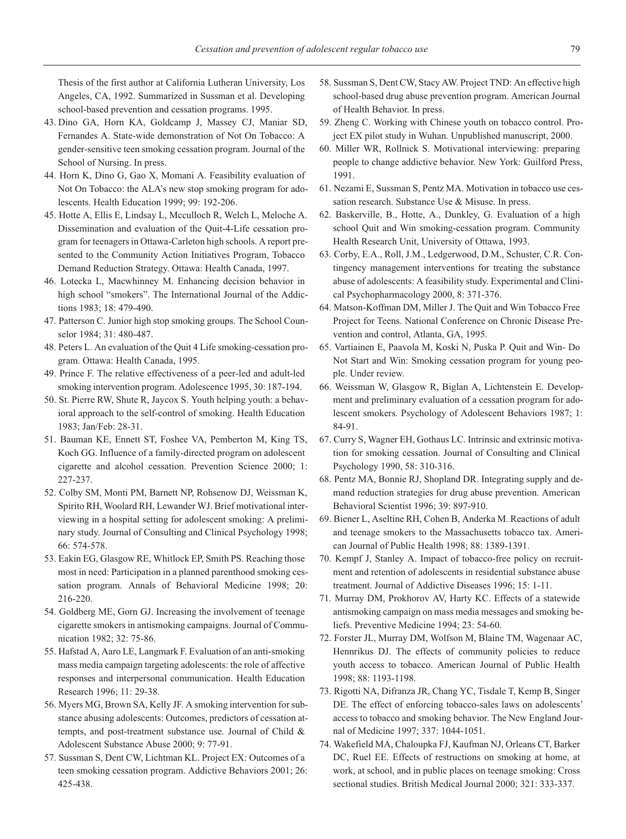Thesis of the first author at California Lutheran University, Los Angeles, CA, 1992. Summarized in Sussman et al. Developing school-based prevention and cessation programs. 1995.

- 43. Dino GA, Horn KA, Goldcamp J, Massey CJ, Maniar SD, Fernandes A. State-wide demonstration of Not On Tobacco: A gender-sensitive teen smoking cessation program. Journal of the School of Nursing. In press.
- 44. Horn K, Dino G, Gao X, Momani A. Feasibility evaluation of Not On Tobacco: the ALA's new stop smoking program for adolescents. Health Education 1999; 99: 192-206.
- 45. Hotte A, Ellis E, Lindsay L, Mcculloch R, Welch L, Meloche A. Dissemination and evaluation of the Quit-4-Life cessation program for teenagers in Ottawa-Carleton high schools. A report presented to the Community Action Initiatives Program, Tobacco Demand Reduction Strategy. Ottawa: Health Canada, 1997.
- 46. Lotecka L, Macwhinney M. Enhancing decision behavior in high school "smokers". The International Journal of the Addictions 1983; 18: 479-490.
- 47. Patterson C. Junior high stop smoking groups. The School Counselor 1984; 31: 480-487.
- 48. Peters L. An evaluation of the Quit 4 Life smoking-cessation program. Ottawa: Health Canada, 1995.
- 49. Prince F. The relative effectiveness of a peer-led and adult-led smoking intervention program. Adolescence 1995, 30: 187-194.
- 50. St. Pierre RW, Shute R, Jaycox S. Youth helping youth: a behavioral approach to the self-control of smoking. Health Education 1983; Jan/Feb: 28-31.
- 51. Bauman KE, Ennett ST, Foshee VA, Pemberton M, King TS, Koch GG. Influence of a family-directed program on adolescent cigarette and alcohol cessation. Prevention Science 2000; 1: 227-237.
- 52. Colby SM, Monti PM, Barnett NP, Rohsenow DJ, Weissman K, Spirito RH, Woolard RH, Lewander WJ. Brief motivational interviewing in a hospital setting for adolescent smoking: A preliminary study. Journal of Consulting and Clinical Psychology 1998; 66: 574-578.
- 53. Eakin EG, Glasgow RE, Whitlock EP, Smith PS. Reaching those most in need: Participation in a planned parenthood smoking cessation program. Annals of Behavioral Medicine 1998; 20: 216-220.
- 54. Goldberg ME, Gorn GJ. Increasing the involvement of teenage cigarette smokers in antismoking campaigns. Journal of Communication 1982; 32: 75-86.
- 55. Hafstad A, Aaro LE, Langmark F. Evaluation of an anti-smoking mass media campaign targeting adolescents: the role of affective responses and interpersonal communication. Health Education Research 1996; 11: 29-38.
- 56. Myers MG, Brown SA, Kelly JF. A smoking intervention for substance abusing adolescents: Outcomes, predictors of cessation attempts, and post-treatment substance use. Journal of Child & Adolescent Substance Abuse 2000; 9: 77-91.
- 57. Sussman S, Dent CW, Lichtman KL. Project EX: Outcomes of a teen smoking cessation program. Addictive Behaviors 2001; 26: 425-438.
- 58. Sussman S, Dent CW, Stacy AW. Project TND: An effective high school-based drug abuse prevention program. American Journal of Health Behavior. In press.
- 59. Zheng C. Working with Chinese youth on tobacco control. Project EX pilot study in Wuhan. Unpublished manuscript, 2000.
- 60. Miller WR, Rollnick S. Motivational interviewing: preparing people to change addictive behavior. New York: Guilford Press, 1991.
- 61. Nezami E, Sussman S, Pentz MA. Motivation in tobacco use cessation research. Substance Use & Misuse. In press.
- 62. Baskerville, B., Hotte, A., Dunkley, G. Evaluation of a high school Quit and Win smoking-cessation program. Community Health Research Unit, University of Ottawa, 1993.
- 63. Corby, E.A., Roll, J.M., Ledgerwood, D.M., Schuster, C.R. Contingency management interventions for treating the substance abuse of adolescents: A feasibility study. Experimental and Clinical Psychopharmacology 2000, 8: 371-376.
- 64. Matson-Koffman DM, Miller J. The Quit and Win Tobacco Free Project for Teens. National Conference on Chronic Disease Prevention and control, Atlanta, GA, 1995.
- 65. Vartiainen E, Paavola M, Koski N, Puska P. Quit and Win- Do Not Start and Win: Smoking cessation program for young people. Under review.
- 66. Weissman W, Glasgow R, Biglan A, Lichtenstein E. Development and preliminary evaluation of a cessation program for adolescent smokers. Psychology of Adolescent Behaviors 1987; 1: 84-91.
- 67. Curry S, Wagner EH, Gothaus LC. Intrinsic and extrinsic motivation for smoking cessation. Journal of Consulting and Clinical Psychology 1990, 58: 310-316.
- 68. Pentz MA, Bonnie RJ, Shopland DR. Integrating supply and demand reduction strategies for drug abuse prevention. American Behavioral Scientist 1996; 39: 897-910.
- 69. Biener L, Aseltine RH, Cohen B, Anderka M. Reactions of adult and teenage smokers to the Massachusetts tobacco tax. American Journal of Public Health 1998; 88: 1389-1391.
- 70. Kempf J, Stanley A. Impact of tobacco-free policy on recruitment and retention of adolescents in residential substance abuse treatment. Journal of Addictive Diseases 1996; 15: 1-11.
- 71. Murray DM, Prokhorov AV, Harty KC. Effects of a statewide antismoking campaign on mass media messages and smoking beliefs. Preventive Medicine 1994; 23: 54-60.
- 72. Forster JL, Murray DM, Wolfson M, Blaine TM, Wagenaar AC, Hennrikus DJ. The effects of community policies to reduce youth access to tobacco. American Journal of Public Health 1998; 88: 1193-1198.
- 73. Rigotti NA, Difranza JR, Chang YC, Tisdale T, Kemp B, Singer DE. The effect of enforcing tobacco-sales laws on adolescents' access to tobacco and smoking behavior. The New England Journal of Medicine 1997; 337: 1044-1051.
- 74. Wakefield MA, Chaloupka FJ, Kaufman NJ, Orleans CT, Barker DC, Ruel EE. Effects of restructions on smoking at home, at work, at school, and in public places on teenage smoking: Cross sectional studies. British Medical Journal 2000; 321: 333-337.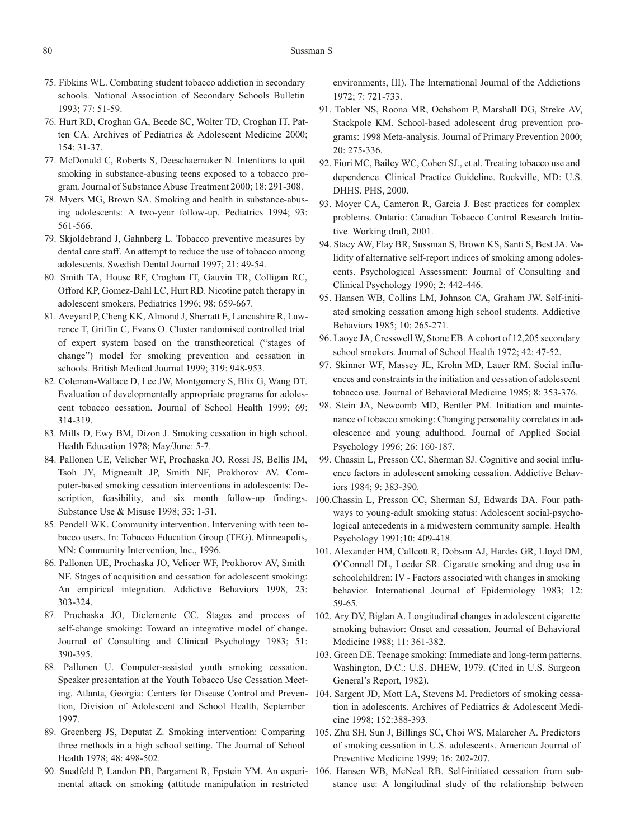- 75. Fibkins WL. Combating student tobacco addiction in secondary schools. National Association of Secondary Schools Bulletin 1993; 77: 51-59.
- 76. Hurt RD, Croghan GA, Beede SC, Wolter TD, Croghan IT, Patten CA. Archives of Pediatrics & Adolescent Medicine 2000; 154: 31-37.
- 77. McDonald C, Roberts S, Deeschaemaker N. Intentions to quit smoking in substance-abusing teens exposed to a tobacco program. Journal of Substance Abuse Treatment 2000; 18: 291-308.
- 78. Myers MG, Brown SA. Smoking and health in substance-abusing adolescents: A two-year follow-up. Pediatrics 1994; 93: 561-566.
- 79. Skjoldebrand J, Gahnberg L. Tobacco preventive measures by dental care staff. An attempt to reduce the use of tobacco among adolescents. Swedish Dental Journal 1997; 21: 49-54.
- 80. Smith TA, House RF, Croghan IT, Gauvin TR, Colligan RC, Offord KP, Gomez-Dahl LC, Hurt RD. Nicotine patch therapy in adolescent smokers. Pediatrics 1996; 98: 659-667.
- 81. Aveyard P, Cheng KK, Almond J, Sherratt E, Lancashire R, Lawrence T, Griffin C, Evans O. Cluster randomised controlled trial of expert system based on the transtheoretical ("stages of change") model for smoking prevention and cessation in schools. British Medical Journal 1999; 319: 948-953.
- 82. Coleman-Wallace D, Lee JW, Montgomery S, Blix G, Wang DT. Evaluation of developmentally appropriate programs for adolescent tobacco cessation. Journal of School Health 1999; 69: 314-319.
- 83. Mills D, Ewy BM, Dizon J. Smoking cessation in high school. Health Education 1978; May/June: 5-7.
- 84. Pallonen UE, Velicher WF, Prochaska JO, Rossi JS, Bellis JM, Tsoh JY, Migneault JP, Smith NF, Prokhorov AV. Computer-based smoking cessation interventions in adolescents: Description, feasibility, and six month follow-up findings. Substance Use & Misuse 1998; 33: 1-31.
- 85. Pendell WK. Community intervention. Intervening with teen tobacco users. In: Tobacco Education Group (TEG). Minneapolis, MN: Community Intervention, Inc., 1996.
- 86. Pallonen UE, Prochaska JO, Velicer WF, Prokhorov AV, Smith NF. Stages of acquisition and cessation for adolescent smoking: An empirical integration. Addictive Behaviors 1998, 23: 303-324.
- 87. Prochaska JO, Diclemente CC. Stages and process of self-change smoking: Toward an integrative model of change. Journal of Consulting and Clinical Psychology 1983; 51: 390-395.
- 88. Pallonen U. Computer-assisted youth smoking cessation. Speaker presentation at the Youth Tobacco Use Cessation Meeting. Atlanta, Georgia: Centers for Disease Control and Prevention, Division of Adolescent and School Health, September 1997.
- 89. Greenberg JS, Deputat Z. Smoking intervention: Comparing three methods in a high school setting. The Journal of School Health 1978; 48: 498-502.
- 90. Suedfeld P, Landon PB, Pargament R, Epstein YM. An experimental attack on smoking (attitude manipulation in restricted

environments, III). The International Journal of the Addictions 1972; 7: 721-733.

- 91. Tobler NS, Roona MR, Ochshom P, Marshall DG, Streke AV, Stackpole KM. School-based adolescent drug prevention programs: 1998 Meta-analysis. Journal of Primary Prevention 2000; 20: 275-336.
- 92. Fiori MC, Bailey WC, Cohen SJ., et al. Treating tobacco use and dependence. Clinical Practice Guideline. Rockville, MD: U.S. DHHS. PHS, 2000.
- 93. Moyer CA, Cameron R, Garcia J. Best practices for complex problems. Ontario: Canadian Tobacco Control Research Initiative. Working draft, 2001.
- 94. Stacy AW, Flay BR, Sussman S, Brown KS, Santi S, Best JA. Validity of alternative self-report indices of smoking among adolescents. Psychological Assessment: Journal of Consulting and Clinical Psychology 1990; 2: 442-446.
- 95. Hansen WB, Collins LM, Johnson CA, Graham JW. Self-initiated smoking cessation among high school students. Addictive Behaviors 1985; 10: 265-271.
- 96. Laoye JA, Cresswell W, Stone EB. A cohort of 12,205 secondary school smokers. Journal of School Health 1972; 42: 47-52.
- 97. Skinner WF, Massey JL, Krohn MD, Lauer RM. Social influences and constraints in the initiation and cessation of adolescent tobacco use. Journal of Behavioral Medicine 1985; 8: 353-376.
- 98. Stein JA, Newcomb MD, Bentler PM. Initiation and maintenance of tobacco smoking: Changing personality correlates in adolescence and young adulthood. Journal of Applied Social Psychology 1996; 26: 160-187.
- 99. Chassin L, Presson CC, Sherman SJ. Cognitive and social influence factors in adolescent smoking cessation. Addictive Behaviors 1984; 9: 383-390.
- 100.Chassin L, Presson CC, Sherman SJ, Edwards DA. Four pathways to young-adult smoking status: Adolescent social-psychological antecedents in a midwestern community sample. Health Psychology 1991;10: 409-418.
- 101. Alexander HM, Callcott R, Dobson AJ, Hardes GR, Lloyd DM, O'Connell DL, Leeder SR. Cigarette smoking and drug use in schoolchildren: IV - Factors associated with changes in smoking behavior. International Journal of Epidemiology 1983; 12: 59-65.
- 102. Ary DV, Biglan A. Longitudinal changes in adolescent cigarette smoking behavior: Onset and cessation. Journal of Behavioral Medicine 1988; 11: 361-382.
- 103. Green DE. Teenage smoking: Immediate and long-term patterns. Washington, D.C.: U.S. DHEW, 1979. (Cited in U.S. Surgeon General's Report, 1982).
- 104. Sargent JD, Mott LA, Stevens M. Predictors of smoking cessation in adolescents. Archives of Pediatrics & Adolescent Medicine 1998; 152:388-393.
- 105. Zhu SH, Sun J, Billings SC, Choi WS, Malarcher A. Predictors of smoking cessation in U.S. adolescents. American Journal of Preventive Medicine 1999; 16: 202-207.
- 106. Hansen WB, McNeal RB. Self-initiated cessation from substance use: A longitudinal study of the relationship between